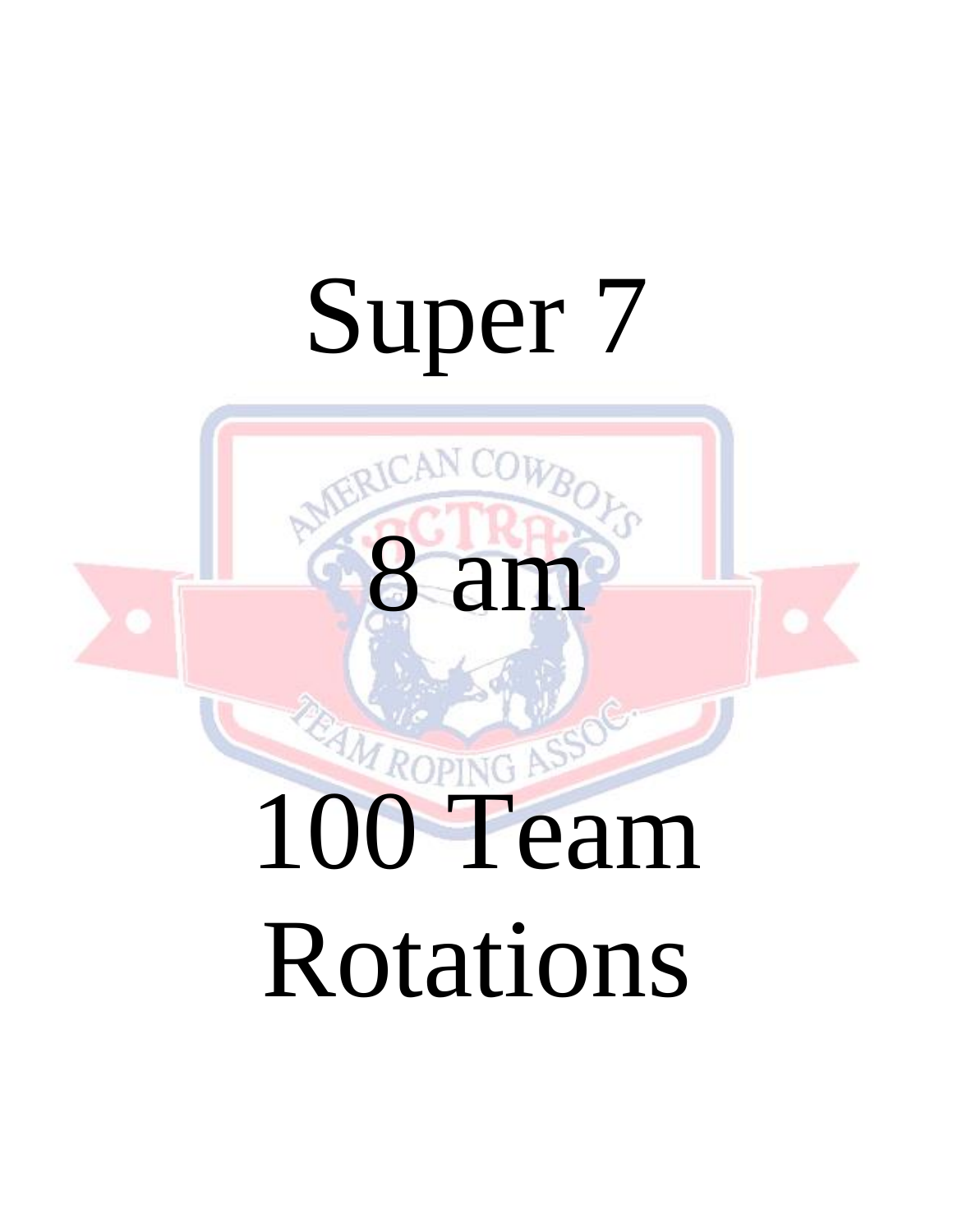# Super 7

8 am

# **100 Team** Rotations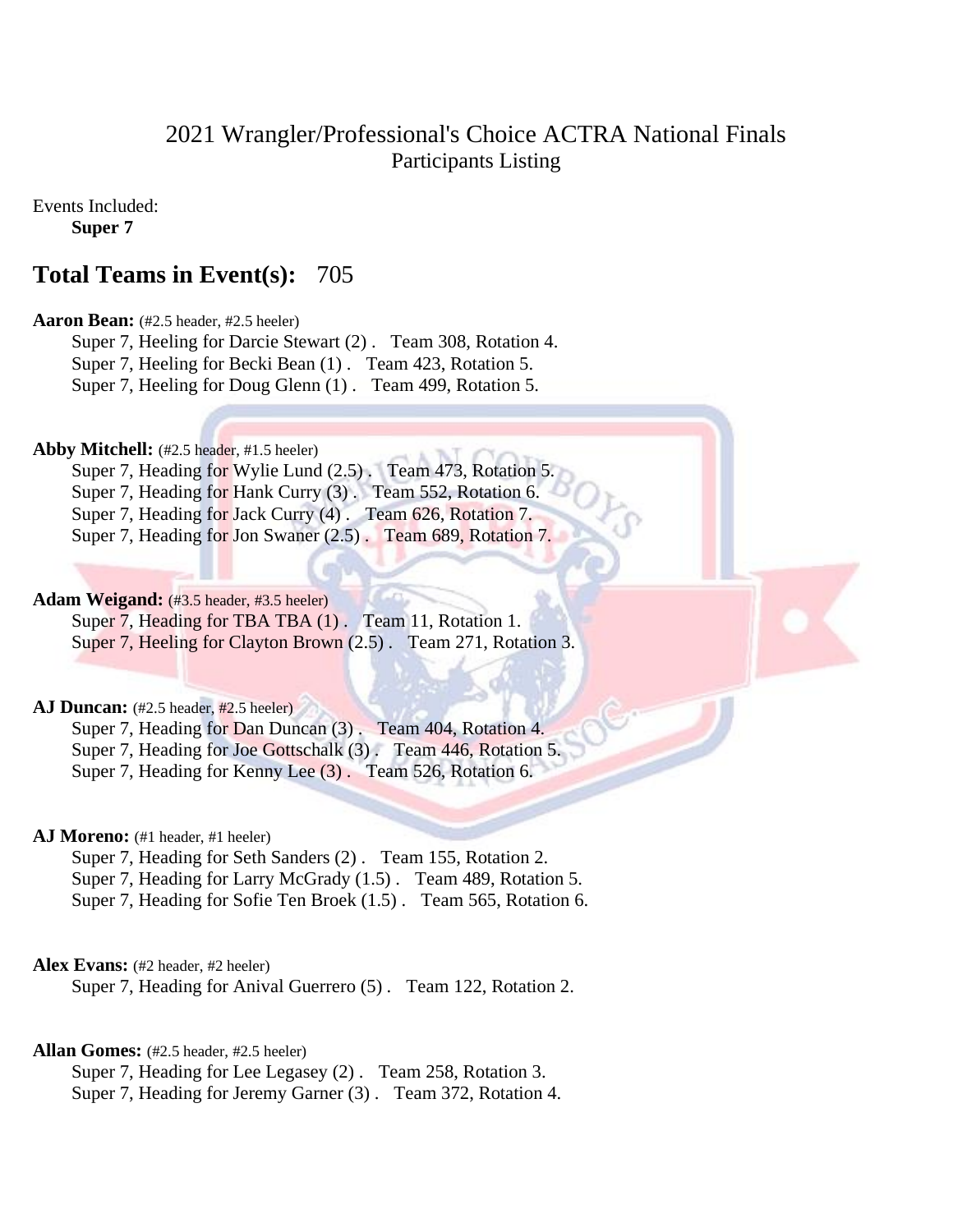# 2021 Wrangler/Professional's Choice ACTRA National Finals Participants Listing

Events Included:

**Super 7**

# **Total Teams in Event(s):** 705

# **Aaron Bean:** (#2.5 header, #2.5 heeler)

Super 7, Heeling for Darcie Stewart (2) . Team 308, Rotation 4. Super 7, Heeling for Becki Bean (1) . Team 423, Rotation 5. Super 7, Heeling for Doug Glenn (1) . Team 499, Rotation 5.

# **Abby Mitchell:** (#2.5 header, #1.5 heeler)

Super 7, Heading for Wylie Lund (2.5). Team 473, Rotation 5. Super 7, Heading for Hank Curry (3). Team 552, Rotation 6. Super 7, Heading for Jack Curry (4). Team 626, Rotation 7. Super 7, Heading for Jon Swaner (2.5) . Team 689, Rotation 7.

# **Adam Weigand:** (#3.5 header, #3.5 heeler)

Super 7, Heading for TBA TBA  $(1)$ . Team 11, Rotation 1. Super 7, Heeling for Clayton Brown (2.5) . Team 271, Rotation 3.

# **AJ Duncan:** (#2.5 header, #2.5 heeler)

Super 7, Heading for Dan Duncan (3) . Team 404, Rotation 4. Super 7, Heading for Joe Gottschalk (3). Team 446, Rotation 5. Super 7, Heading for Kenny Lee (3) . Team 526, Rotation 6.

# AJ Moreno: (#1 header, #1 heeler)

Super 7, Heading for Seth Sanders (2) . Team 155, Rotation 2. Super 7, Heading for Larry McGrady (1.5) . Team 489, Rotation 5. Super 7, Heading for Sofie Ten Broek (1.5) . Team 565, Rotation 6.

# Alex Evans: (#2 header, #2 heeler)

Super 7, Heading for Anival Guerrero (5) . Team 122, Rotation 2.

# **Allan Gomes:** (#2.5 header, #2.5 heeler)

Super 7, Heading for Lee Legasey (2) . Team 258, Rotation 3. Super 7, Heading for Jeremy Garner (3) . Team 372, Rotation 4.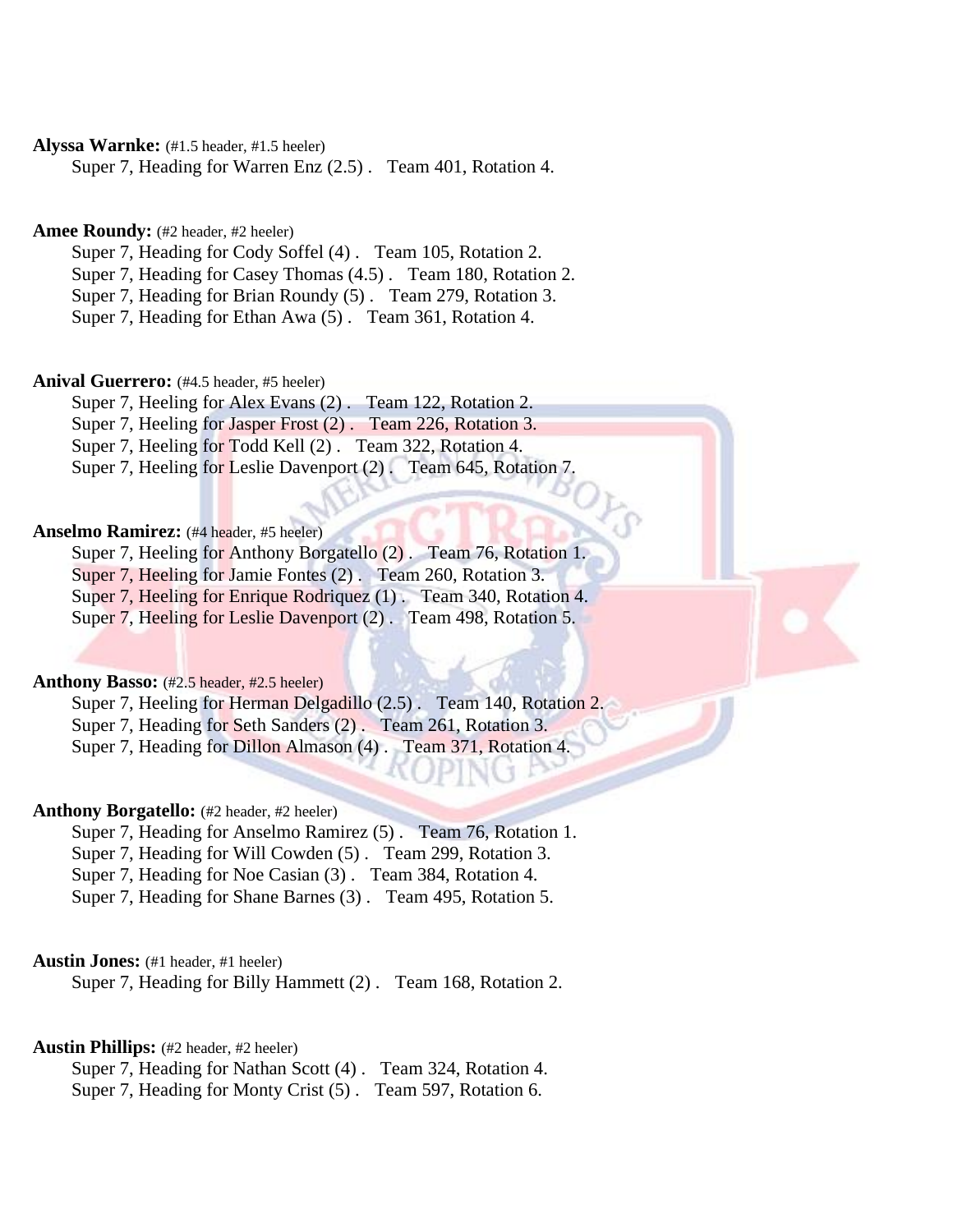# **Alyssa Warnke:** (#1.5 header, #1.5 heeler)

Super 7, Heading for Warren Enz (2.5) . Team 401, Rotation 4.

# Amee Roundy: (#2 header, #2 heeler)

Super 7, Heading for Cody Soffel (4) . Team 105, Rotation 2.

Super 7, Heading for Casey Thomas (4.5) . Team 180, Rotation 2.

Super 7, Heading for Brian Roundy (5) . Team 279, Rotation 3.

Super 7, Heading for Ethan Awa (5) . Team 361, Rotation 4.

### **Anival Guerrero:** (#4.5 header, #5 heeler)

Super 7, Heeling for Alex Evans (2) . Team 122, Rotation 2. Super 7, Heeling for Jasper Frost (2). Team 226, Rotation 3. Super 7, Heeling for Todd Kell (2) . Team 322, Rotation 4. Super 7, Heeling for Leslie Davenport (2) . Team 645, Rotation 7.

### **Anselmo Ramirez:** (#4 header, #5 heeler)

Super 7, Heeling for Anthony Borgatello (2) . Team 76, Rotation 1. Super 7, Heeling for Jamie Fontes (2) . Team 260, Rotation 3. Super 7, Heeling for Enrique Rodriquez (1) . Team 340, Rotation 4. Super 7, Heeling for Leslie Davenport (2). Team 498, Rotation 5.

### **Anthony Basso:** (#2.5 header, #2.5 heeler)

Super 7, Heeling for Herman Delgadillo (2.5) . Team 140, Rotation 2. Super 7, Heading for Seth Sanders (2). Team 261, Rotation 3. Super 7, Heading for Dillon Almason (4) . Team 371, Rotation 4.

### Anthony Borgatello: (#2 header, #2 heeler)

Super 7, Heading for Anselmo Ramirez (5) . Team 76, Rotation 1.

Super 7, Heading for Will Cowden (5) . Team 299, Rotation 3.

Super 7, Heading for Noe Casian (3) . Team 384, Rotation 4.

Super 7, Heading for Shane Barnes (3) . Team 495, Rotation 5.

### **Austin Jones:** (#1 header, #1 heeler)

Super 7, Heading for Billy Hammett (2) . Team 168, Rotation 2.

### **Austin Phillips:** (#2 header, #2 heeler)

Super 7, Heading for Nathan Scott (4) . Team 324, Rotation 4. Super 7, Heading for Monty Crist (5) . Team 597, Rotation 6.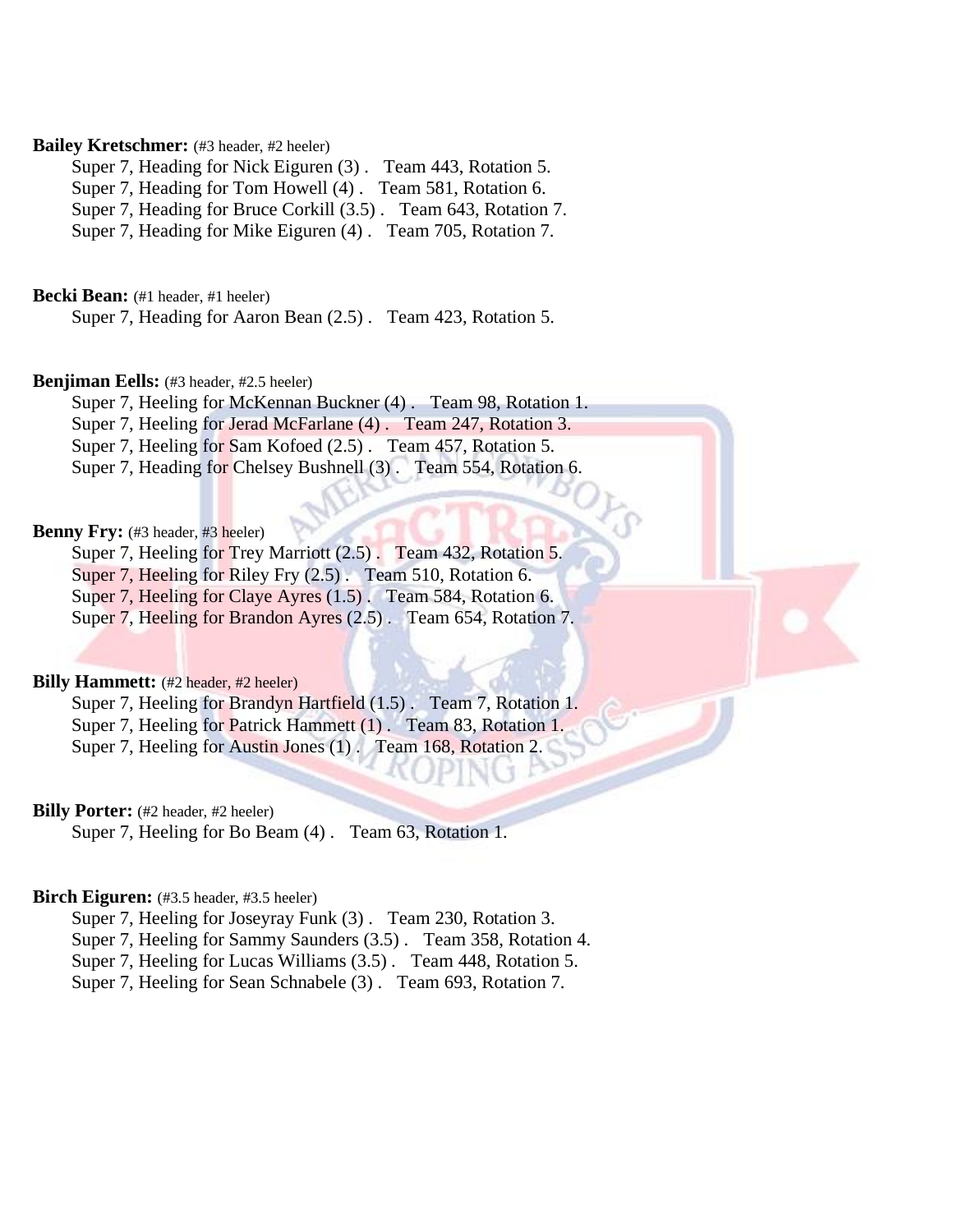# **Bailey Kretschmer:** (#3 header, #2 heeler)

Super 7, Heading for Nick Eiguren (3) . Team 443, Rotation 5.

Super 7, Heading for Tom Howell (4) . Team 581, Rotation 6.

Super 7, Heading for Bruce Corkill (3.5) . Team 643, Rotation 7.

Super 7, Heading for Mike Eiguren (4) . Team 705, Rotation 7.

**Becki Bean:** (#1 header, #1 heeler)

Super 7, Heading for Aaron Bean (2.5) . Team 423, Rotation 5.

### **Benjiman Eells:** (#3 header, #2.5 heeler)

Super 7, Heeling for McKennan Buckner (4) . Team 98, Rotation 1. Super 7, Heeling for Jerad McFarlane (4) . Team 247, Rotation 3. Super 7, Heeling for Sam Kofoed (2.5). Team 457, Rotation 5.

Super 7, Heading for Chelsey Bushnell (3). Team 554, Rotation 6.

# Benny Fry: (#3 header, #3 heeler)

Super 7, Heeling for Trey Marriott (2.5) . Team 432, Rotation 5. Super 7, Heeling for Riley Fry (2.5) . Team 510, Rotation 6. Super 7, Heeling for Claye Ayres (1.5) . Team 584, Rotation 6.

Super 7, Heeling for Brandon Ayres (2.5) . Team 654, Rotation 7.

### **Billy Hammett:** (#2 header, #2 heeler)

Super 7, Heeling for Brandyn Hartfield (1.5) . Team 7, Rotation 1. Super 7, Heeling for Patrick Hammett (1). Team 83, Rotation 1. Super 7, Heeling for Austin Jones (1). Team 168, Rotation 2.

# **Billy Porter:** (#2 header, #2 heeler)

Super 7, Heeling for Bo Beam (4) . Team 63, Rotation 1.

### Birch Eiguren: (#3.5 header, #3.5 heeler)

Super 7, Heeling for Joseyray Funk (3) . Team 230, Rotation 3. Super 7, Heeling for Sammy Saunders (3.5) . Team 358, Rotation 4. Super 7, Heeling for Lucas Williams (3.5) . Team 448, Rotation 5.

Super 7, Heeling for Sean Schnabele (3) . Team 693, Rotation 7.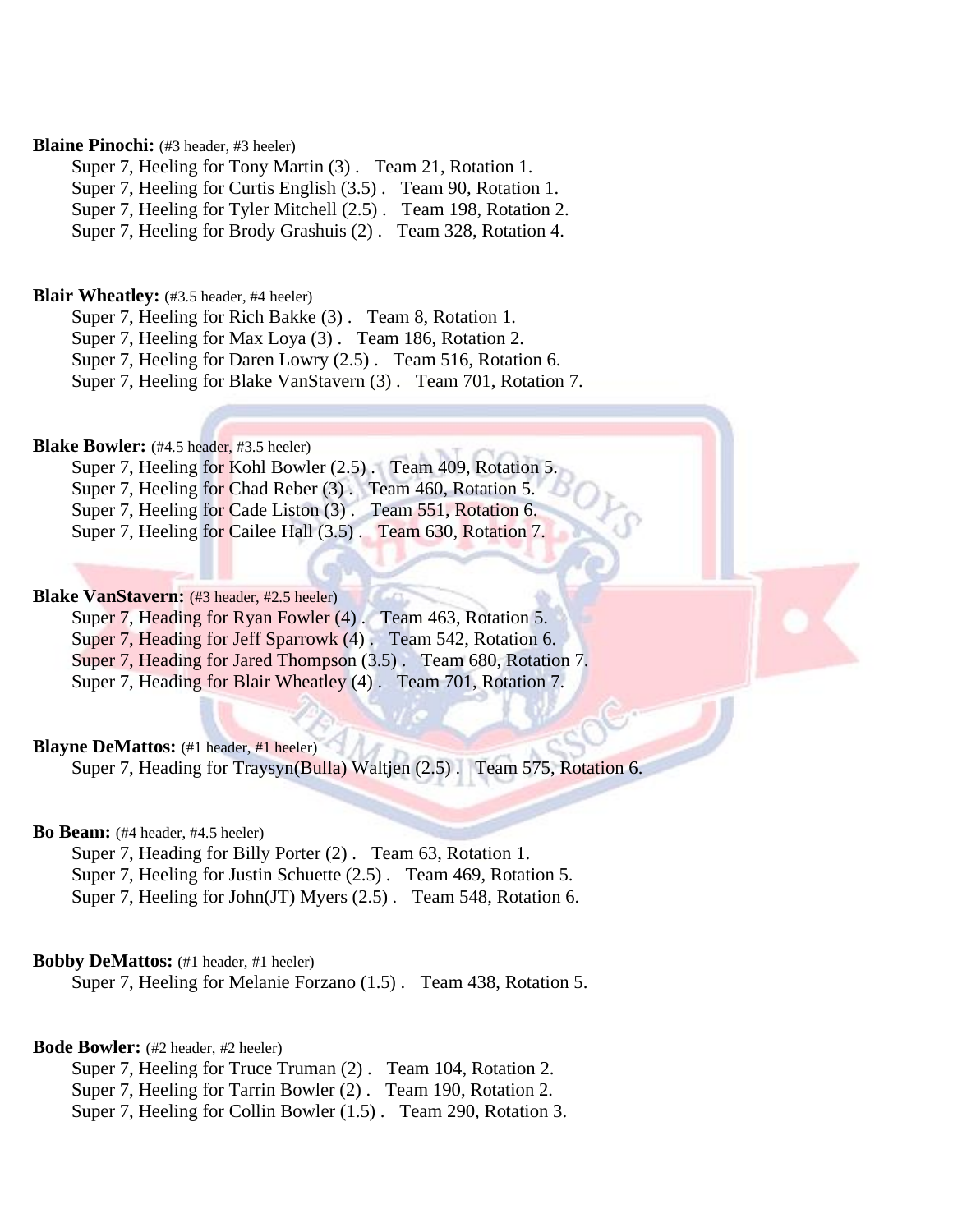# **Blaine Pinochi:** (#3 header, #3 heeler)

Super 7, Heeling for Tony Martin (3) . Team 21, Rotation 1.

Super 7, Heeling for Curtis English (3.5) . Team 90, Rotation 1.

Super 7, Heeling for Tyler Mitchell (2.5) . Team 198, Rotation 2.

Super 7, Heeling for Brody Grashuis (2) . Team 328, Rotation 4.

### **Blair Wheatley:** (#3.5 header, #4 heeler)

Super 7, Heeling for Rich Bakke (3) . Team 8, Rotation 1.

Super 7, Heeling for Max Loya (3) . Team 186, Rotation 2.

Super 7, Heeling for Daren Lowry (2.5) . Team 516, Rotation 6.

Super 7, Heeling for Blake VanStavern (3) . Team 701, Rotation 7.

# **Blake Bowler:** (#4.5 header, #3.5 heeler)

Super 7, Heeling for Kohl Bowler (2.5). Team 409, Rotation 5. Super 7, Heeling for Chad Reber (3) . Team 460, Rotation 5. Super 7, Heeling for Cade Liston (3) . Team 551, Rotation 6. Super 7, Heeling for Cailee Hall (3.5) . Team 630, Rotation 7.

### **Blake VanStavern:** (#3 header, #2.5 heeler)

Super 7, Heading for Ryan Fowler (4). Team 463, Rotation 5.

Super 7, Heading for Jeff Sparrowk (4). Team 542, Rotation 6.

Super 7, Heading for Jared Thompson (3.5) . Team 680, Rotation 7.

Super 7, Heading for Blair Wheatley (4) . Team 701, Rotation 7.

# **Blayne DeMattos:** (#1 header, #1 heeler)

Super 7, Heading for Traysyn(Bulla) Waltjen (2.5) . Team 575, Rotation 6.

### **Bo Beam:** (#4 header, #4.5 heeler)

Super 7, Heading for Billy Porter (2) . Team 63, Rotation 1.

Super 7, Heeling for Justin Schuette (2.5) . Team 469, Rotation 5.

Super 7, Heeling for John(JT) Myers (2.5) . Team 548, Rotation 6.

# **Bobby DeMattos:** (#1 header, #1 heeler)

Super 7, Heeling for Melanie Forzano (1.5) . Team 438, Rotation 5.

### **Bode Bowler:** (#2 header, #2 heeler)

Super 7, Heeling for Truce Truman (2) . Team 104, Rotation 2.

Super 7, Heeling for Tarrin Bowler (2) . Team 190, Rotation 2.

Super 7, Heeling for Collin Bowler (1.5) . Team 290, Rotation 3.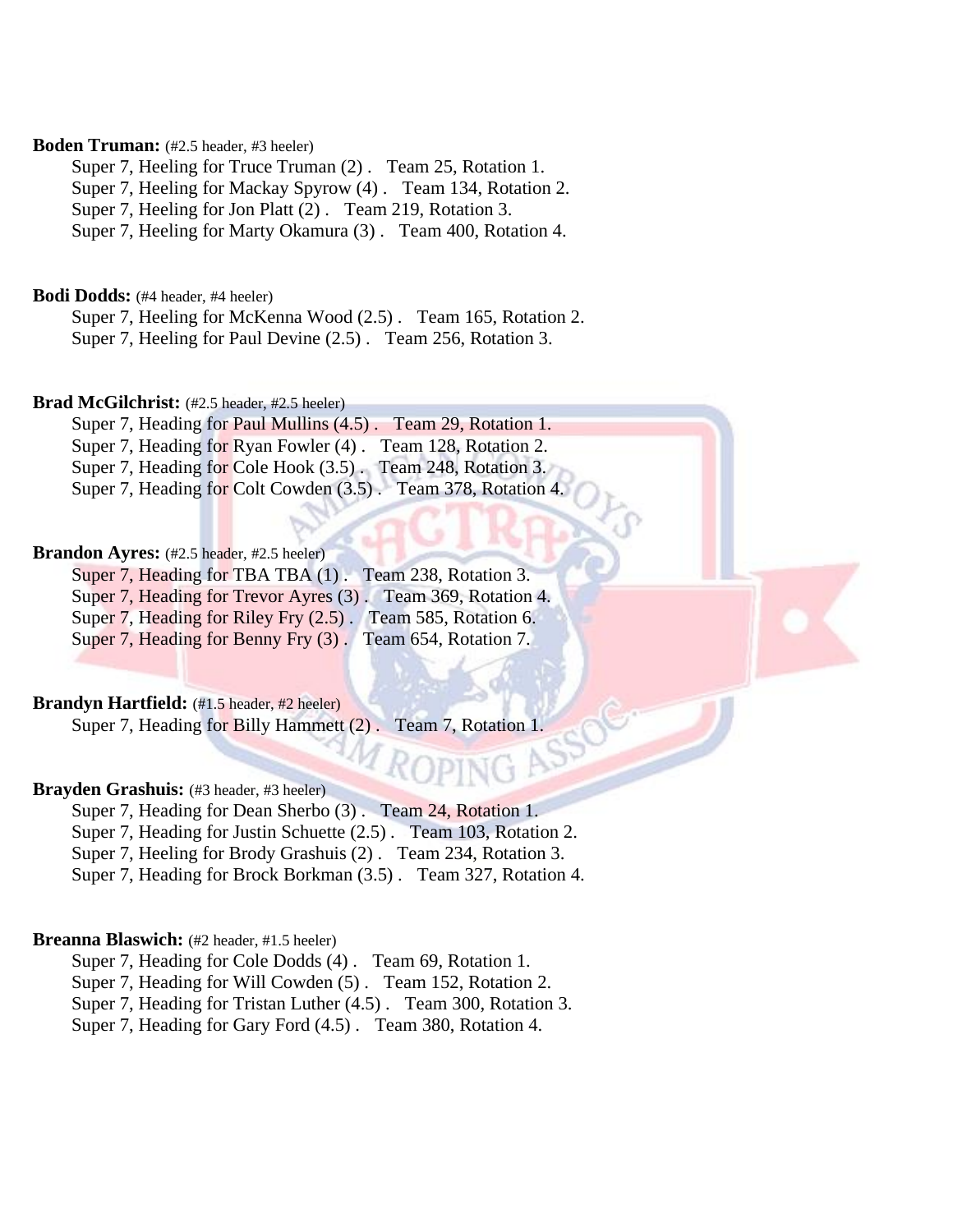# **Boden Truman:** (#2.5 header, #3 heeler)

Super 7, Heeling for Truce Truman (2) . Team 25, Rotation 1.

Super 7, Heeling for Mackay Spyrow (4) . Team 134, Rotation 2.

Super 7, Heeling for Jon Platt (2) . Team 219, Rotation 3.

Super 7, Heeling for Marty Okamura (3) . Team 400, Rotation 4.

**Bodi Dodds:** (#4 header, #4 heeler)

Super 7, Heeling for McKenna Wood (2.5) . Team 165, Rotation 2.

Super 7, Heeling for Paul Devine (2.5) . Team 256, Rotation 3.

# **Brad McGilchrist:** (#2.5 header, #2.5 heeler)

Super 7, Heading for Paul Mullins (4.5) . Team 29, Rotation 1. Super 7, Heading for Ryan Fowler (4). Team 128, Rotation 2. Super 7, Heading for Cole Hook (3.5). Team 248, Rotation 3. Super 7, Heading for Colt Cowden (3.5) . Team 378, Rotation 4.

### **Brandon Avres:** (#2.5 header, #2.5 heeler)

Super 7, Heading for TBA TBA (1). Team 238, Rotation 3. Super 7, Heading for Trevor Ayres (3) . Team 369, Rotation 4. Super 7, Heading for Riley Fry  $(2.5)$ . Team 585, Rotation 6. Super 7, Heading for Benny Fry (3). Team 654, Rotation 7.

# **Brandyn Hartfield:** (#1.5 header, #2 heeler)

Super 7, Heading for Billy Hammett (2). Team 7, Rotation 1.

# Brayden Grashuis: (#3 header, #3 heeler)

Super 7, Heading for Dean Sherbo (3) . Team 24, Rotation 1.

Super 7, Heading for Justin Schuette  $(2.5)$ . Team 103, Rotation 2.

Super 7, Heeling for Brody Grashuis (2) . Team 234, Rotation 3.

Super 7, Heading for Brock Borkman (3.5) . Team 327, Rotation 4.

### **Breanna Blaswich:** (#2 header, #1.5 heeler)

Super 7, Heading for Cole Dodds (4) . Team 69, Rotation 1.

Super 7, Heading for Will Cowden (5) . Team 152, Rotation 2.

Super 7, Heading for Tristan Luther (4.5) . Team 300, Rotation 3.

Super 7, Heading for Gary Ford (4.5) . Team 380, Rotation 4.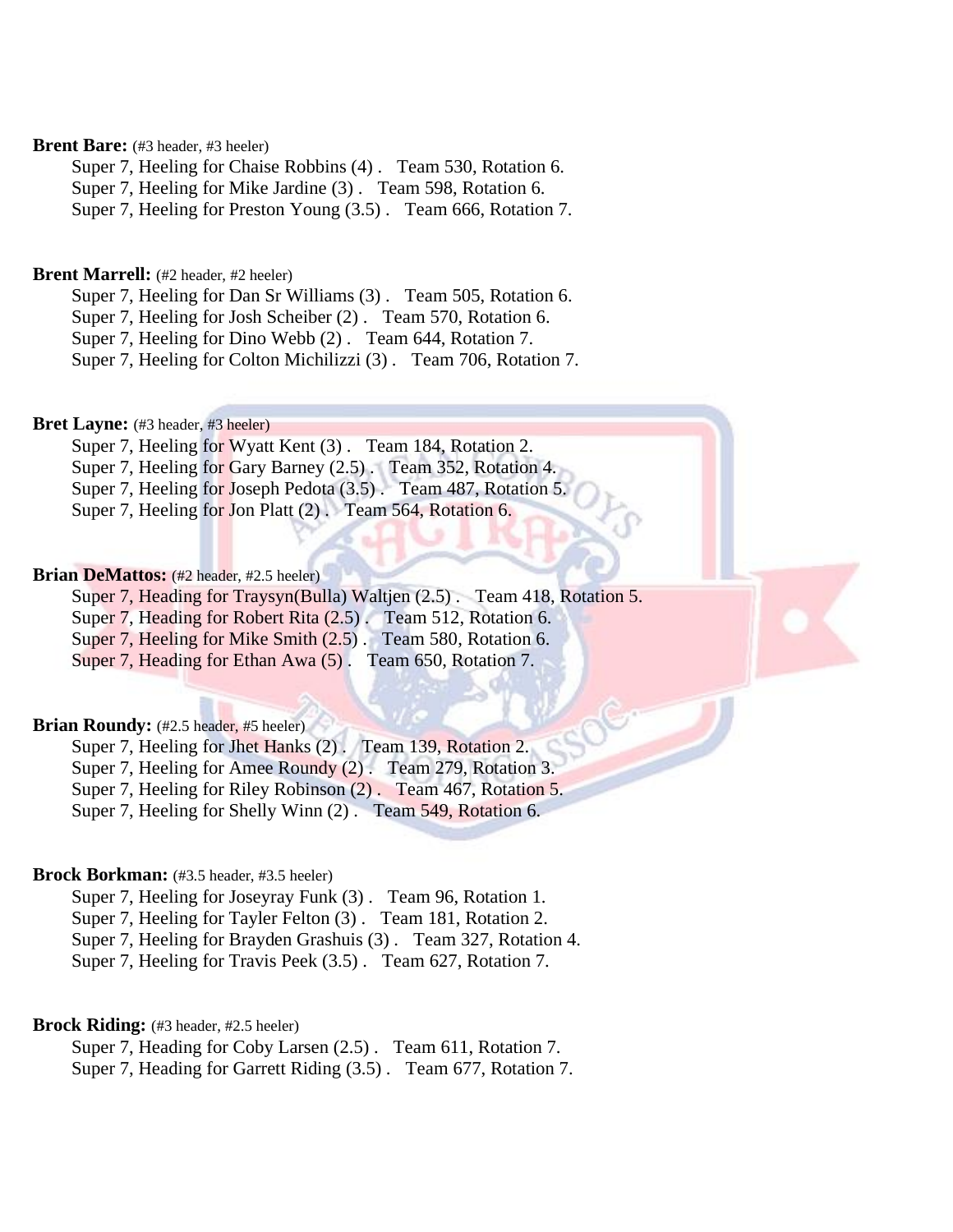# **Brent Bare:** (#3 header, #3 heeler)

Super 7, Heeling for Chaise Robbins (4) . Team 530, Rotation 6.

Super 7, Heeling for Mike Jardine (3) . Team 598, Rotation 6.

Super 7, Heeling for Preston Young (3.5) . Team 666, Rotation 7.

# **Brent Marrell:** (#2 header, #2 heeler)

Super 7, Heeling for Dan Sr Williams (3) . Team 505, Rotation 6.

Super 7, Heeling for Josh Scheiber (2) . Team 570, Rotation 6.

Super 7, Heeling for Dino Webb (2) . Team 644, Rotation 7.

Super 7, Heeling for Colton Michilizzi (3) . Team 706, Rotation 7.

### **Bret Layne:** (#3 header, #3 heeler)

Super 7, Heeling for Wyatt Kent (3) . Team 184, Rotation 2. Super 7, Heeling for Gary Barney (2.5) . Team 352, Rotation 4. Super 7, Heeling for Joseph Pedota (3.5) . Team 487, Rotation 5.

Super 7, Heeling for Jon Platt (2). Team 564, Rotation 6.

# Brian DeMattos: (#2 header, #2.5 heeler)

Super 7, Heading for Traysyn(Bulla) Waltjen (2.5). Team 418, Rotation 5.

Super 7, Heading for Robert Rita (2.5) . Team 512, Rotation 6.

Super 7, Heeling for Mike Smith (2.5) . Team 580, Rotation 6.

Super 7, Heading for Ethan Awa (5). Team 650, Rotation 7.

# Brian Roundy: (#2.5 header, #5 heeler)

Super 7, Heeling for Jhet Hanks (2). Team 139, Rotation 2.

Super 7, Heeling for Amee Roundy (2) . Team 279, Rotation 3.

Super 7, Heeling for Riley Robinson (2) . Team 467, Rotation 5.

Super 7, Heeling for Shelly Winn (2) . Team 549, Rotation 6.

# **Brock Borkman:** (#3.5 header, #3.5 heeler)

Super 7, Heeling for Joseyray Funk (3) . Team 96, Rotation 1. Super 7, Heeling for Tayler Felton (3) . Team 181, Rotation 2.

Super 7, Heeling for Brayden Grashuis (3) . Team 327, Rotation 4.

Super 7, Heeling for Travis Peek (3.5) . Team 627, Rotation 7.

# **Brock Riding:** (#3 header, #2.5 heeler)

Super 7, Heading for Coby Larsen (2.5) . Team 611, Rotation 7. Super 7, Heading for Garrett Riding (3.5) . Team 677, Rotation 7.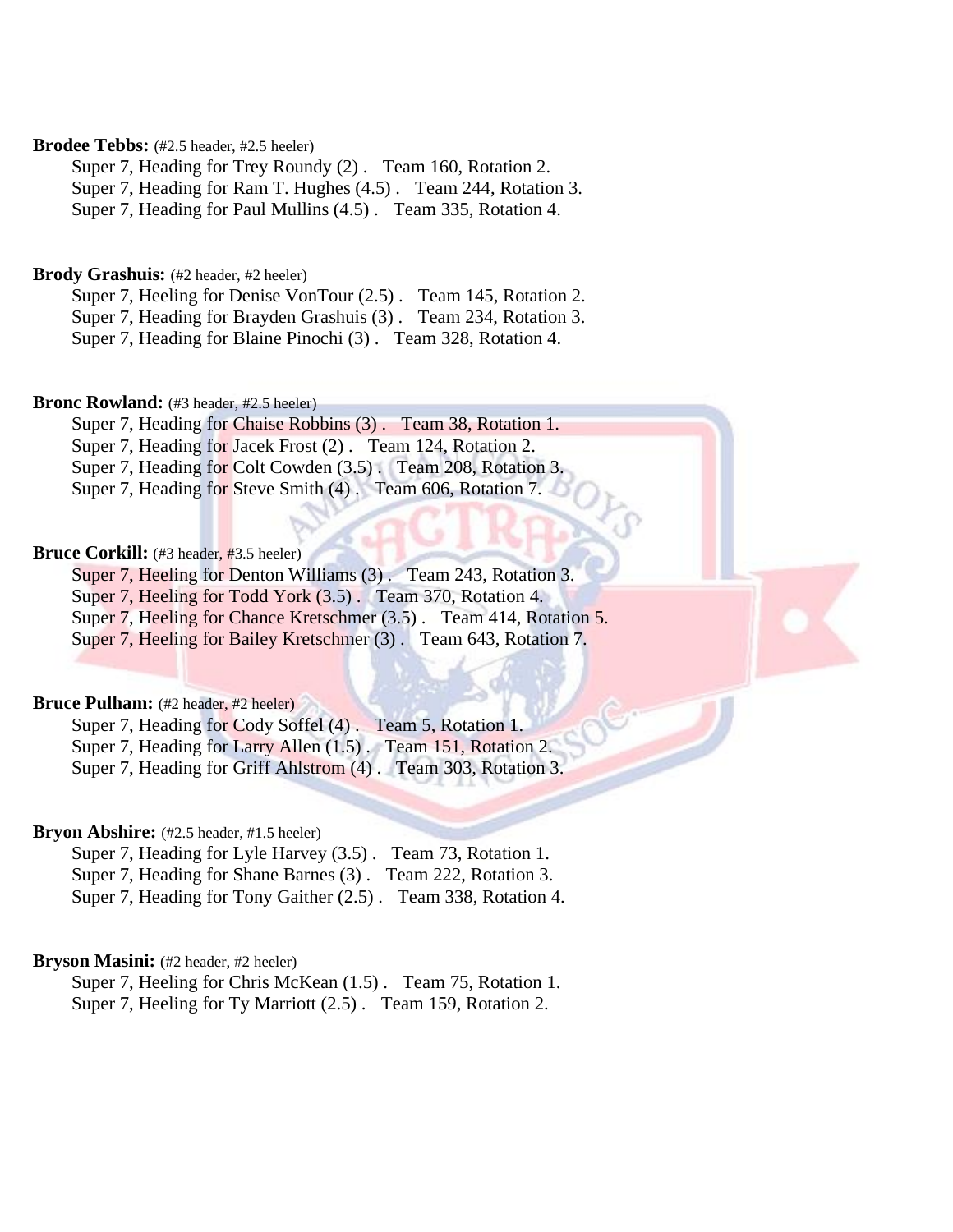# **Brodee Tebbs:** (#2.5 header, #2.5 heeler)

Super 7, Heading for Trey Roundy (2) . Team 160, Rotation 2. Super 7, Heading for Ram T. Hughes (4.5) . Team 244, Rotation 3.

Super 7, Heading for Paul Mullins (4.5) . Team 335, Rotation 4.

# Brody Grashuis: (#2 header, #2 heeler)

Super 7, Heeling for Denise VonTour (2.5) . Team 145, Rotation 2. Super 7, Heading for Brayden Grashuis (3) . Team 234, Rotation 3. Super 7, Heading for Blaine Pinochi (3) . Team 328, Rotation 4.

### **Bronc Rowland:** (#3 header, #2.5 heeler)

Super 7, Heading for Chaise Robbins (3). Team 38, Rotation 1. Super 7, Heading for Jacek Frost (2). Team 124, Rotation 2. Super 7, Heading for Colt Cowden (3.5). Team 208, Rotation 3. Super 7, Heading for Steve Smith (4). Team 606, Rotation 7.

# **Bruce Corkill:** (#3 header, #3.5 heeler)

Super 7, Heeling for Denton Williams (3). Team 243, Rotation 3.

Super 7, Heeling for Todd York (3.5) . Team 370, Rotation 4.

Super 7, Heeling for Chance Kretschmer (3.5). Team 414, Rotation 5.

Super 7, Heeling for Bailey Kretschmer (3) . Team 643, Rotation 7.

# **Bruce Pulham:** (#2 header, #2 heeler)

Super 7, Heading for Cody Soffel (4). Team 5, Rotation 1. Super 7, Heading for Larry Allen (1.5). Team 151, Rotation 2.

Super 7, Heading for Griff Ahlstrom (4) . Team 303, Rotation 3.

# Bryon Abshire: (#2.5 header, #1.5 heeler)

Super 7, Heading for Lyle Harvey (3.5). Team 73, Rotation 1. Super 7, Heading for Shane Barnes (3) . Team 222, Rotation 3. Super 7, Heading for Tony Gaither (2.5) . Team 338, Rotation 4.

# **Bryson Masini:** (#2 header, #2 heeler)

Super 7, Heeling for Chris McKean (1.5) . Team 75, Rotation 1. Super 7, Heeling for Ty Marriott (2.5) . Team 159, Rotation 2.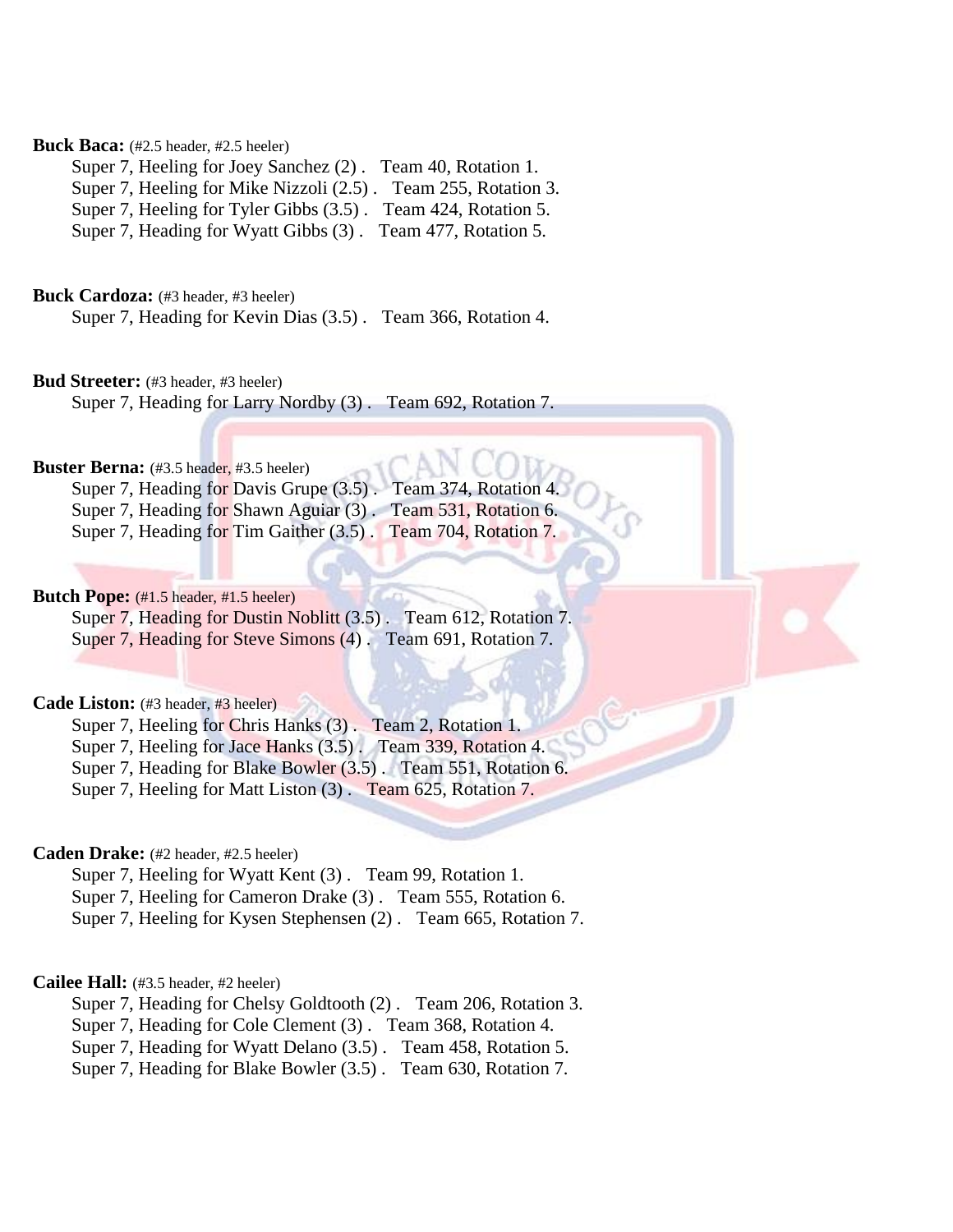# **Buck Baca:** (#2.5 header, #2.5 heeler)

Super 7, Heeling for Joey Sanchez (2) . Team 40, Rotation 1. Super 7, Heeling for Mike Nizzoli (2.5) . Team 255, Rotation 3. Super 7, Heeling for Tyler Gibbs (3.5) . Team 424, Rotation 5. Super 7, Heading for Wyatt Gibbs (3) . Team 477, Rotation 5.

Buck Cardoza: (#3 header, #3 heeler)

Super 7, Heading for Kevin Dias (3.5) . Team 366, Rotation 4.

**Bud Streeter:** (#3 header, #3 heeler)

Super 7, Heading for Larry Nordby (3) . Team 692, Rotation 7.

### **Buster Berna:** (#3.5 header, #3.5 heeler)

|  | Super 7, Heading for Davis Grupe (3.5). Team 374, Rotation 4. |
|--|---------------------------------------------------------------|
|  | Super 7, Heading for Shawn Aguiar (3). Team 531, Rotation 6.  |
|  | Super 7, Heading for Tim Gaither (3.5). Team 704, Rotation 7. |

# **Butch Pope:** (#1.5 header, #1.5 heeler)

Super 7, Heading for Dustin Noblitt (3.5) . Team 612, Rotation 7. Super 7, Heading for Steve Simons (4) . Team 691, Rotation 7.

# Cade Liston: (#3 header, #3 heeler)

Super 7, Heeling for Chris Hanks (3) . Team 2, Rotation 1. Super 7, Heeling for Jace Hanks (3.5) . Team 339, Rotation 4.

Super 7, Heading for Blake Bowler (3.5) . Team 551, Rotation 6.

Super 7, Heeling for Matt Liston (3) . Team 625, Rotation 7.

# **Caden Drake:** (#2 header, #2.5 heeler)

Super 7, Heeling for Wyatt Kent (3) . Team 99, Rotation 1.

Super 7, Heeling for Cameron Drake (3) . Team 555, Rotation 6.

Super 7, Heeling for Kysen Stephensen (2) . Team 665, Rotation 7.

# **Cailee Hall:** (#3.5 header, #2 heeler)

Super 7, Heading for Chelsy Goldtooth (2) . Team 206, Rotation 3.

Super 7, Heading for Cole Clement (3) . Team 368, Rotation 4.

Super 7, Heading for Wyatt Delano (3.5) . Team 458, Rotation 5.

Super 7, Heading for Blake Bowler (3.5) . Team 630, Rotation 7.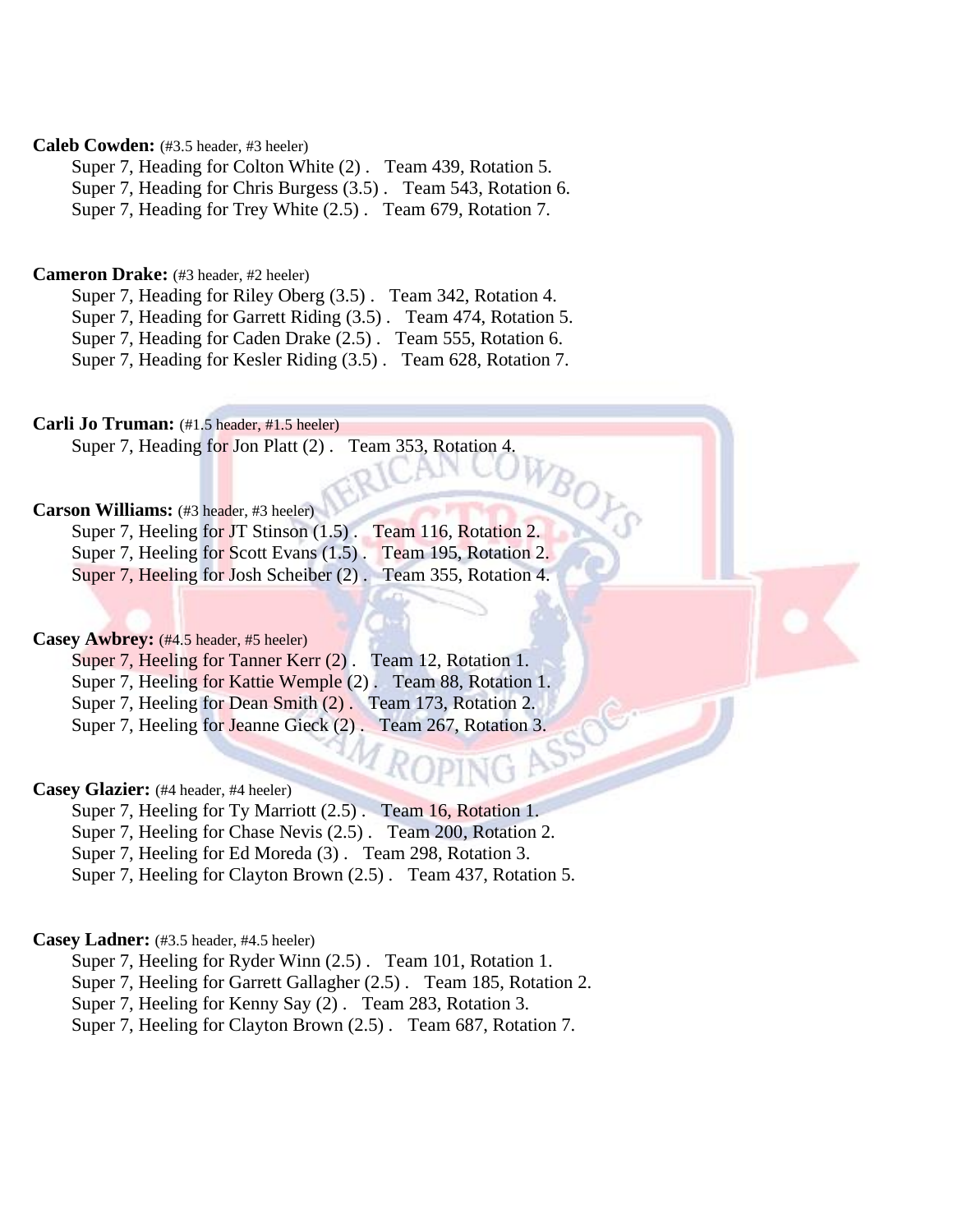# **Caleb Cowden:** (#3.5 header, #3 heeler)

Super 7, Heading for Colton White (2) . Team 439, Rotation 5. Super 7, Heading for Chris Burgess (3.5) . Team 543, Rotation 6. Super 7, Heading for Trey White (2.5) . Team 679, Rotation 7.

# **Cameron Drake:** (#3 header, #2 heeler)

Super 7, Heading for Riley Oberg (3.5) . Team 342, Rotation 4. Super 7, Heading for Garrett Riding (3.5) . Team 474, Rotation 5. Super 7, Heading for Caden Drake (2.5) . Team 555, Rotation 6. Super 7, Heading for Kesler Riding (3.5) . Team 628, Rotation 7.

# **Carli Jo Truman:** (#1.5 header, #1.5 heeler)

Super 7, Heading for Jon Platt (2) . Team 353, Rotation 4.

# **Carson Williams:** (#3 header, #3 heeler)

Super 7, Heeling for JT Stinson (1.5). Team 116, Rotation 2. Super 7, Heeling for Scott Evans (1.5). Team 195, Rotation 2. Super 7, Heeling for Josh Scheiber (2) . Team 355, Rotation 4.

### Casey Awbrey: (#4.5 header, #5 heeler)

Super 7, Heeling for Tanner Kerr (2) . Team 12, Rotation 1. Super 7, Heeling for Kattie Wemple (2) . Team 88, Rotation 1. Super 7, Heeling for Dean Smith (2). Team 173, Rotation 2. Super 7, Heeling for Jeanne Gieck (2). Team 267, Rotation 3.

# **Casey Glazier:** (#4 header, #4 heeler)

Super 7, Heeling for Ty Marriott (2.5) . Team 16, Rotation 1.

Super 7, Heeling for Chase Nevis (2.5) . Team 200, Rotation 2.

Super 7, Heeling for Ed Moreda (3) . Team 298, Rotation 3.

Super 7, Heeling for Clayton Brown (2.5) . Team 437, Rotation 5.

# **Casey Ladner:** (#3.5 header, #4.5 heeler)

Super 7, Heeling for Ryder Winn (2.5) . Team 101, Rotation 1.

Super 7, Heeling for Garrett Gallagher (2.5) . Team 185, Rotation 2.

Super 7, Heeling for Kenny Say (2) . Team 283, Rotation 3.

Super 7, Heeling for Clayton Brown (2.5) . Team 687, Rotation 7.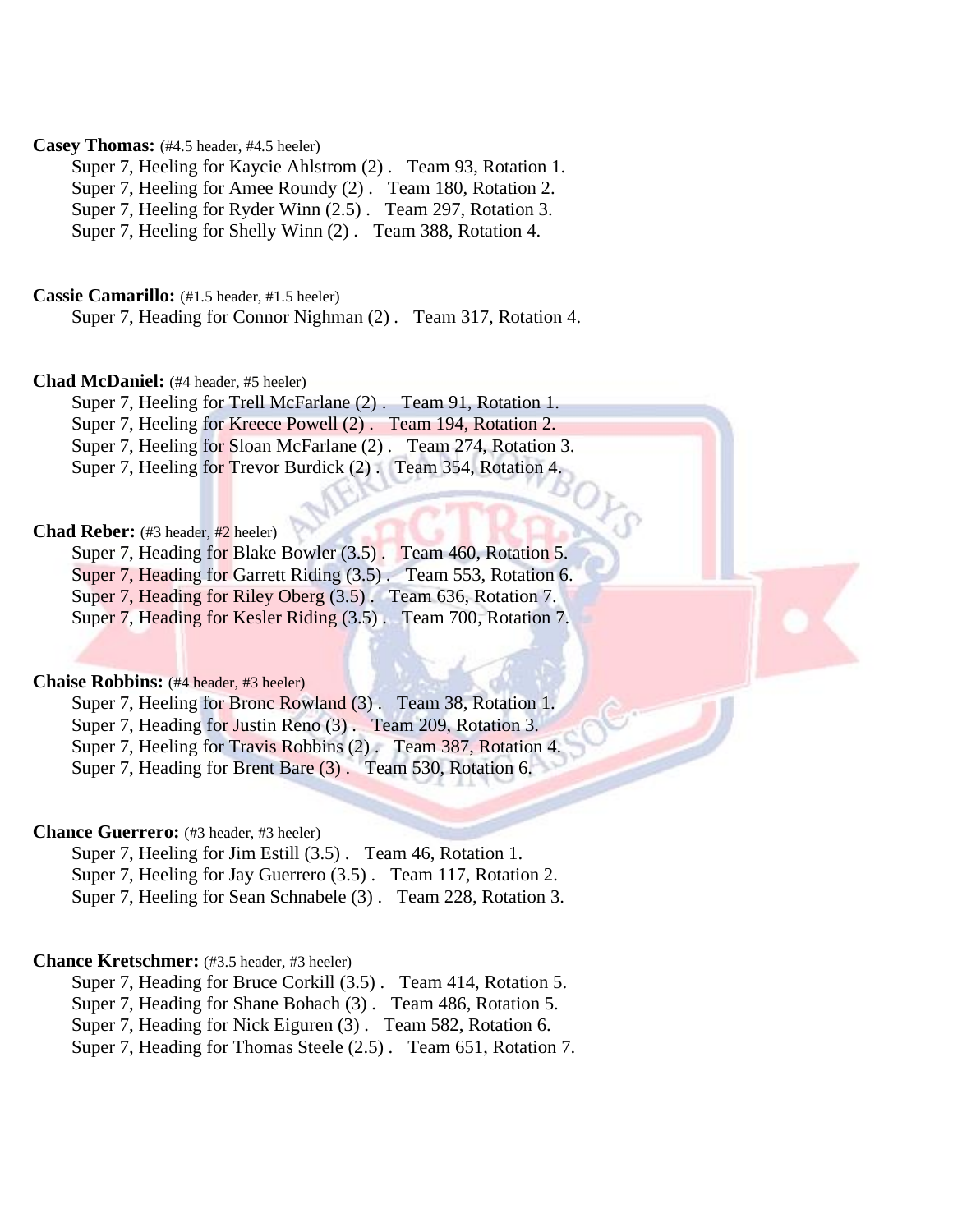# **Casey Thomas:** (#4.5 header, #4.5 heeler)

Super 7, Heeling for Kaycie Ahlstrom (2) . Team 93, Rotation 1. Super 7, Heeling for Amee Roundy (2) . Team 180, Rotation 2. Super 7, Heeling for Ryder Winn (2.5) . Team 297, Rotation 3.

Super 7, Heeling for Shelly Winn (2) . Team 388, Rotation 4.

**Cassie Camarillo:** (#1.5 header, #1.5 heeler)

Super 7, Heading for Connor Nighman (2) . Team 317, Rotation 4.

### **Chad McDaniel:** (#4 header, #5 heeler)

Super 7, Heeling for Trell McFarlane (2) . Team 91, Rotation 1.

Super 7, Heeling for Kreece Powell (2) . Team 194, Rotation 2.

Super 7, Heeling for Sloan McFarlane (2). Team 274, Rotation 3.

Super 7, Heeling for Trevor Burdick (2) . Team 354, Rotation 4.

# Chad Reber: (#3 header, #2 heeler)

Super 7, Heading for Blake Bowler (3.5) . Team 460, Rotation 5. Super 7, Heading for Garrett Riding (3.5) . Team 553, Rotation 6. Super 7, Heading for Riley Oberg (3.5) . Team 636, Rotation 7.

Super 7, Heading for Kesler Riding (3.5) . Team 700, Rotation 7.

### **Chaise Robbins:** (#4 header, #3 heeler)

Super 7, Heeling for Bronc Rowland (3) . Team 38, Rotation 1. Super 7, Heading for Justin Reno (3). Team 209, Rotation 3. Super 7, Heeling for Travis Robbins (2) . Team 387, Rotation 4. Super 7, Heading for Brent Bare (3) . Team 530, Rotation 6.

# **Chance Guerrero:** (#3 header, #3 heeler)

Super 7, Heeling for Jim Estill (3.5) . Team 46, Rotation 1. Super 7, Heeling for Jay Guerrero (3.5) . Team 117, Rotation 2. Super 7, Heeling for Sean Schnabele (3) . Team 228, Rotation 3.

### **Chance Kretschmer:** (#3.5 header, #3 heeler)

Super 7, Heading for Bruce Corkill (3.5) . Team 414, Rotation 5.

Super 7, Heading for Shane Bohach (3) . Team 486, Rotation 5.

Super 7, Heading for Nick Eiguren (3) . Team 582, Rotation 6.

Super 7, Heading for Thomas Steele (2.5) . Team 651, Rotation 7.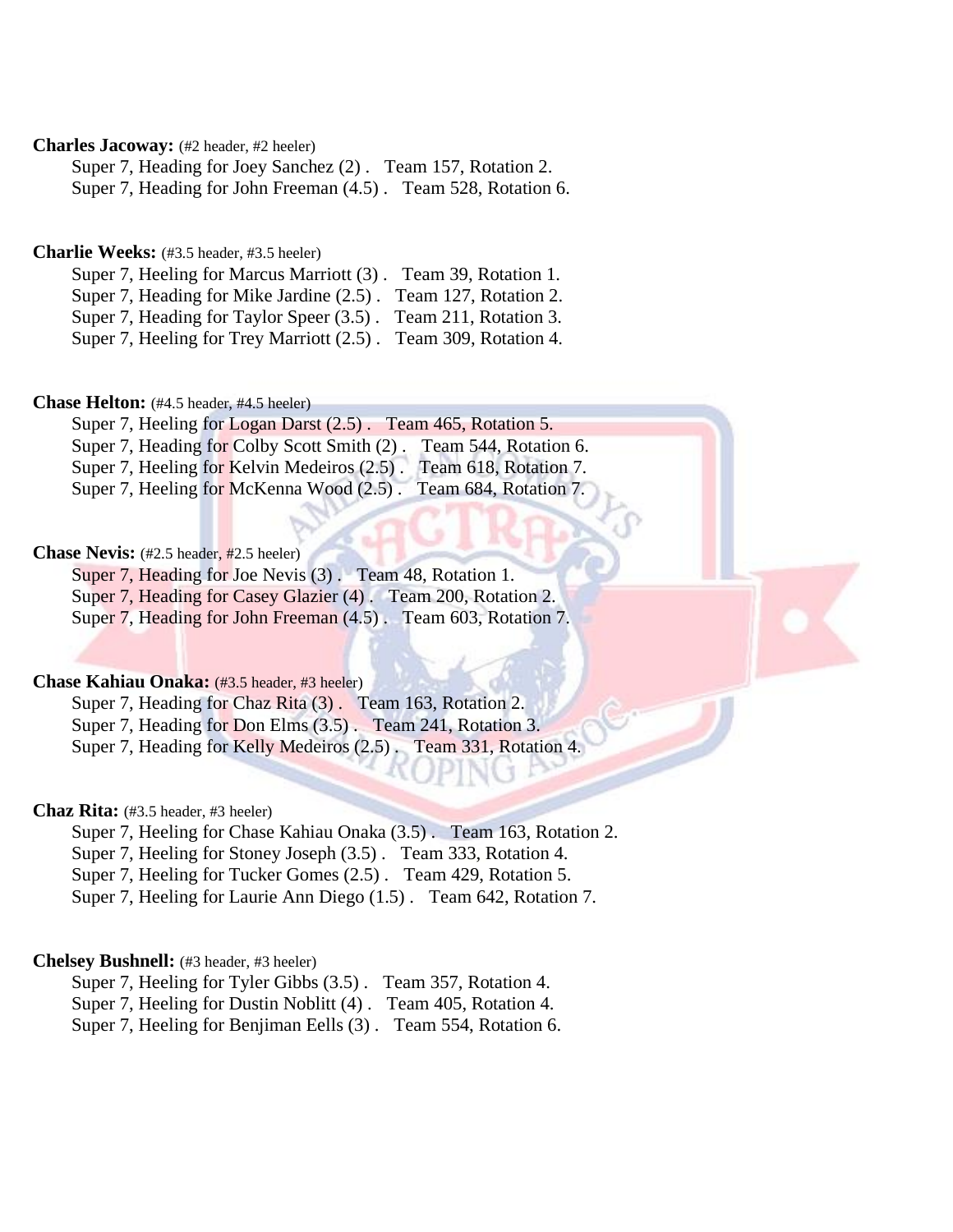# **Charles Jacoway:** (#2 header, #2 heeler)

Super 7, Heading for Joey Sanchez (2) . Team 157, Rotation 2. Super 7, Heading for John Freeman (4.5) . Team 528, Rotation 6.

# **Charlie Weeks:** (#3.5 header, #3.5 heeler)

| Super 7, Heeling for Marcus Marriott (3). Team 39, Rotation 1.  |  |
|-----------------------------------------------------------------|--|
| Super 7, Heading for Mike Jardine (2.5). Team 127, Rotation 2.  |  |
| Super 7, Heading for Taylor Speer (3.5). Team 211, Rotation 3.  |  |
| Super 7, Heeling for Trey Marriott (2.5). Team 309, Rotation 4. |  |

# **Chase Helton:** (#4.5 header, #4.5 heeler)

|  | Super 7, Heeling for Logan Darst (2.5). Team 465, Rotation 5.     |                       |
|--|-------------------------------------------------------------------|-----------------------|
|  | Super 7, Heading for Colby Scott Smith (2). Team 544, Rotation 6. |                       |
|  | Super 7, Heeling for Kelvin Medeiros (2.5).                       | Team 618, Rotation 7. |
|  | Super 7, Heeling for McKenna Wood (2.5)                           | Team 684, Rotation 7. |

### **Chase Nevis:** (#2.5 header, #2.5 heeler)

Super 7, Heading for Joe Nevis (3) . Team 48, Rotation 1. Super 7, Heading for Casey Glazier (4) . Team 200, Rotation 2. Super 7, Heading for John Freeman (4.5) . Team 603, Rotation 7.

### **Chase Kahiau Onaka:** (#3.5 header, #3 heeler)

Super 7, Heading for Chaz Rita (3) . Team 163, Rotation 2. Super 7, Heading for Don Elms (3.5). Team 241, Rotation 3. Super 7, Heading for Kelly Medeiros (2.5) . Team 331, Rotation 4.

### **Chaz Rita:** (#3.5 header, #3 heeler)

Super 7, Heeling for Chase Kahiau Onaka (3.5) . Team 163, Rotation 2.

Super 7, Heeling for Stoney Joseph (3.5) . Team 333, Rotation 4.

Super 7, Heeling for Tucker Gomes (2.5) . Team 429, Rotation 5.

Super 7, Heeling for Laurie Ann Diego (1.5) . Team 642, Rotation 7.

### **Chelsey Bushnell:** (#3 header, #3 heeler)

Super 7, Heeling for Tyler Gibbs (3.5) . Team 357, Rotation 4.

Super 7, Heeling for Dustin Noblitt (4) . Team 405, Rotation 4.

Super 7, Heeling for Benjiman Eells (3) . Team 554, Rotation 6.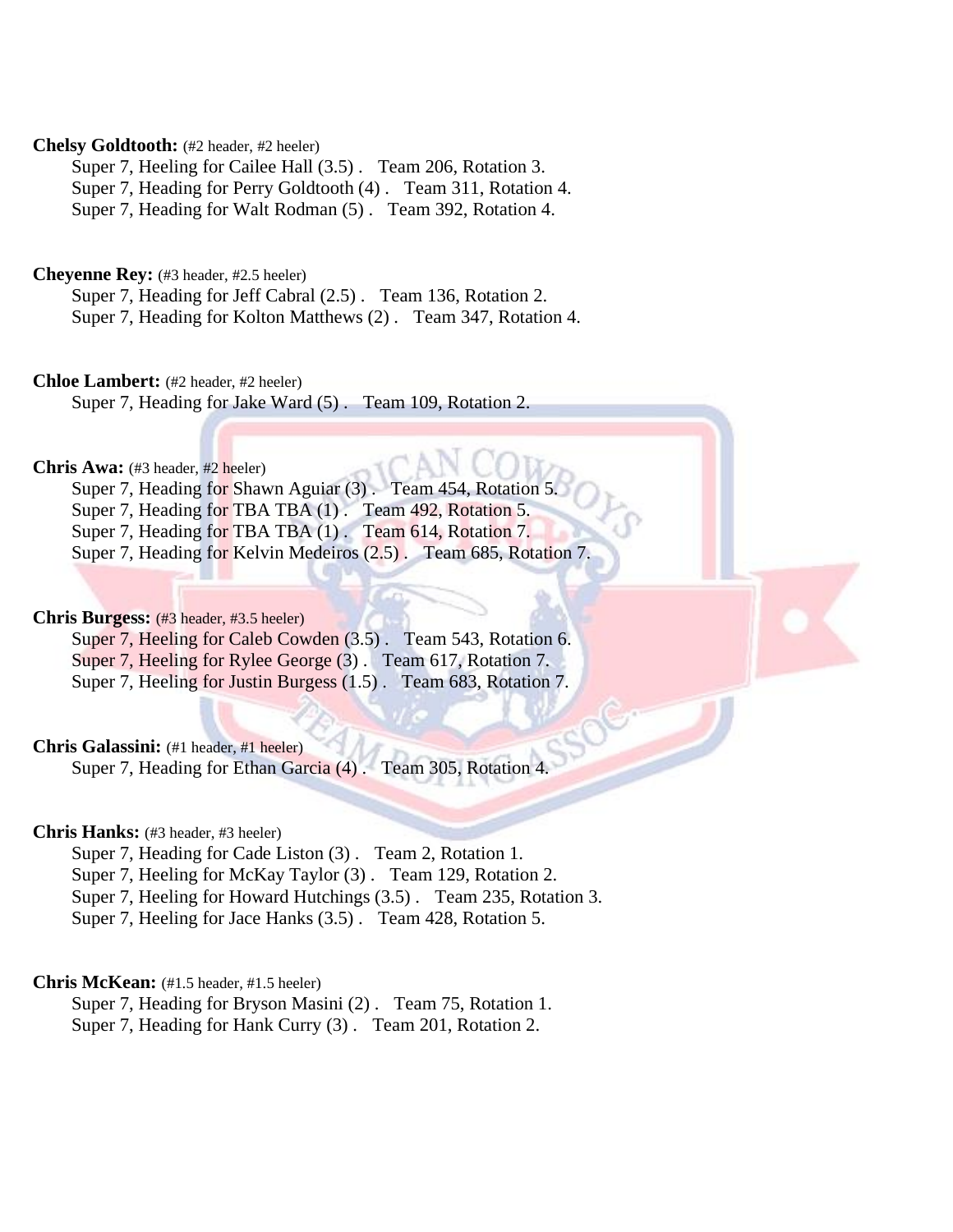# **Chelsy Goldtooth:** (#2 header, #2 heeler)

Super 7, Heeling for Cailee Hall (3.5) . Team 206, Rotation 3. Super 7, Heading for Perry Goldtooth (4) . Team 311, Rotation 4. Super 7, Heading for Walt Rodman (5) . Team 392, Rotation 4.

# **Cheyenne Rey:** (#3 header, #2.5 heeler)

Super 7, Heading for Jeff Cabral (2.5) . Team 136, Rotation 2. Super 7, Heading for Kolton Matthews (2) . Team 347, Rotation 4.

# **Chloe Lambert:** (#2 header, #2 heeler)

Super 7, Heading for Jake Ward (5) . Team 109, Rotation 2.

### **Chris Awa:** (#3 header, #2 heeler)

Super 7, Heading for Shawn Aguiar (3). Team 454, Rotation 3. Super 7, Heading for TBA TBA (1). Team 492, Rotation 5. Super 7, Heading for TBA TBA (1). Team 614, Rotation 7. Super 7, Heading for Kelvin Medeiros (2.5) . Team 685, Rotation 7.

# **Chris Burgess:** (#3 header, #3.5 heeler)

Super 7, Heeling for Caleb Cowden (3.5). Team 543, Rotation 6. Super 7, Heeling for Rylee George (3) . Team 617, Rotation 7. Super 7, Heeling for Justin Burgess (1.5) . Team 683, Rotation 7.

# **Chris Galassini:** (#1 header, #1 heeler)

Super 7, Heading for Ethan Garcia (4) . Team 305, Rotation 4.

# **Chris Hanks:** (#3 header, #3 heeler)

Super 7, Heading for Cade Liston (3) . Team 2, Rotation 1.

- Super 7, Heeling for McKay Taylor (3) . Team 129, Rotation 2.
- Super 7, Heeling for Howard Hutchings (3.5) . Team 235, Rotation 3.

Super 7, Heeling for Jace Hanks (3.5) . Team 428, Rotation 5.

# **Chris McKean:** (#1.5 header, #1.5 heeler)

Super 7, Heading for Bryson Masini (2) . Team 75, Rotation 1. Super 7, Heading for Hank Curry (3) . Team 201, Rotation 2.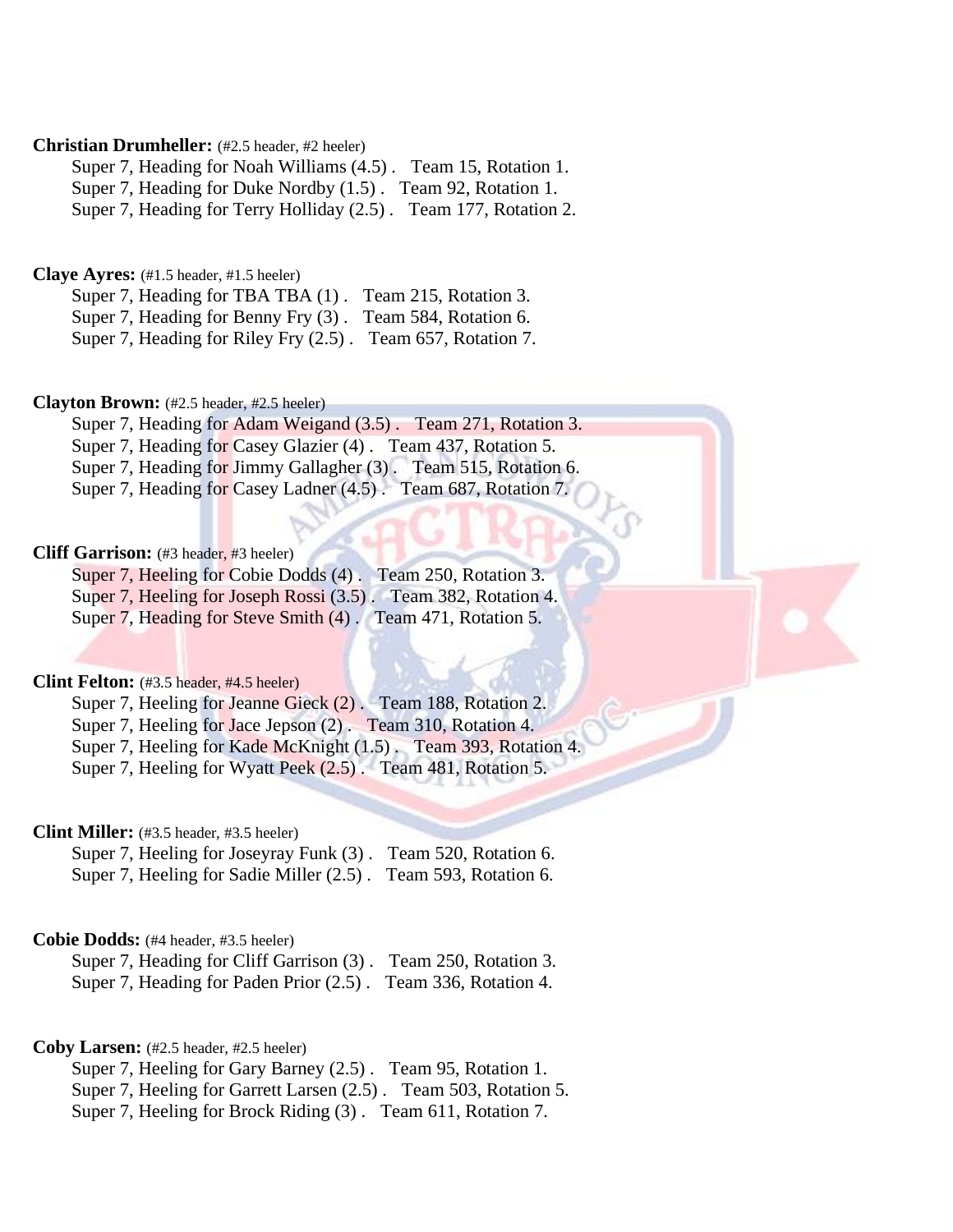## **Christian Drumheller:** (#2.5 header, #2 heeler)

Super 7, Heading for Noah Williams (4.5) . Team 15, Rotation 1. Super 7, Heading for Duke Nordby (1.5) . Team 92, Rotation 1. Super 7, Heading for Terry Holliday (2.5) . Team 177, Rotation 2.

# **Claye Ayres:** (#1.5 header, #1.5 heeler)

Super 7, Heading for TBA TBA (1). Team 215, Rotation 3. Super 7, Heading for Benny Fry (3) . Team 584, Rotation 6. Super 7, Heading for Riley Fry (2.5) . Team 657, Rotation 7.

# **Clayton Brown:** (#2.5 header, #2.5 heeler)

Super 7, Heading for Adam Weigand (3.5) . Team 271, Rotation 3. Super 7, Heading for Casey Glazier (4) . Team 437, Rotation 5. Super 7, Heading for Jimmy Gallagher (3) . Team 515, Rotation 6. Super 7, Heading for Casey Ladner (4.5) . Team 687, Rotation 7.

### **Cliff Garrison:** (#3 header, #3 heeler)

Super 7, Heeling for Cobie Dodds (4). Team 250, Rotation 3. Super 7, Heeling for Joseph Rossi (3.5) . Team 382, Rotation 4. Super 7, Heading for Steve Smith (4) . Team 471, Rotation 5.

### **Clint Felton:** (#3.5 header, #4.5 heeler)

Super 7, Heeling for Jeanne Gieck (2). Team 188, Rotation 2.

Super 7, Heeling for Jace Jepson (2). Team 310, Rotation 4.

Super 7, Heeling for Kade McKnight (1.5). Team 393, Rotation 4.

Super 7, Heeling for Wyatt Peek  $(2.5)$ . Team 481, Rotation 5.

# **Clint Miller:** (#3.5 header, #3.5 heeler)

Super 7, Heeling for Joseyray Funk (3) . Team 520, Rotation 6. Super 7, Heeling for Sadie Miller (2.5) . Team 593, Rotation 6.

# **Cobie Dodds:** (#4 header, #3.5 heeler)

Super 7, Heading for Cliff Garrison (3) . Team 250, Rotation 3. Super 7, Heading for Paden Prior (2.5) . Team 336, Rotation 4.

### **Coby Larsen:** (#2.5 header, #2.5 heeler)

Super 7, Heeling for Gary Barney (2.5) . Team 95, Rotation 1. Super 7, Heeling for Garrett Larsen (2.5) . Team 503, Rotation 5. Super 7, Heeling for Brock Riding (3) . Team 611, Rotation 7.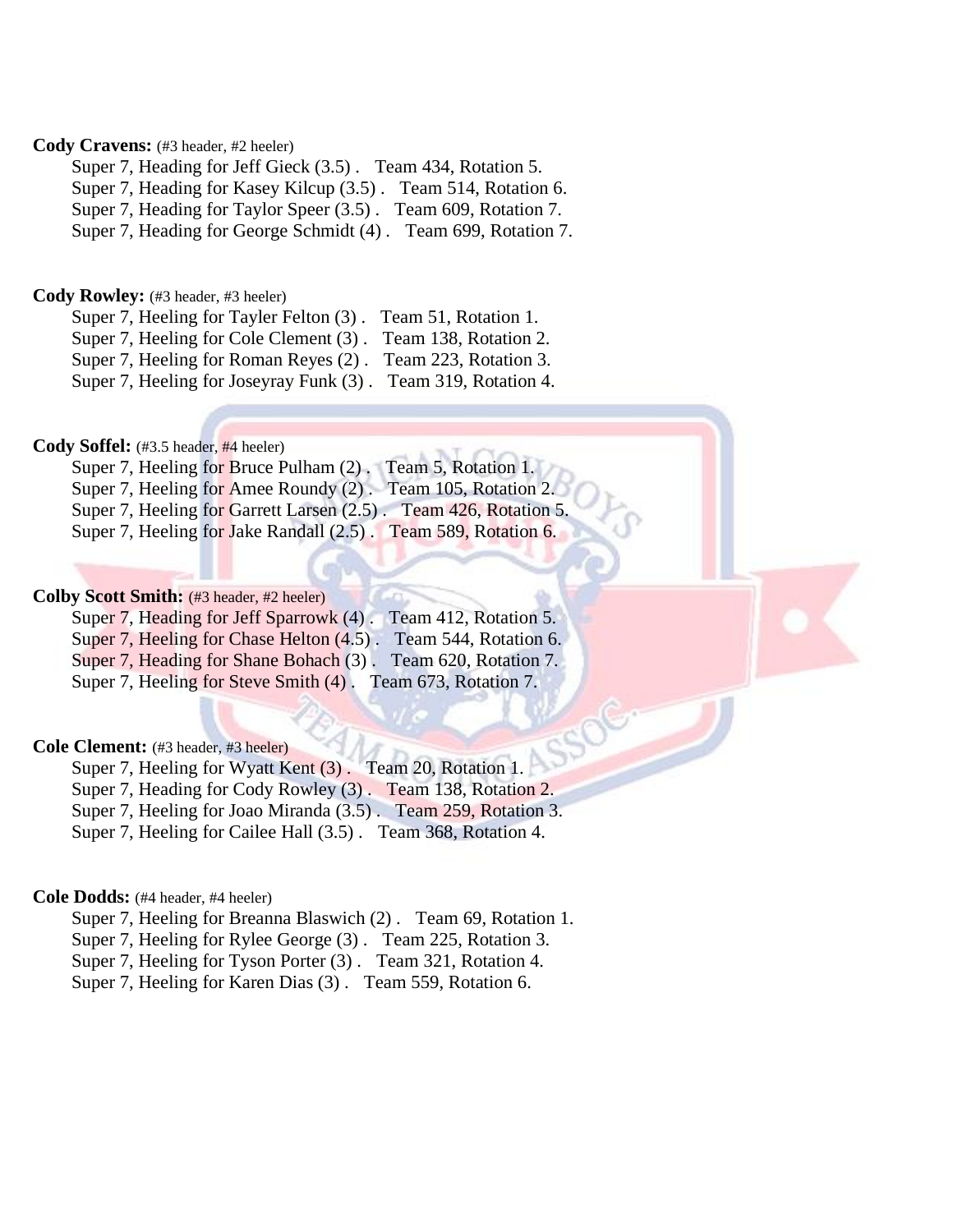# **Cody Cravens:** (#3 header, #2 heeler)

Super 7, Heading for Jeff Gieck (3.5) . Team 434, Rotation 5.

Super 7, Heading for Kasey Kilcup (3.5) . Team 514, Rotation 6.

Super 7, Heading for Taylor Speer (3.5) . Team 609, Rotation 7.

Super 7, Heading for George Schmidt (4) . Team 699, Rotation 7.

### **Cody Rowley:** (#3 header, #3 heeler)

Super 7, Heeling for Tayler Felton (3) . Team 51, Rotation 1.

Super 7, Heeling for Cole Clement (3) . Team 138, Rotation 2.

Super 7, Heeling for Roman Reyes (2) . Team 223, Rotation 3.

Super 7, Heeling for Joseyray Funk (3) . Team 319, Rotation 4.

# **Cody Soffel:** (#3.5 header, #4 heeler)

|  | Super 7, Heeling for Bruce Pulham (2). Team 5, Rotation 1. |                                                                  |
|--|------------------------------------------------------------|------------------------------------------------------------------|
|  |                                                            | Super 7, Heeling for Amee Roundy (2). Team 105, Rotation 2.      |
|  |                                                            | Super 7, Heeling for Garrett Larsen (2.5). Team 426, Rotation 5. |
|  | Super 7, Heeling for Jake Randall $(2.5)$ .                | Team 589, Rotation 6.                                            |

# **Colby Scott Smith:** (#3 header, #2 heeler)

| Super 7, Heading for Jeff Sparrowk (4).                      | Team 412, Rotation 5. |
|--------------------------------------------------------------|-----------------------|
| Super 7, Heeling for Chase Helton (4.5).                     | Team 544, Rotation 6. |
| Super 7, Heading for Shane Bohach (3). Team 620, Rotation 7. |                       |
| Super 7, Heeling for Steve Smith (4).                        | Team 673, Rotation 7. |

### **Cole Clement:** (#3 header, #3 heeler)

Super 7, Heeling for Wyatt Kent (3) . Team 20, Rotation 1.

Super 7, Heading for Cody Rowley (3) . Team 138, Rotation 2.

Super 7, Heeling for Joao Miranda (3.5) . Team 259, Rotation 3.

Super 7, Heeling for Cailee Hall (3.5) . Team 368, Rotation 4.

### **Cole Dodds:** (#4 header, #4 heeler)

Super 7, Heeling for Breanna Blaswich (2) . Team 69, Rotation 1. Super 7, Heeling for Rylee George (3) . Team 225, Rotation 3. Super 7, Heeling for Tyson Porter (3). Team 321, Rotation 4. Super 7, Heeling for Karen Dias (3) . Team 559, Rotation 6.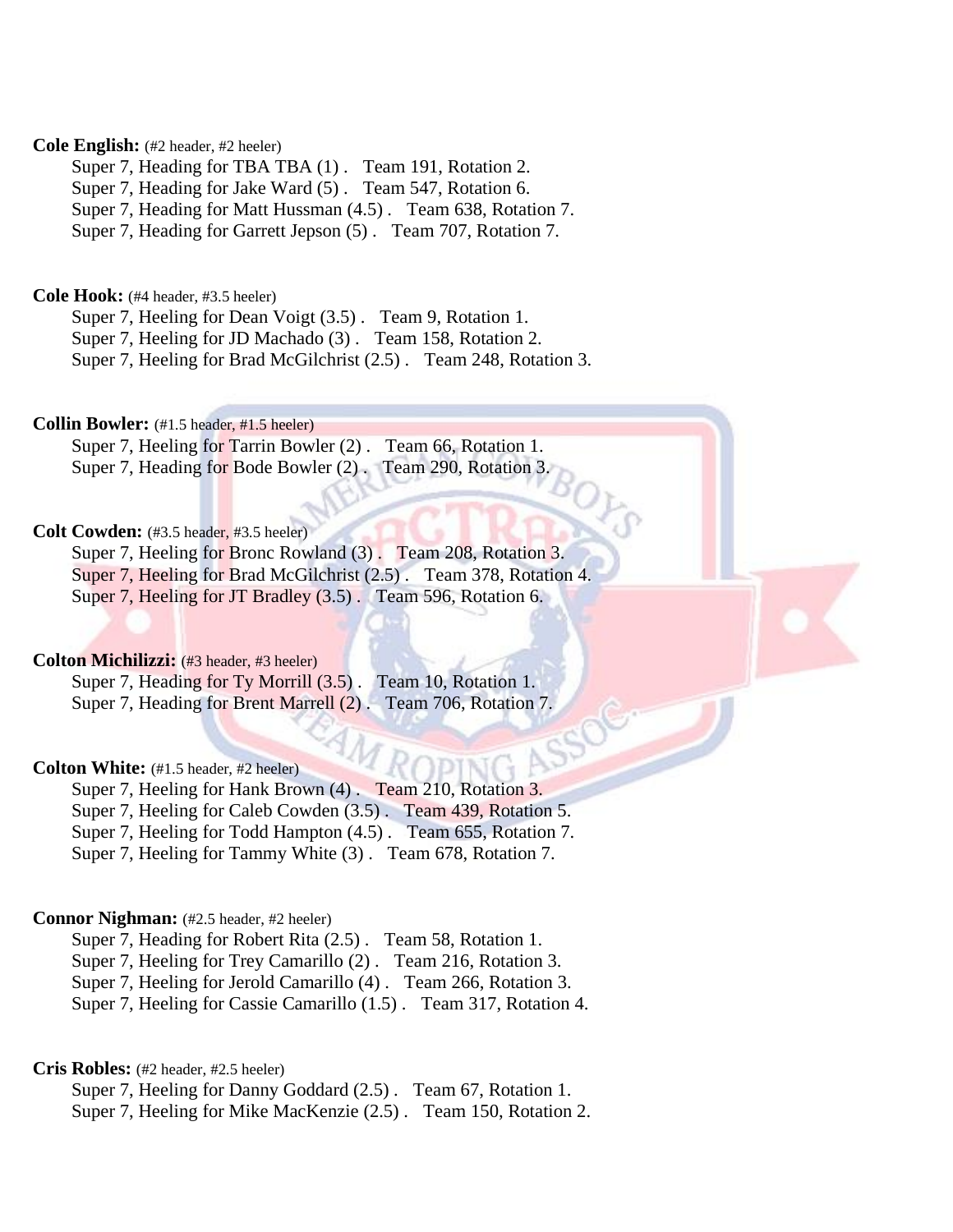# **Cole English:** (#2 header, #2 heeler)

Super 7, Heading for TBA TBA  $(1)$ . Team 191, Rotation 2.

Super 7, Heading for Jake Ward (5) . Team 547, Rotation 6.

Super 7, Heading for Matt Hussman (4.5) . Team 638, Rotation 7.

Super 7, Heading for Garrett Jepson (5) . Team 707, Rotation 7.

**Cole Hook:** (#4 header, #3.5 heeler)

Super 7, Heeling for Dean Voigt (3.5) . Team 9, Rotation 1. Super 7, Heeling for JD Machado (3) . Team 158, Rotation 2. Super 7, Heeling for Brad McGilchrist (2.5) . Team 248, Rotation 3.

**Collin Bowler:** (#1.5 header, #1.5 heeler)

Super 7, Heeling for Tarrin Bowler (2). Team 66, Rotation 1. Super 7, Heading for Bode Bowler (2) . Team 290, Rotation 3.

# **Colt Cowden:** (#3.5 header, #3.5 heeler)

Super 7, Heeling for Bronc Rowland (3). Team 208, Rotation 3. Super 7, Heeling for Brad McGilchrist (2.5) . Team 378, Rotation 4. Super 7, Heeling for JT Bradley (3.5). Team 596, Rotation 6.

# **Colton Michilizzi:** (#3 header, #3 heeler)

Super 7, Heading for Ty Morrill (3.5) . Team 10, Rotation 1. Super 7, Heading for Brent Marrell (2) . Team 706, Rotation 7.

# **Colton White:** (#1.5 header, #2 heeler)

Super 7, Heeling for Hank Brown (4). Team 210, Rotation 3. Super 7, Heeling for Caleb Cowden (3.5) . Team 439, Rotation 5. Super 7, Heeling for Todd Hampton (4.5) . Team 655, Rotation 7. Super 7, Heeling for Tammy White (3) . Team 678, Rotation 7.

# **Connor Nighman:** (#2.5 header, #2 heeler)

Super 7, Heading for Robert Rita (2.5) . Team 58, Rotation 1. Super 7, Heeling for Trey Camarillo (2) . Team 216, Rotation 3. Super 7, Heeling for Jerold Camarillo (4) . Team 266, Rotation 3.

Super 7, Heeling for Cassie Camarillo (1.5) . Team 317, Rotation 4.

**Cris Robles:** (#2 header, #2.5 heeler)

Super 7, Heeling for Danny Goddard (2.5) . Team 67, Rotation 1. Super 7, Heeling for Mike MacKenzie (2.5) . Team 150, Rotation 2.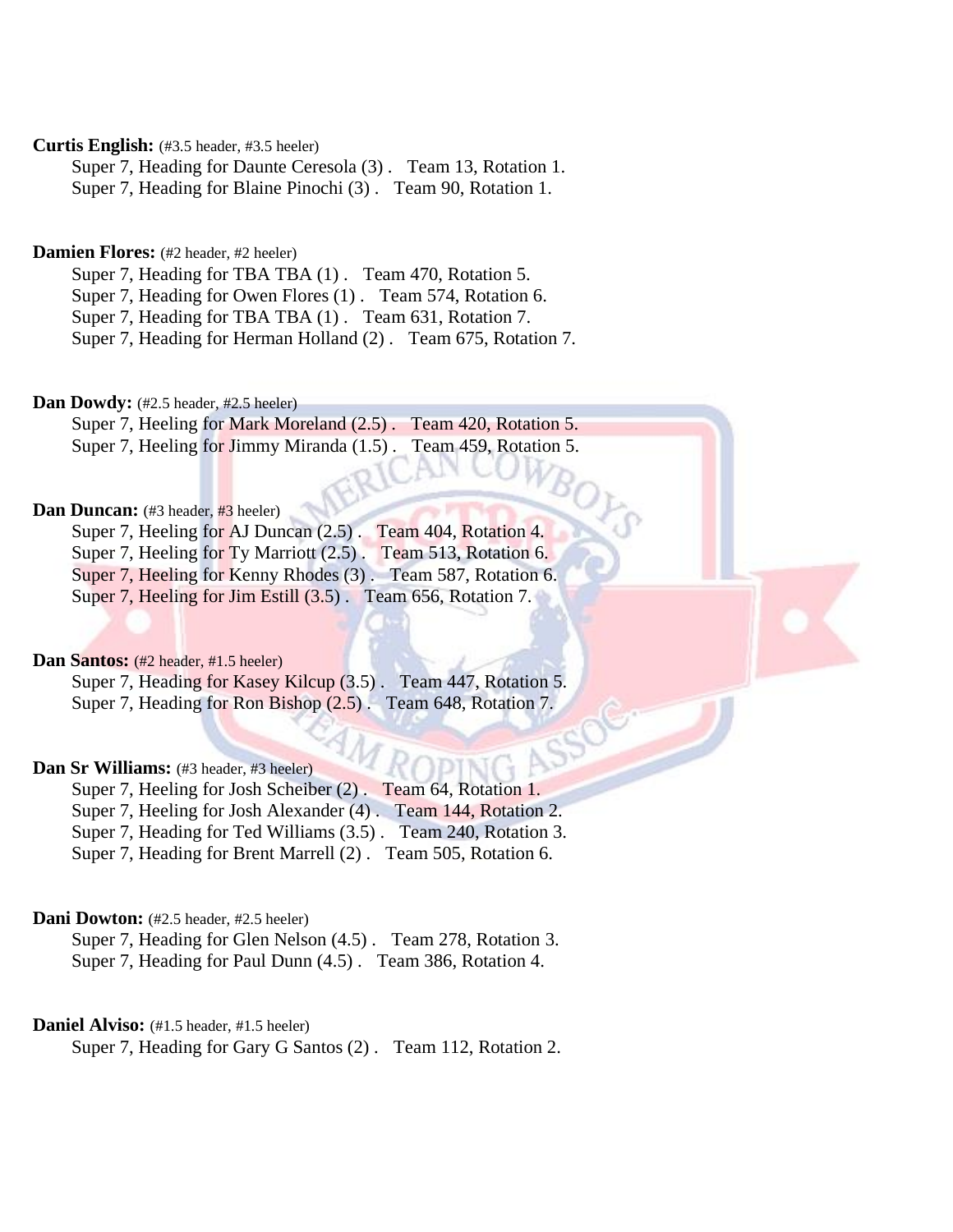# **Curtis English:** (#3.5 header, #3.5 heeler)

Super 7, Heading for Daunte Ceresola (3) . Team 13, Rotation 1. Super 7, Heading for Blaine Pinochi (3) . Team 90, Rotation 1.

# Damien Flores: (#2 header, #2 heeler)

Super 7, Heading for TBA TBA (1). Team 470, Rotation 5. Super 7, Heading for Owen Flores (1) . Team 574, Rotation 6. Super 7, Heading for TBA TBA  $(1)$ . Team 631, Rotation 7.

Super 7, Heading for Herman Holland (2) . Team 675, Rotation 7.

# Dan Dowdy: (#2.5 header, #2.5 heeler)

Super 7, Heeling for Mark Moreland (2.5). Team 420, Rotation 5. Super 7, Heeling for Jimmy Miranda (1.5). Team 459, Rotation 5.

# **Dan Duncan:** (#3 header, #3 heeler)

Super 7, Heeling for AJ Duncan (2.5) . Team 404, Rotation 4. Super 7, Heeling for Ty Marriott (2.5). Team 513, Rotation 6. Super 7, Heeling for Kenny Rhodes (3) . Team 587, Rotation 6.

Super 7, Heeling for Jim Estill (3.5). Team 656, Rotation 7.

# **Dan Santos:** (#2 header, #1.5 heeler)

Super 7, Heading for Kasey Kilcup (3.5) . Team 447, Rotation 5. Super 7, Heading for Ron Bishop  $(2.5)$ . Team 648, Rotation 7.

### **Dan Sr Williams:** (#3 header, #3 heeler)

Super 7, Heeling for Josh Scheiber (2) . Team 64, Rotation 1. Super 7, Heeling for Josh Alexander (4) . Team 144, Rotation 2. Super 7, Heading for Ted Williams (3.5) . Team 240, Rotation 3. Super 7, Heading for Brent Marrell (2) . Team 505, Rotation 6.

# **Dani Dowton:** (#2.5 header, #2.5 heeler)

Super 7, Heading for Glen Nelson (4.5) . Team 278, Rotation 3. Super 7, Heading for Paul Dunn (4.5) . Team 386, Rotation 4.

# Daniel Alviso: (#1.5 header, #1.5 heeler)

Super 7, Heading for Gary G Santos (2) . Team 112, Rotation 2.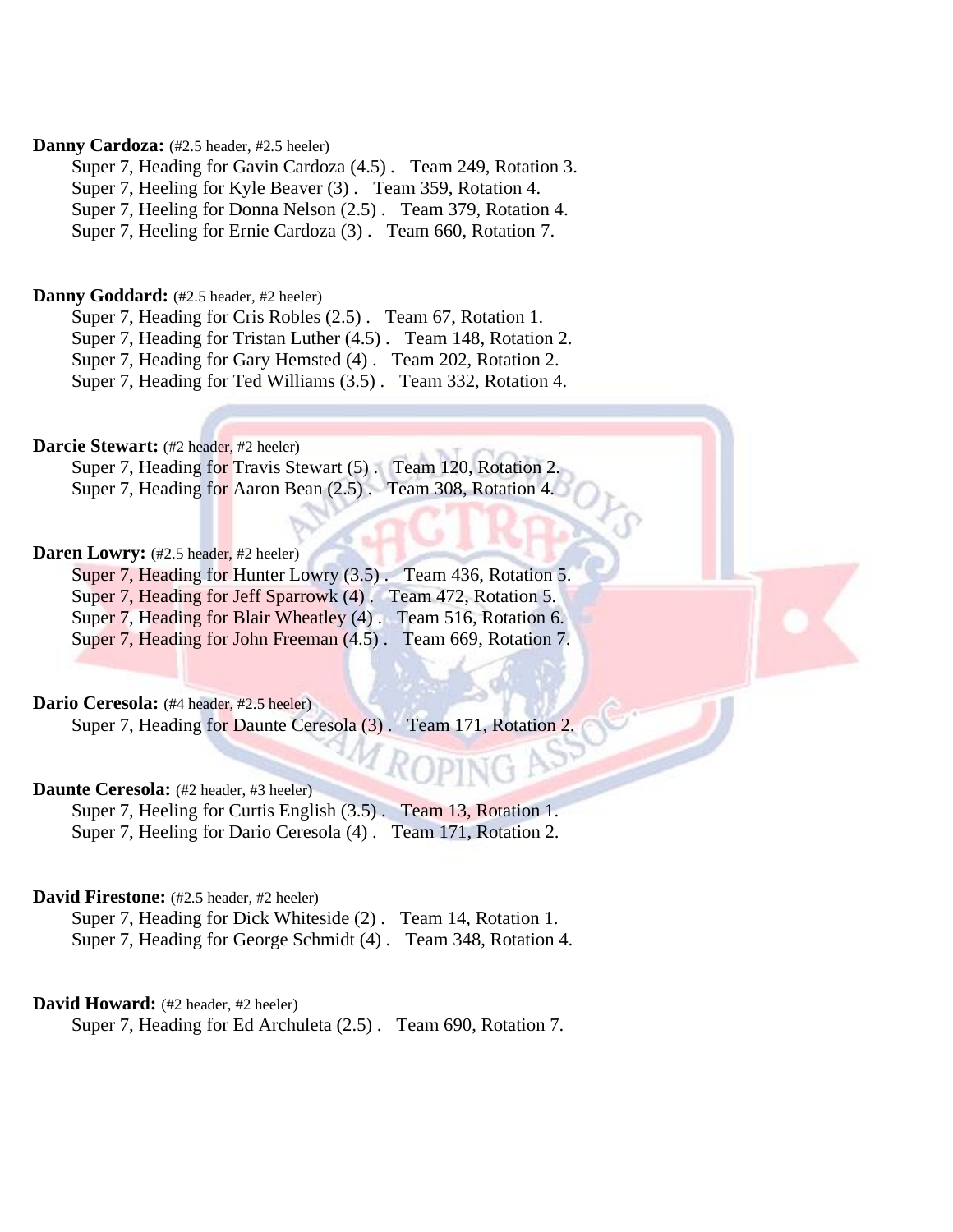# Danny Cardoza: (#2.5 header, #2.5 heeler)

Super 7, Heading for Gavin Cardoza (4.5) . Team 249, Rotation 3. Super 7, Heeling for Kyle Beaver (3) . Team 359, Rotation 4. Super 7, Heeling for Donna Nelson (2.5) . Team 379, Rotation 4. Super 7, Heeling for Ernie Cardoza (3) . Team 660, Rotation 7.

### Danny Goddard: (#2.5 header, #2 heeler)

Super 7, Heading for Cris Robles (2.5) . Team 67, Rotation 1.

Super 7, Heading for Tristan Luther (4.5) . Team 148, Rotation 2.

Super 7, Heading for Gary Hemsted (4) . Team 202, Rotation 2.

Super 7, Heading for Ted Williams (3.5) . Team 332, Rotation 4.

# Darcie Stewart: (#2 header, #2 heeler)

Super 7, Heading for Travis Stewart (5) . Team 120, Rotation 2. Super 7, Heading for Aaron Bean  $(2.5)$ . Team 308, Rotation 4.

### **Daren Lowry:** (#2.5 header, #2 heeler)

Super 7, Heading for Hunter Lowry (3.5). Team 436, Rotation 5. Super 7, Heading for Jeff Sparrowk (4). Team 472, Rotation 5. Super 7, Heading for Blair Wheatley (4) . Team 516, Rotation 6. Super 7, Heading for John Freeman (4.5). Team 669, Rotation 7.

# Dario Ceresola: (#4 header, #2.5 heeler)

Super 7, Heading for Daunte Ceresola (3). Team 171, Rotation 2.

# **Daunte Ceresola:** (#2 header, #3 heeler)

Super 7, Heeling for Curtis English (3.5) . Team 13, Rotation 1. Super 7, Heeling for Dario Ceresola (4) . Team 171, Rotation 2.

# **David Firestone:** (#2.5 header, #2 heeler)

Super 7, Heading for Dick Whiteside (2) . Team 14, Rotation 1. Super 7, Heading for George Schmidt (4) . Team 348, Rotation 4.

# David Howard: (#2 header, #2 heeler)

Super 7, Heading for Ed Archuleta (2.5) . Team 690, Rotation 7.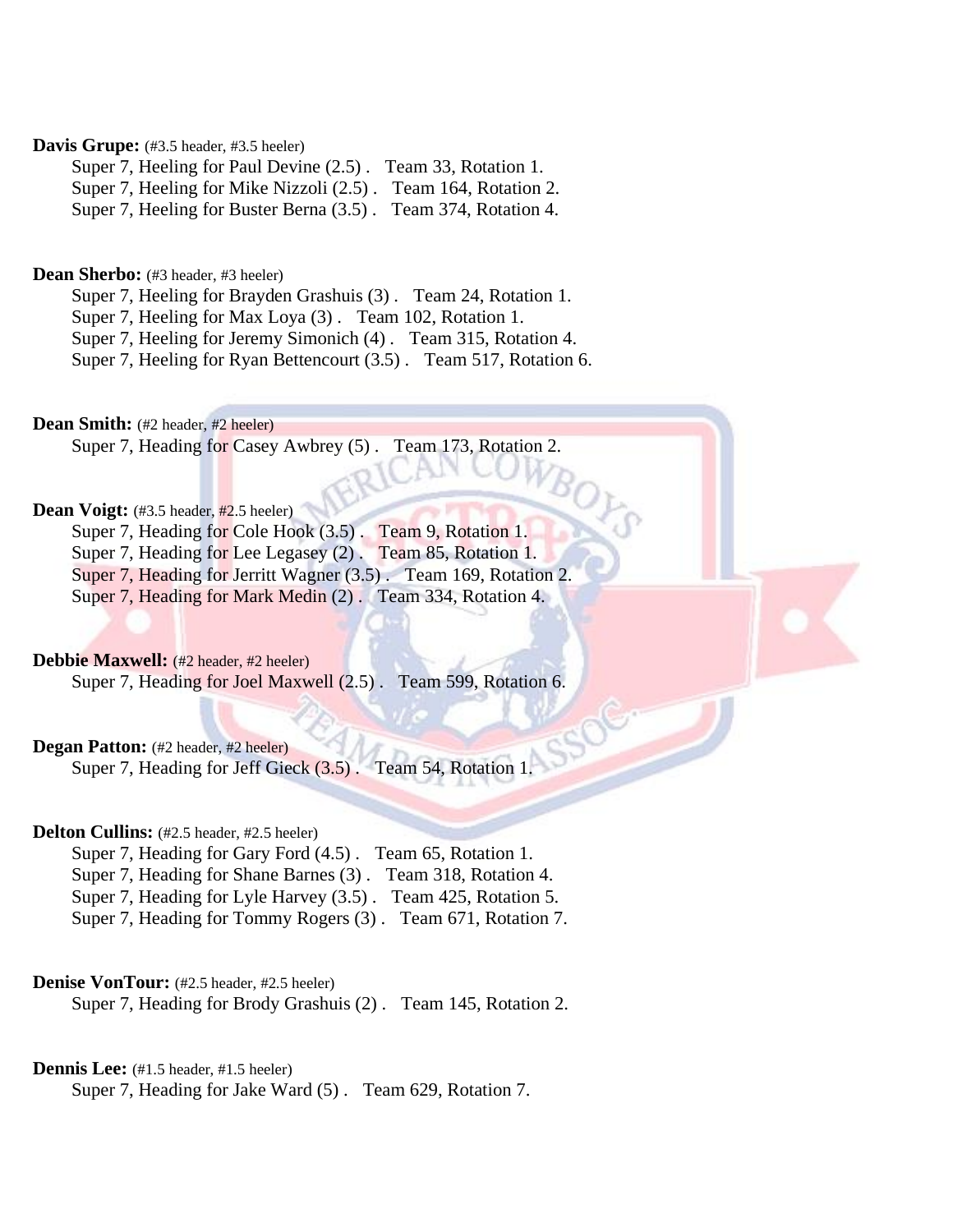# Davis Grupe: (#3.5 header, #3.5 heeler)

Super 7, Heeling for Paul Devine (2.5) . Team 33, Rotation 1. Super 7, Heeling for Mike Nizzoli (2.5) . Team 164, Rotation 2.

Super 7, Heeling for Buster Berna (3.5) . Team 374, Rotation 4.

# Dean Sherbo: (#3 header, #3 heeler)

Super 7, Heeling for Brayden Grashuis (3) . Team 24, Rotation 1.

Super 7, Heeling for Max Loya (3) . Team 102, Rotation 1.

Super 7, Heeling for Jeremy Simonich (4) . Team 315, Rotation 4.

Super 7, Heeling for Ryan Bettencourt (3.5) . Team 517, Rotation 6.

Dean Smith: (#2 header, #2 heeler)

Super 7, Heading for Casey Awbrey (5) . Team 173, Rotation 2.

# Dean Voigt: (#3.5 header, #2.5 heeler)

Super 7, Heading for Cole Hook (3.5). Team 9, Rotation 1.

Super 7, Heading for Lee Legasey (2) . Team 85, Rotation 1.

Super 7, Heading for Jerritt Wagner (3.5) . Team 169, Rotation 2.

Super 7, Heading for Mark Medin (2) . Team 334, Rotation 4.

# **Debbie Maxwell:** (#2 header, #2 heeler)

Super 7, Heading for Joel Maxwell (2.5) . Team 599, Rotation 6.

### **Degan Patton:** (#2 header, #2 heeler)

Super 7, Heading for Jeff Gieck  $(3.5)$ . Team 54, Rotation 1.

# **Delton Cullins:** (#2.5 header, #2.5 heeler)

Super 7, Heading for Gary Ford (4.5) . Team 65, Rotation 1. Super 7, Heading for Shane Barnes (3) . Team 318, Rotation 4. Super 7, Heading for Lyle Harvey (3.5) . Team 425, Rotation 5.

Super 7, Heading for Tommy Rogers (3) . Team 671, Rotation 7.

# **Denise VonTour:** (#2.5 header, #2.5 heeler)

Super 7, Heading for Brody Grashuis (2) . Team 145, Rotation 2.

# **Dennis Lee:** (#1.5 header, #1.5 heeler)

Super 7, Heading for Jake Ward (5) . Team 629, Rotation 7.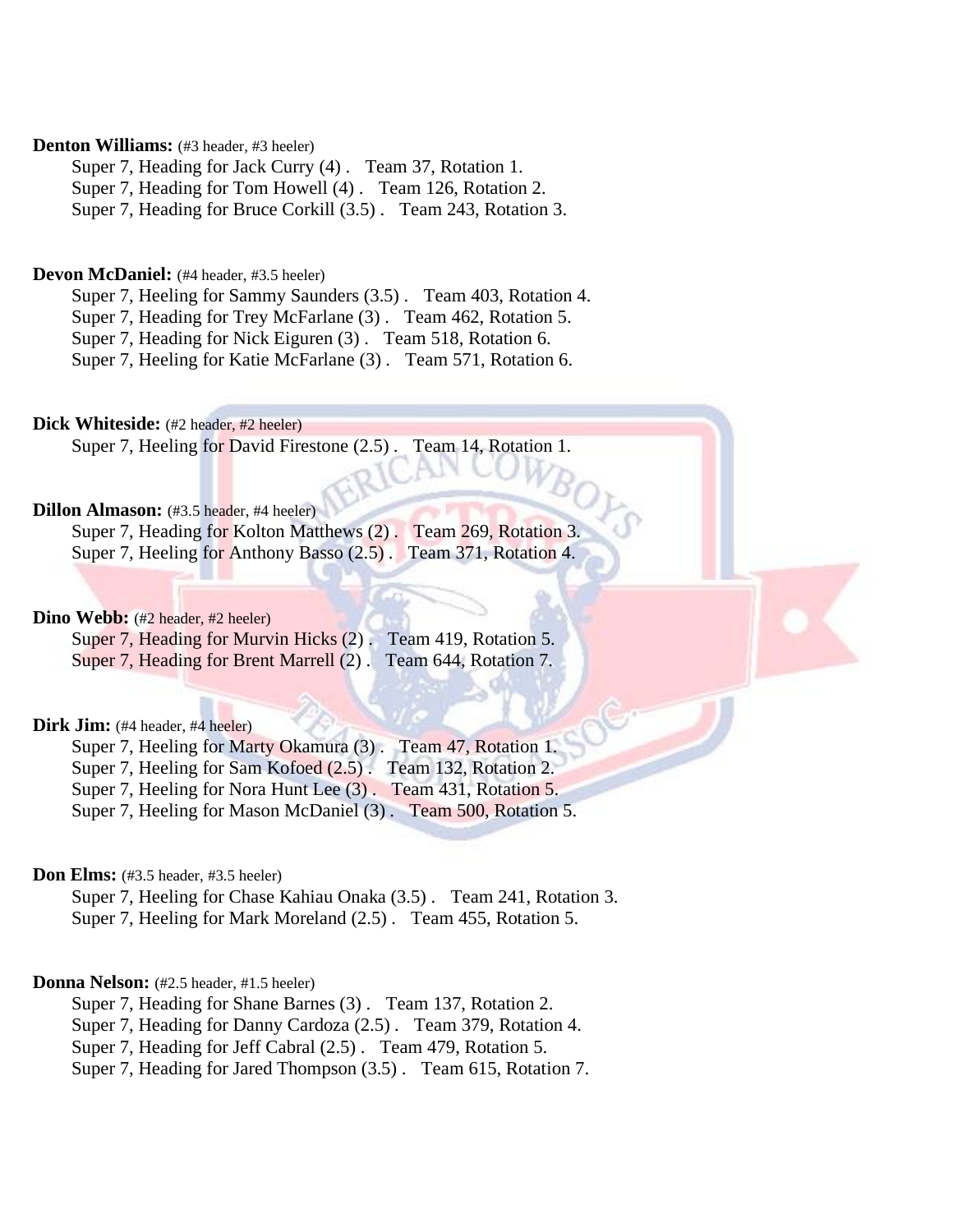# **Denton Williams:** (#3 header, #3 heeler)

Super 7, Heading for Jack Curry (4) . Team 37, Rotation 1. Super 7, Heading for Tom Howell (4) . Team 126, Rotation 2. Super 7, Heading for Bruce Corkill (3.5) . Team 243, Rotation 3.

# **Devon McDaniel:** (#4 header, #3.5 heeler)

Super 7, Heeling for Sammy Saunders (3.5) . Team 403, Rotation 4.

Super 7, Heading for Trey McFarlane (3) . Team 462, Rotation 5.

Super 7, Heading for Nick Eiguren (3) . Team 518, Rotation 6.

Super 7, Heeling for Katie McFarlane (3) . Team 571, Rotation 6.

**Dick Whiteside:** (#2 header, #2 heeler)

Super 7, Heeling for David Firestone (2.5) . Team 14, Rotation 1.

### **Dillon Almason:** (#3.5 header, #4 heeler)

Super 7, Heading for Kolton Matthews (2) . Team 269, Rotation 3. Super 7, Heeling for Anthony Basso (2.5) . Team 371, Rotation 4.

# Dino Webb: (#2 header, #2 heeler)

| Super 7, Heading for Murvin Hicks (2). Team 419, Rotation 5.  |  |
|---------------------------------------------------------------|--|
| Super 7, Heading for Brent Marrell (2). Team 644, Rotation 7. |  |

# Dirk Jim: (#4 header, #4 heeler)

Super 7, Heeling for Marty Okamura (3). Team 47, Rotation 1.

Super 7, Heeling for Sam Kofoed (2.5) . Team 132, Rotation 2.

Super 7, Heeling for Nora Hunt Lee (3) . Team 431, Rotation 5.

Super 7, Heeling for Mason McDaniel (3) . Team 500, Rotation 5.

### **Don Elms:** (#3.5 header, #3.5 heeler)

Super 7, Heeling for Chase Kahiau Onaka (3.5) . Team 241, Rotation 3. Super 7, Heeling for Mark Moreland (2.5) . Team 455, Rotation 5.

### **Donna Nelson:** (#2.5 header, #1.5 heeler)

Super 7, Heading for Shane Barnes (3) . Team 137, Rotation 2.

Super 7, Heading for Danny Cardoza (2.5) . Team 379, Rotation 4.

Super 7, Heading for Jeff Cabral (2.5) . Team 479, Rotation 5.

Super 7, Heading for Jared Thompson (3.5) . Team 615, Rotation 7.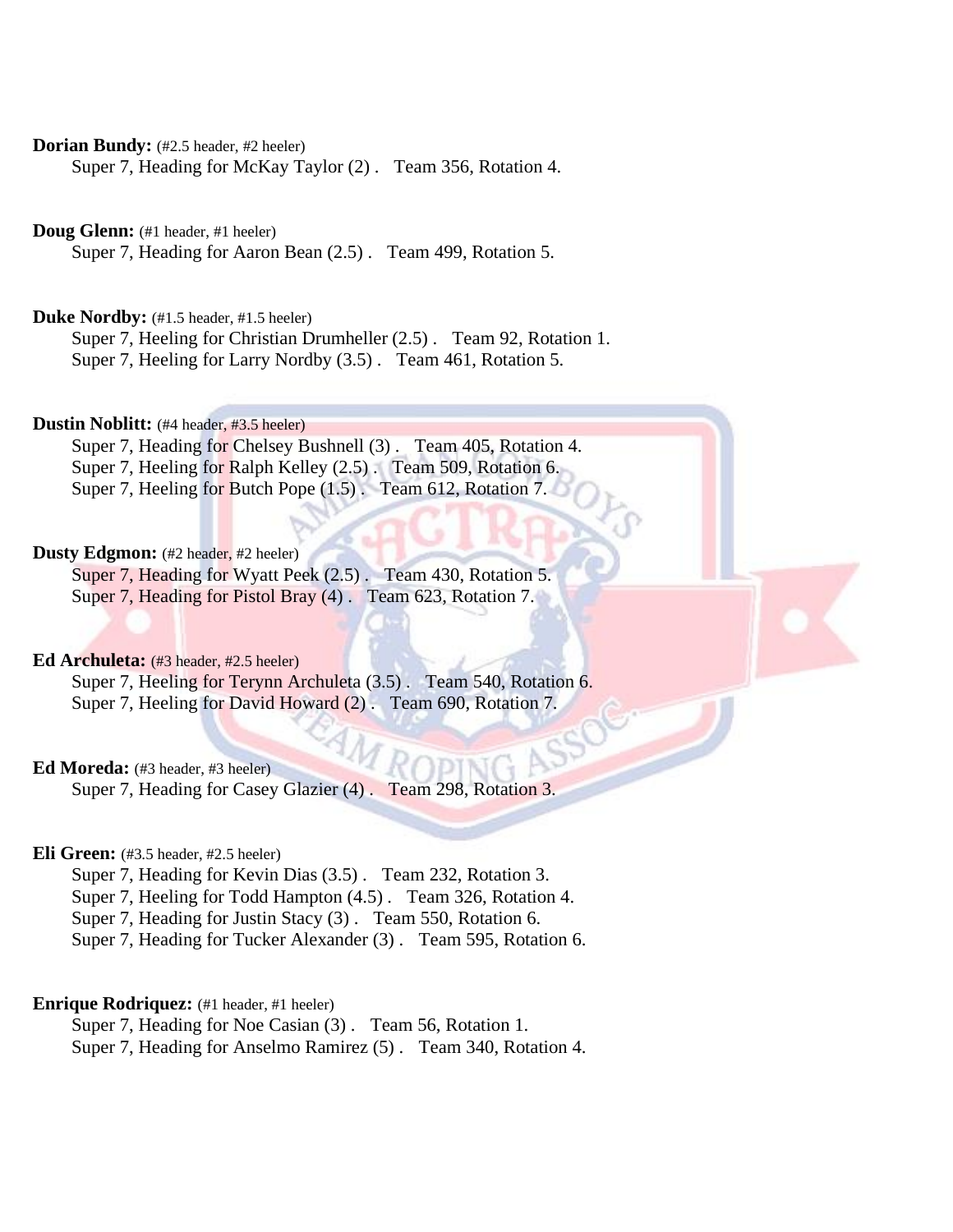# **Dorian Bundy:** (#2.5 header, #2 heeler)

Super 7, Heading for McKay Taylor (2) . Team 356, Rotation 4.

**Doug Glenn:** (#1 header, #1 heeler)

Super 7, Heading for Aaron Bean (2.5) . Team 499, Rotation 5.

Duke Nordby: (#1.5 header, #1.5 heeler)

Super 7, Heeling for Christian Drumheller (2.5) . Team 92, Rotation 1. Super 7, Heeling for Larry Nordby (3.5) . Team 461, Rotation 5.

**Dustin Noblitt:** (#4 header, #3.5 heeler)

Super 7, Heading for Chelsey Bushnell (3) . Team 405, Rotation 4. Super 7, Heeling for Ralph Kelley (2.5) . Team 509, Rotation 6. Super 7, Heeling for Butch Pope (1.5) . Team 612, Rotation 7.

# **Dusty Edgmon:** (#2 header, #2 heeler)

Super 7, Heading for Wyatt Peek (2.5) . Team 430, Rotation 5. Super 7, Heading for Pistol Bray (4). Team 623, Rotation 7.

# Ed Archuleta: (#3 header, #2.5 heeler)

Super 7, Heeling for Terynn Archuleta (3.5). Team 540, Rotation 6. Super 7, Heeling for David Howard (2) . Team 690, Rotation 7.

# **Ed Moreda:** (#3 header, #3 heeler)

Super 7, Heading for Casey Glazier (4) . Team 298, Rotation 3.

### **Eli Green:** (#3.5 header, #2.5 heeler)

Super 7, Heading for Kevin Dias (3.5) . Team 232, Rotation 3. Super 7, Heeling for Todd Hampton (4.5) . Team 326, Rotation 4. Super 7, Heading for Justin Stacy (3) . Team 550, Rotation 6. Super 7, Heading for Tucker Alexander (3) . Team 595, Rotation 6.

# **Enrique Rodriquez:** (#1 header, #1 heeler)

Super 7, Heading for Noe Casian (3) . Team 56, Rotation 1. Super 7, Heading for Anselmo Ramirez (5) . Team 340, Rotation 4.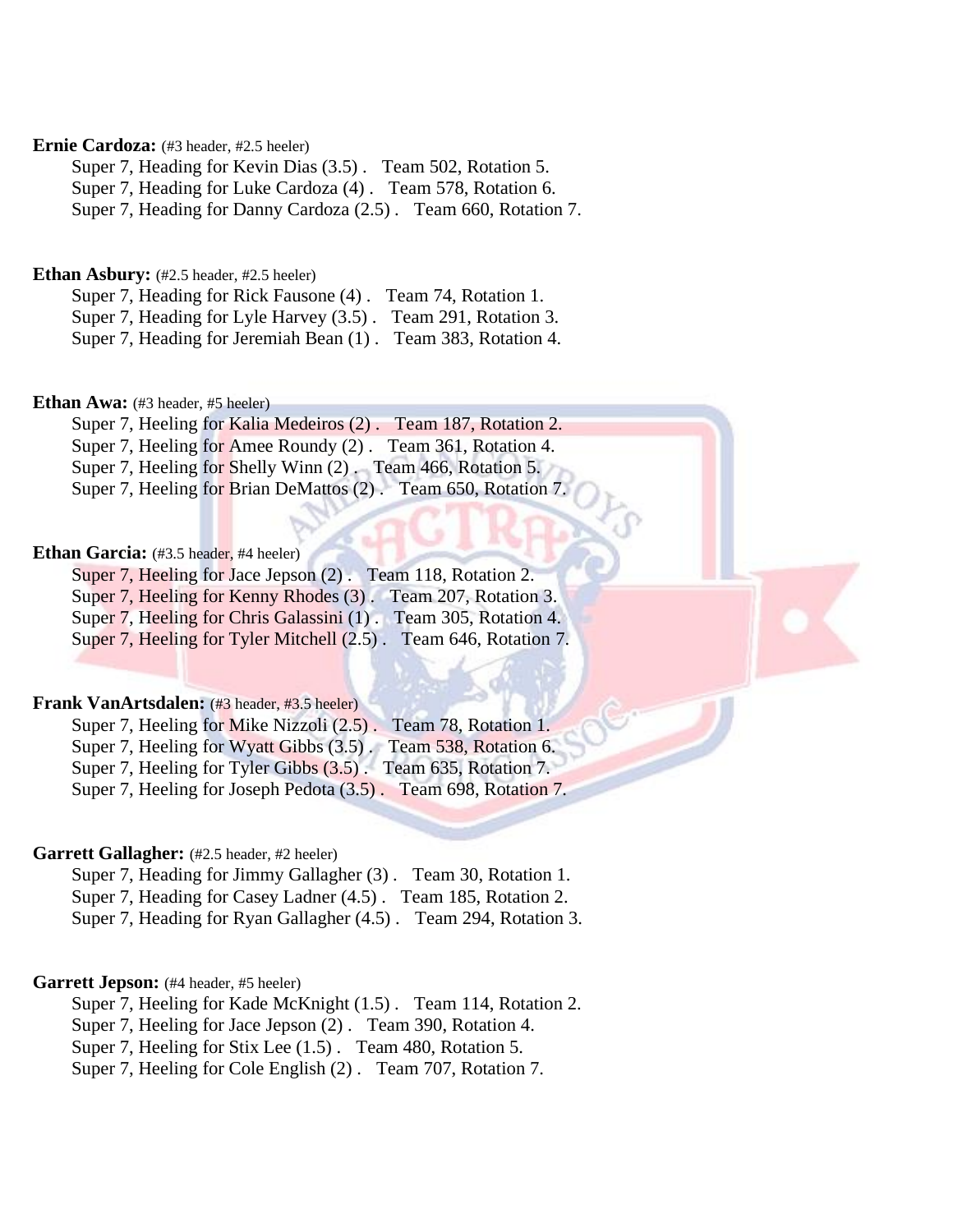# **Ernie Cardoza:** (#3 header, #2.5 heeler)

Super 7, Heading for Kevin Dias (3.5) . Team 502, Rotation 5. Super 7, Heading for Luke Cardoza (4) . Team 578, Rotation 6. Super 7, Heading for Danny Cardoza (2.5) . Team 660, Rotation 7.

# **Ethan Asbury:** (#2.5 header, #2.5 heeler)

Super 7, Heading for Rick Fausone (4) . Team 74, Rotation 1. Super 7, Heading for Lyle Harvey (3.5) . Team 291, Rotation 3. Super 7, Heading for Jeremiah Bean (1) . Team 383, Rotation 4.

# Ethan Awa: (#3 header, #5 heeler)

Super 7, Heeling for Kalia Medeiros (2) . Team 187, Rotation 2. Super 7, Heeling for Amee Roundy (2). Team 361, Rotation 4. Super 7, Heeling for Shelly Winn (2) . Team 466, Rotation 5. Super 7, Heeling for Brian DeMattos (2) . Team 650, Rotation 7.

### **Ethan Garcia:** (#3.5 header, #4 heeler)

Super 7, Heeling for Jace Jepson (2) . Team 118, Rotation 2. Super 7, Heeling for Kenny Rhodes (3) . Team 207, Rotation 3. Super 7, Heeling for Chris Galassini (1) . Team 305, Rotation 4. Super 7, Heeling for Tyler Mitchell (2.5) . Team 646, Rotation 7.

# **Frank VanArtsdalen:** (#3 header, #3.5 heeler)

Super 7, Heeling for Mike Nizzoli (2.5). Team 78, Rotation 1. Super 7, Heeling for Wyatt Gibbs (3.5) . Team 538, Rotation 6. Super 7, Heeling for Tyler Gibbs (3.5) . Team 635, Rotation 7. Super 7, Heeling for Joseph Pedota  $(3.5)$ . Team 698, Rotation 7.

### **Garrett Gallagher:** (#2.5 header, #2 heeler)

Super 7, Heading for Jimmy Gallagher (3) . Team 30, Rotation 1. Super 7, Heading for Casey Ladner (4.5) . Team 185, Rotation 2. Super 7, Heading for Ryan Gallagher (4.5) . Team 294, Rotation 3.

### Garrett Jepson: (#4 header, #5 heeler)

Super 7, Heeling for Kade McKnight (1.5) . Team 114, Rotation 2.

Super 7, Heeling for Jace Jepson (2) . Team 390, Rotation 4.

Super 7, Heeling for Stix Lee (1.5) . Team 480, Rotation 5.

Super 7, Heeling for Cole English (2) . Team 707, Rotation 7.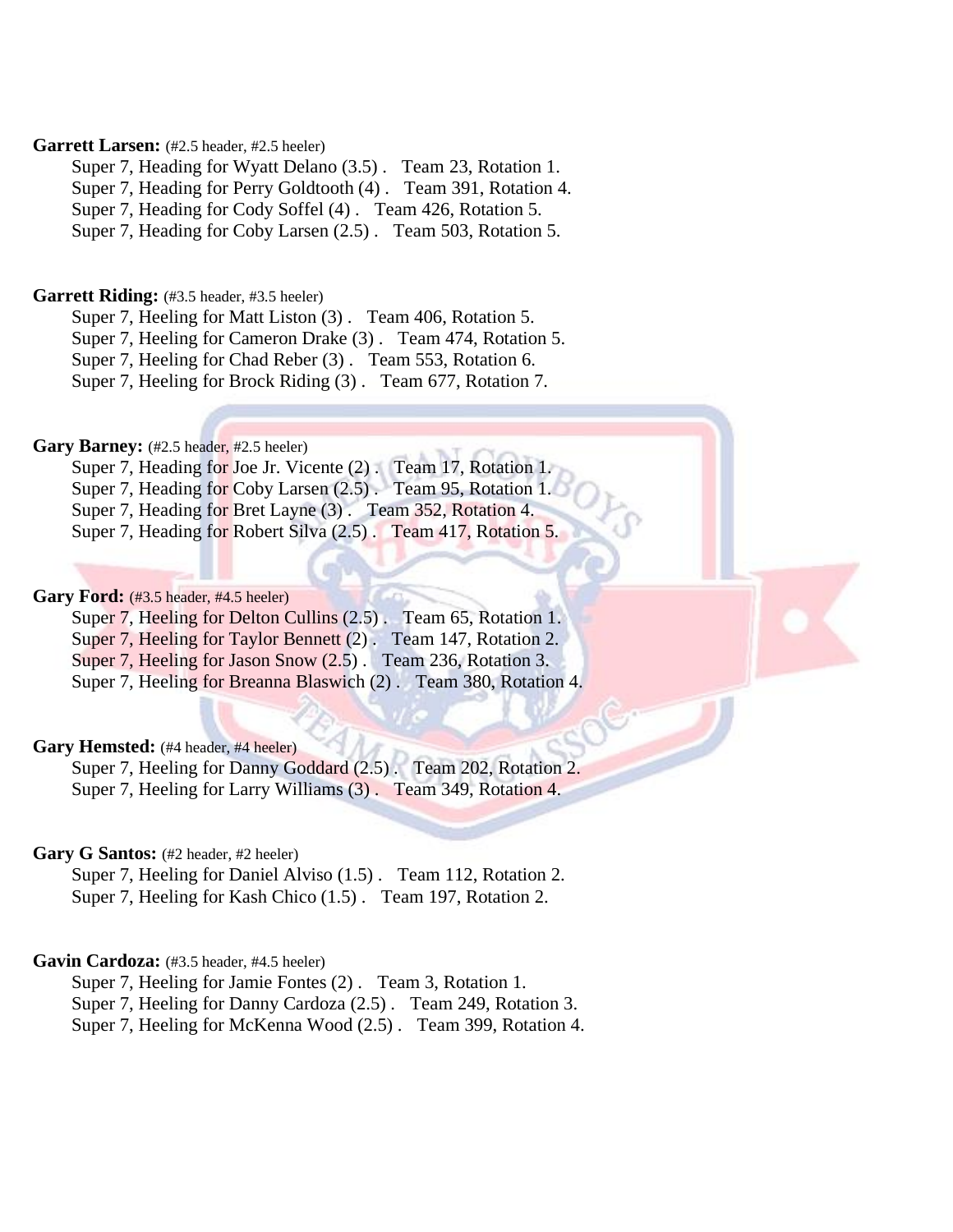# Garrett Larsen: (#2.5 header, #2.5 heeler)

Super 7, Heading for Wyatt Delano (3.5) . Team 23, Rotation 1. Super 7, Heading for Perry Goldtooth (4) . Team 391, Rotation 4. Super 7, Heading for Cody Soffel (4) . Team 426, Rotation 5. Super 7, Heading for Coby Larsen (2.5) . Team 503, Rotation 5.

### Garrett Riding: (#3.5 header, #3.5 heeler)

Super 7, Heeling for Matt Liston (3) . Team 406, Rotation 5.

Super 7, Heeling for Cameron Drake (3) . Team 474, Rotation 5.

Super 7, Heeling for Chad Reber (3) . Team 553, Rotation 6.

Super 7, Heeling for Brock Riding (3) . Team 677, Rotation 7.

# Gary Barney: (#2.5 header, #2.5 heeler)

Super 7, Heading for Joe Jr. Vicente (2) . Team 17, Rotation 1.

Super 7, Heading for Coby Larsen (2.5) . Team 95, Rotation 1.

Super 7, Heading for Bret Layne (3) . Team 352, Rotation 4.

Super 7, Heading for Robert Silva (2.5) . Team 417, Rotation 5.

# Gary Ford: (#3.5 header, #4.5 heeler)

Super 7, Heeling for Delton Cullins (2.5). Team 65, Rotation 1.

Super 7, Heeling for Taylor Bennett (2). Team 147, Rotation 2.

Super 7, Heeling for Jason Snow  $(2.5)$ . Team 236, Rotation 3.

Super 7, Heeling for Breanna Blaswich (2) . Team 380, Rotation 4.

### Gary Hemsted: (#4 header, #4 heeler)

Super 7, Heeling for Danny Goddard (2.5). Team 202, Rotation 2. Super 7, Heeling for Larry Williams (3) . Team 349, Rotation 4.

# Gary G Santos: (#2 header, #2 heeler)

Super 7, Heeling for Daniel Alviso (1.5) . Team 112, Rotation 2. Super 7, Heeling for Kash Chico (1.5) . Team 197, Rotation 2.

# Gavin Cardoza: (#3.5 header, #4.5 heeler)

Super 7, Heeling for Jamie Fontes (2) . Team 3, Rotation 1.

Super 7, Heeling for Danny Cardoza (2.5) . Team 249, Rotation 3.

Super 7, Heeling for McKenna Wood (2.5) . Team 399, Rotation 4.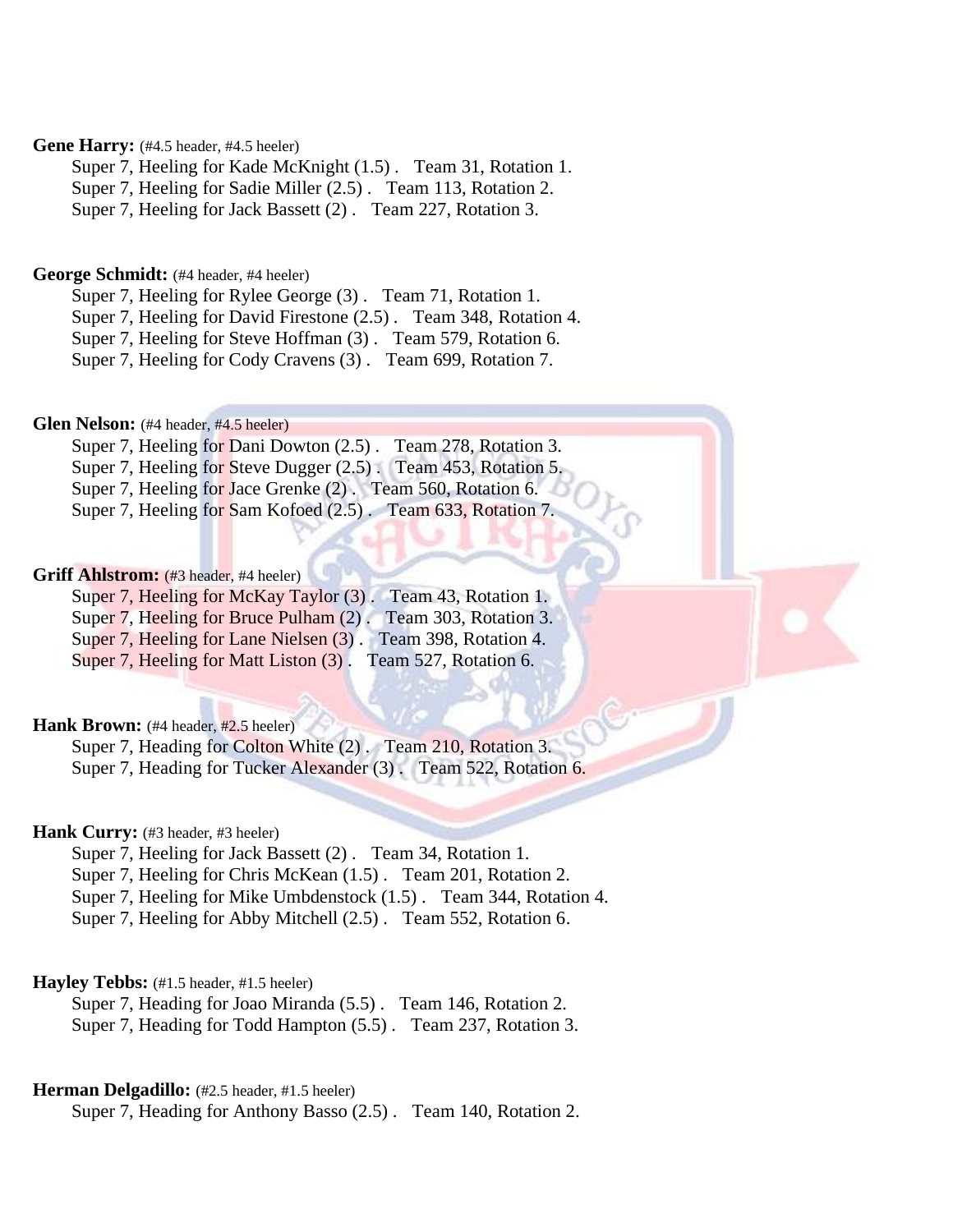# Gene Harry: (#4.5 header, #4.5 heeler)

Super 7, Heeling for Kade McKnight (1.5) . Team 31, Rotation 1.

Super 7, Heeling for Sadie Miller (2.5) . Team 113, Rotation 2.

Super 7, Heeling for Jack Bassett (2) . Team 227, Rotation 3.

# **George Schmidt:** (#4 header, #4 heeler)

Super 7, Heeling for Rylee George (3) . Team 71, Rotation 1.

Super 7, Heeling for David Firestone (2.5) . Team 348, Rotation 4.

Super 7, Heeling for Steve Hoffman (3) . Team 579, Rotation 6.

Super 7, Heeling for Cody Cravens (3) . Team 699, Rotation 7.

### Glen Nelson: (#4 header, #4.5 heeler)

Super 7, Heeling for Dani Dowton (2.5) . Team 278, Rotation 3. Super 7, Heeling for Steve Dugger (2.5). Team 453, Rotation 5. Super 7, Heeling for Jace Grenke (2) . Team 560, Rotation 6. Super 7, Heeling for Sam Kofoed (2.5) . Team 633, Rotation 7.

# **Griff Ahlstrom:** (#3 header, #4 heeler)

Super 7, Heeling for McKay Taylor (3). Team 43, Rotation 1. Super 7, Heeling for Bruce Pulham (2) . Team 303, Rotation 3. Super 7, Heeling for Lane Nielsen (3) . Team 398, Rotation 4. Super 7, Heeling for Matt Liston (3). Team 527, Rotation 6.

# **Hank Brown:** (#4 header, #2.5 heeler)

Super 7, Heading for Colton White (2). Team 210, Rotation 3. Super 7, Heading for Tucker Alexander (3) . Team 522, Rotation 6.

# Hank Curry: (#3 header, #3 heeler)

Super 7, Heeling for Jack Bassett (2) . Team 34, Rotation 1.

Super 7, Heeling for Chris McKean (1.5) . Team 201, Rotation 2.

Super 7, Heeling for Mike Umbdenstock (1.5) . Team 344, Rotation 4.

Super 7, Heeling for Abby Mitchell (2.5) . Team 552, Rotation 6.

### **Hayley Tebbs:** (#1.5 header, #1.5 heeler)

Super 7, Heading for Joao Miranda (5.5) . Team 146, Rotation 2. Super 7, Heading for Todd Hampton (5.5) . Team 237, Rotation 3.

### **Herman Delgadillo:** (#2.5 header, #1.5 heeler)

Super 7, Heading for Anthony Basso (2.5) . Team 140, Rotation 2.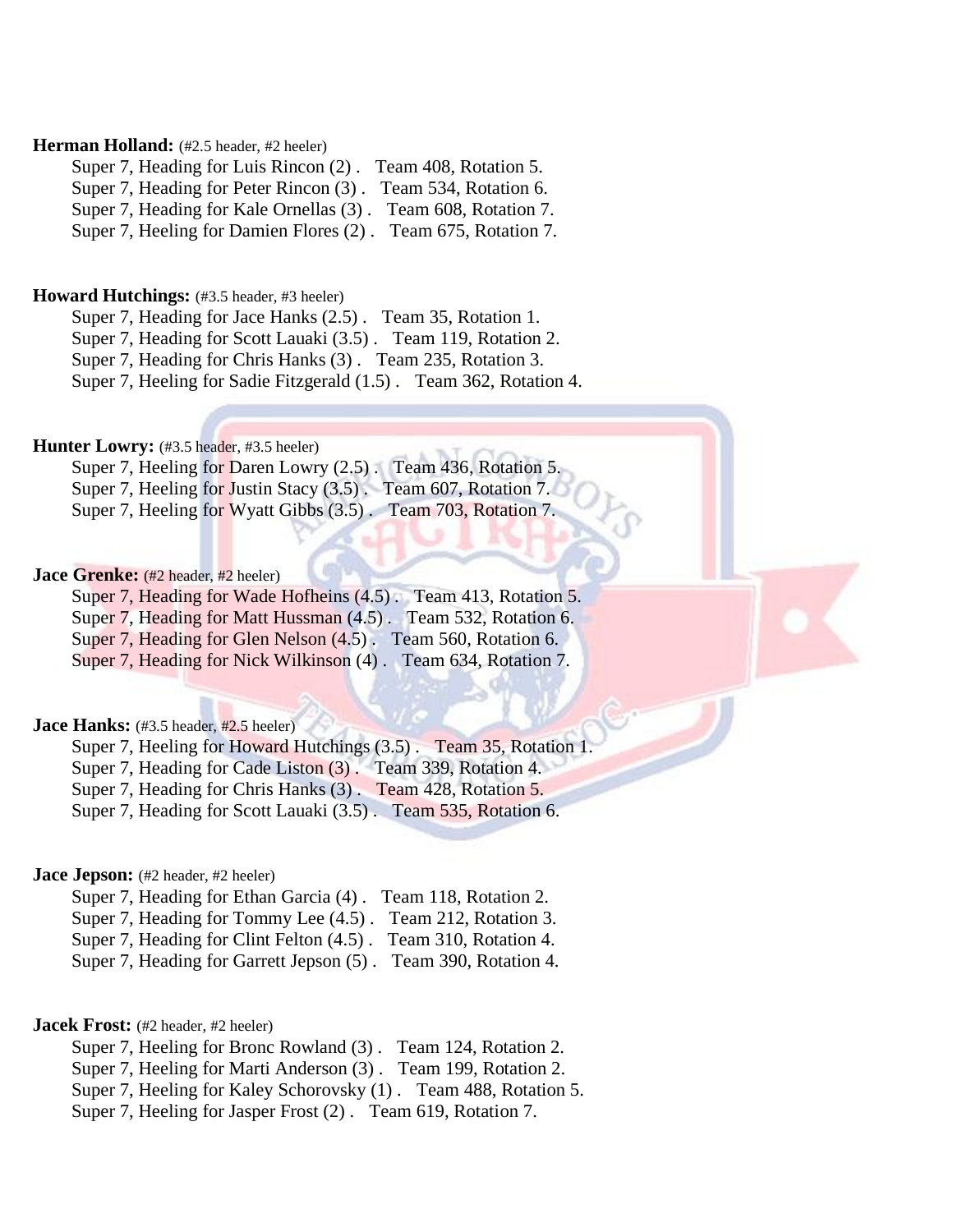# Herman Holland: (#2.5 header, #2 heeler)

Super 7, Heading for Luis Rincon (2) . Team 408, Rotation 5. Super 7, Heading for Peter Rincon (3) . Team 534, Rotation 6. Super 7, Heading for Kale Ornellas (3) . Team 608, Rotation 7. Super 7, Heeling for Damien Flores (2) . Team 675, Rotation 7.

### **Howard Hutchings:** (#3.5 header, #3 heeler)

Super 7, Heading for Jace Hanks (2.5) . Team 35, Rotation 1. Super 7, Heading for Scott Lauaki (3.5) . Team 119, Rotation 2.

Super 7, Heading for Chris Hanks (3) . Team 235, Rotation 3.

Super 7, Heeling for Sadie Fitzgerald (1.5) . Team 362, Rotation 4.

# **Hunter Lowry:** (#3.5 header, #3.5 heeler)

| Super 7, Heeling for Daren Lowry (2.5). Team 436, Rotation 5.  |  |  |  |
|----------------------------------------------------------------|--|--|--|
| Super 7, Heeling for Justin Stacy (3.5). Team 607, Rotation 7. |  |  |  |
| Super 7, Heeling for Wyatt Gibbs (3.5). Team 703, Rotation 7.  |  |  |  |

### **Jace Grenke:** (#2 header, #2 heeler)

Super 7, Heading for Wade Hofheins (4.5). Team 413, Rotation 5.

Super 7, Heading for Matt Hussman (4.5). Team 532, Rotation 6.

Super 7, Heading for Glen Nelson (4.5) . Team 560, Rotation 6.

Super 7, Heading for Nick Wilkinson (4) . Team 634, Rotation 7.

# **Jace Hanks:** (#3.5 header, #2.5 heeler)

Super 7, Heeling for Howard Hutchings (3.5) . Team 35, Rotation 1.

Super 7, Heading for Cade Liston (3) . Team 339, Rotation 4.

Super 7, Heading for Chris Hanks (3) . Team 428, Rotation 5.

Super 7, Heading for Scott Lauaki (3.5) . Team 535, Rotation 6.

### **Jace Jepson:** (#2 header, #2 heeler)

Super 7, Heading for Ethan Garcia (4) . Team 118, Rotation 2. Super 7, Heading for Tommy Lee (4.5) . Team 212, Rotation 3. Super 7, Heading for Clint Felton (4.5) . Team 310, Rotation 4.

Super 7, Heading for Garrett Jepson (5) . Team 390, Rotation 4.

# **Jacek Frost:** (#2 header, #2 heeler)

- Super 7, Heeling for Bronc Rowland (3) . Team 124, Rotation 2. Super 7, Heeling for Marti Anderson (3) . Team 199, Rotation 2.
- Super 7, Heeling for Kaley Schorovsky (1) . Team 488, Rotation 5.
- Super 7, Heeling for Jasper Frost (2) . Team 619, Rotation 7.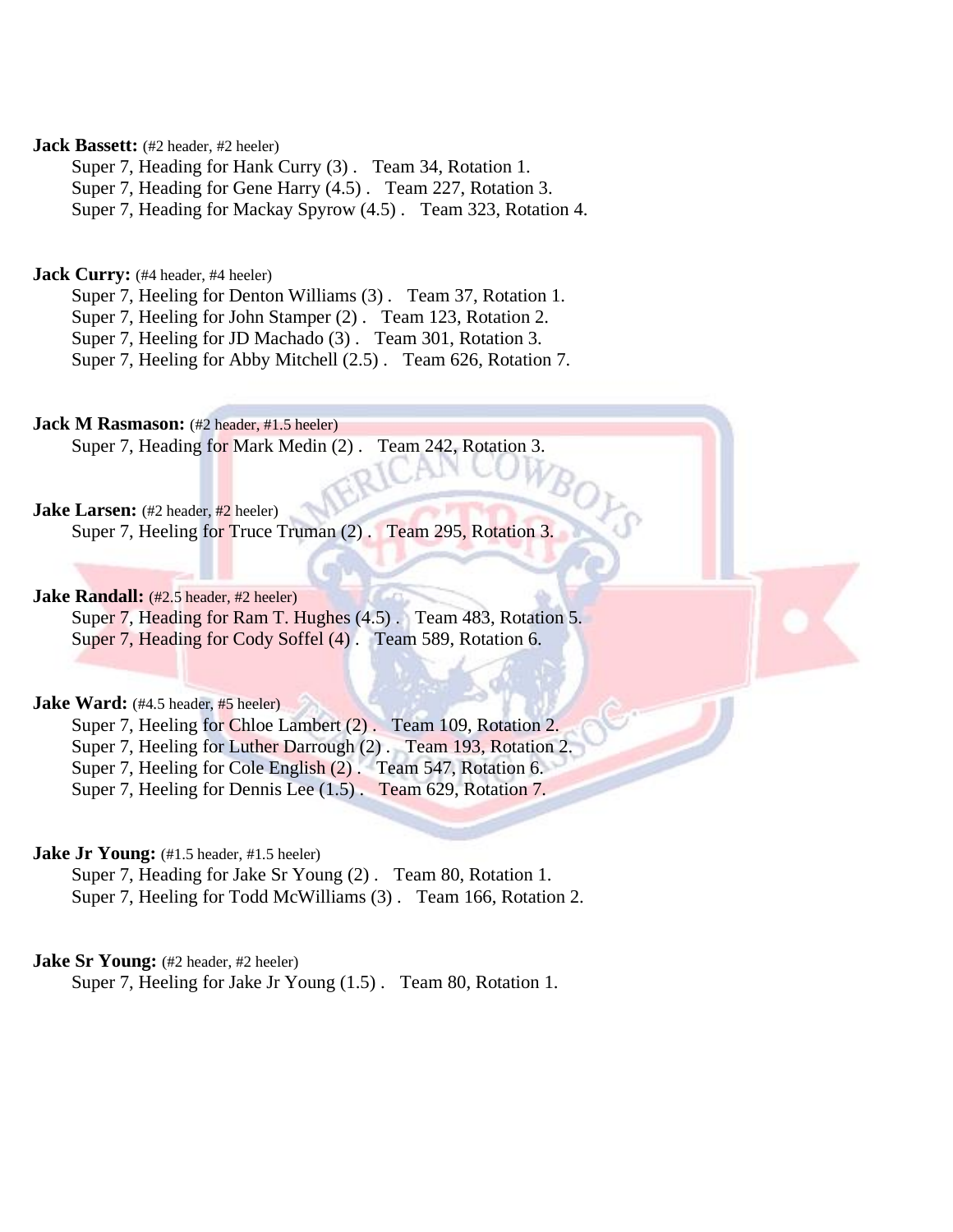# **Jack Bassett:** (#2 header, #2 heeler)

Super 7, Heading for Hank Curry (3) . Team 34, Rotation 1.

Super 7, Heading for Gene Harry (4.5) . Team 227, Rotation 3.

Super 7, Heading for Mackay Spyrow (4.5) . Team 323, Rotation 4.

# **Jack Curry:** (#4 header, #4 heeler)

Super 7, Heeling for Denton Williams (3). Team 37, Rotation 1.

Super 7, Heeling for John Stamper (2) . Team 123, Rotation 2.

Super 7, Heeling for JD Machado (3). Team 301, Rotation 3.

Super 7, Heeling for Abby Mitchell (2.5) . Team 626, Rotation 7.

**Jack M Rasmason:** (#2 header, #1.5 heeler) Super 7, Heading for Mark Medin (2) . Team 242, Rotation 3.

# **Jake Larsen:** (#2 header, #2 heeler)

Super 7, Heeling for Truce Truman (2) . Team 295, Rotation 3.

# **Jake Randall:** (#2.5 header, #2 heeler)

Super 7, Heading for Ram T. Hughes (4.5). Team 483, Rotation 5. Super 7, Heading for Cody Soffel (4). Team 589, Rotation 6.

# **Jake Ward:** (#4.5 header, #5 heeler)

Super 7, Heeling for Chloe Lambert (2). Team 109, Rotation 2. Super 7, Heeling for Luther Darrough (2). Team 193, Rotation 2. Super 7, Heeling for Cole English (2). Team 547, Rotation 6.

Super 7, Heeling for Dennis Lee (1.5) . Team 629, Rotation 7.

### **Jake Jr Young:** (#1.5 header, #1.5 heeler)

Super 7, Heading for Jake Sr Young (2) . Team 80, Rotation 1. Super 7, Heeling for Todd McWilliams (3) . Team 166, Rotation 2.

# **Jake Sr Young:** (#2 header, #2 heeler)

Super 7, Heeling for Jake Jr Young (1.5) . Team 80, Rotation 1.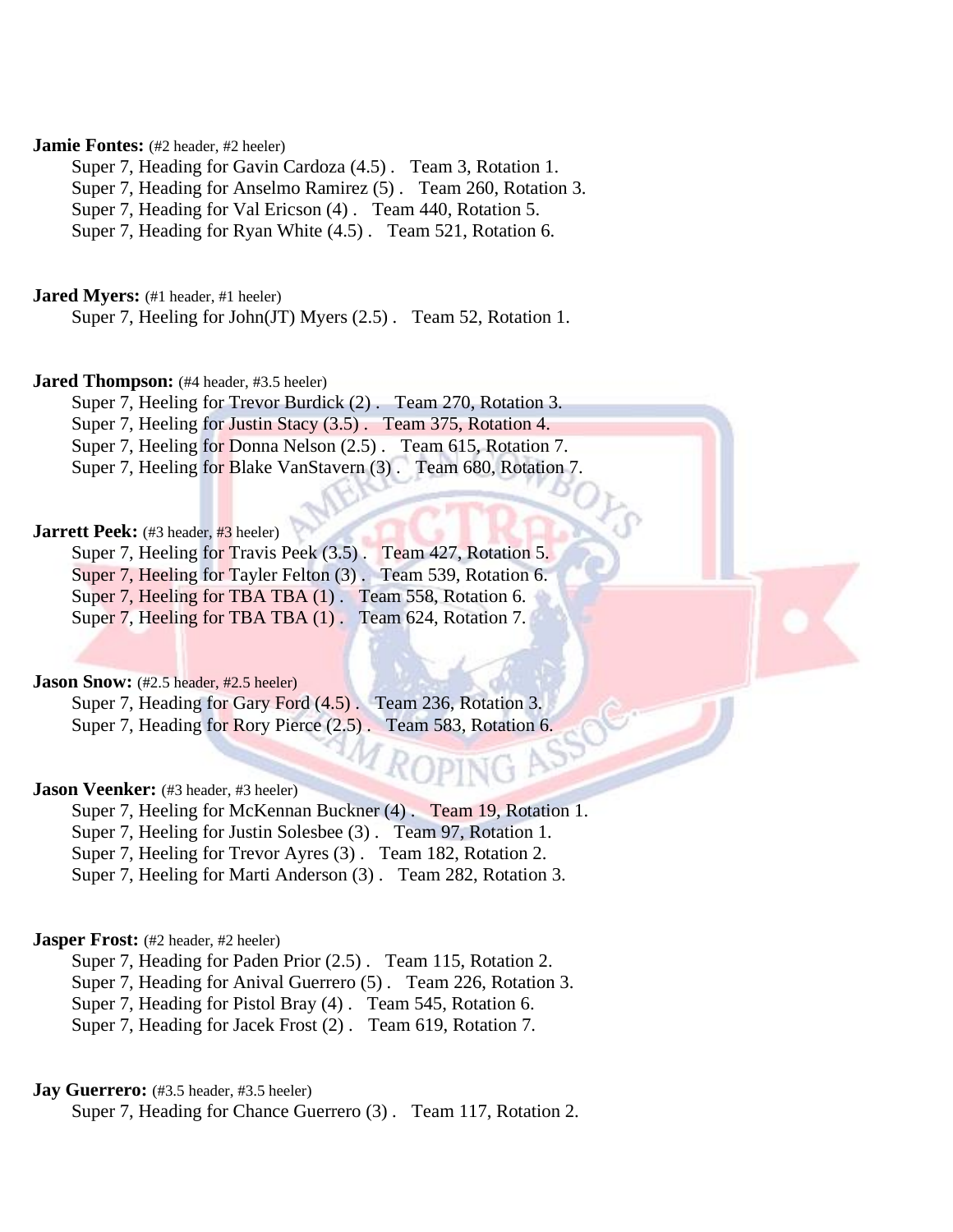# **Jamie Fontes:** (#2 header, #2 heeler)

Super 7, Heading for Gavin Cardoza (4.5) . Team 3, Rotation 1.

Super 7, Heading for Anselmo Ramirez (5) . Team 260, Rotation 3.

Super 7, Heading for Val Ericson (4) . Team 440, Rotation 5.

Super 7, Heading for Ryan White (4.5) . Team 521, Rotation 6.

**Jared Myers:** (#1 header, #1 heeler)

Super 7, Heeling for John(JT) Myers (2.5) . Team 52, Rotation 1.

### **Jared Thompson:** (#4 header, #3.5 heeler)

Super 7, Heeling for Trevor Burdick (2) . Team 270, Rotation 3.

Super 7, Heeling for Justin Stacy (3.5) . Team 375, Rotation 4. Super 7, Heeling for Donna Nelson (2.5) . Team 615, Rotation 7.

Super 7, Heeling for Blake VanStavern (3) . Team 680, Rotation 7.

# **Jarrett Peek:** (#3 header, #3 heeler)

Super 7, Heeling for Travis Peek (3.5) . Team 427, Rotation 5. Super 7, Heeling for Tayler Felton (3) . Team 539, Rotation 6. Super 7, Heeling for TBA TBA (1). Team 558, Rotation 6. Super 7, Heeling for TBA TBA  $(1)$ . Team 624, Rotation 7.

**Jason Snow:** (#2.5 header, #2.5 heeler)

Super 7, Heading for Gary Ford  $(4.5)$ . Team 236, Rotation 3. Super 7, Heading for Rory Pierce  $(2.5)$ . Team 583, Rotation 6.

### **Jason Veenker:** (#3 header, #3 heeler)

Super 7, Heeling for McKennan Buckner (4) . Team 19, Rotation 1. Super 7, Heeling for Justin Solesbee (3) . Team 97, Rotation 1. Super 7, Heeling for Trevor Ayres (3) . Team 182, Rotation 2. Super 7, Heeling for Marti Anderson (3) . Team 282, Rotation 3.

# **Jasper Frost:** (#2 header, #2 heeler)

Super 7, Heading for Paden Prior (2.5) . Team 115, Rotation 2. Super 7, Heading for Anival Guerrero (5) . Team 226, Rotation 3. Super 7, Heading for Pistol Bray (4) . Team 545, Rotation 6. Super 7, Heading for Jacek Frost (2) . Team 619, Rotation 7.

### **Jay Guerrero:** (#3.5 header, #3.5 heeler)

Super 7, Heading for Chance Guerrero (3) . Team 117, Rotation 2.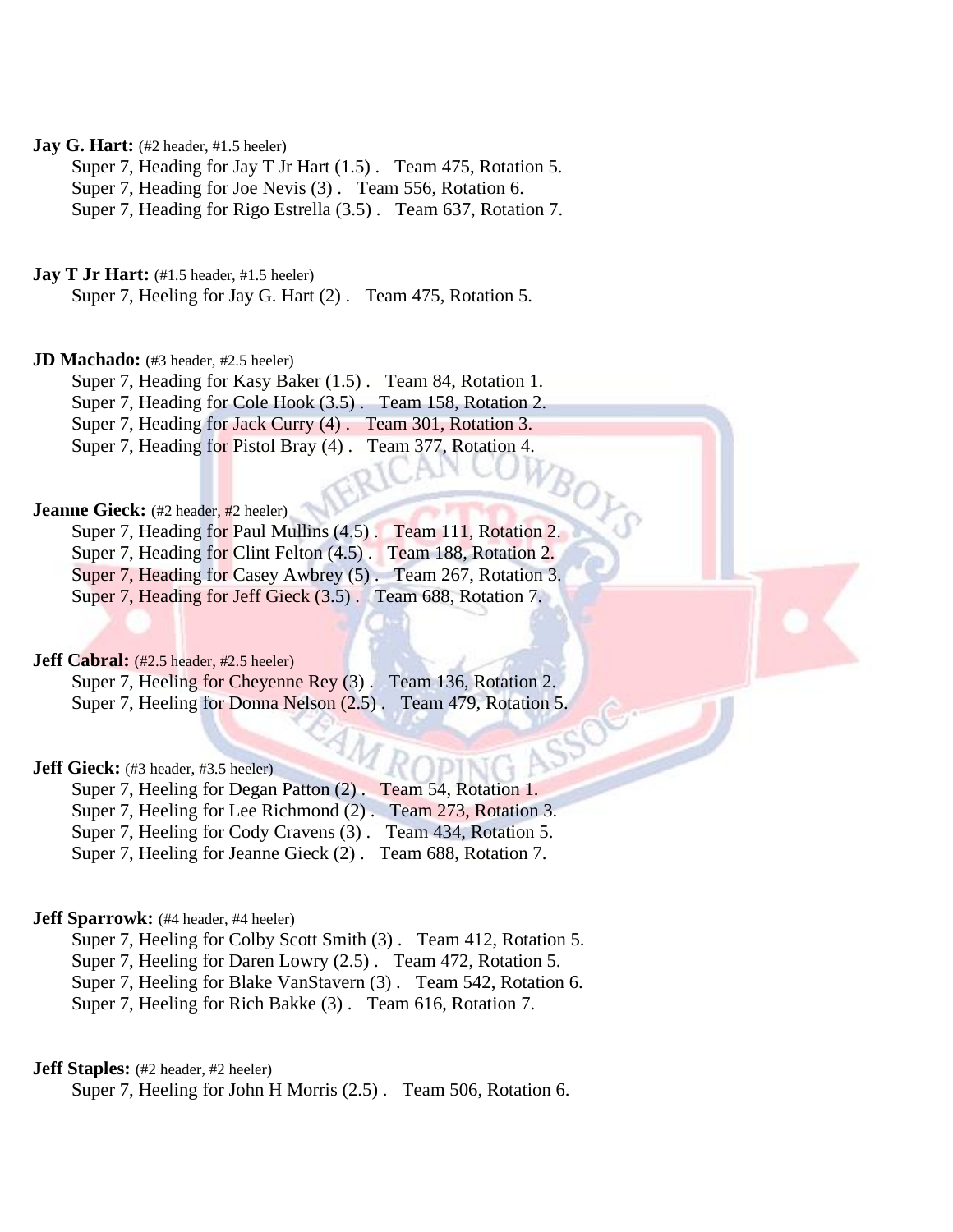# **Jay G. Hart:** (#2 header, #1.5 heeler)

Super 7, Heading for Jay T Jr Hart (1.5) . Team 475, Rotation 5.

Super 7, Heading for Joe Nevis (3) . Team 556, Rotation 6.

Super 7, Heading for Rigo Estrella (3.5) . Team 637, Rotation 7.

### **Jay T Jr Hart:** (#1.5 header, #1.5 heeler)

Super 7, Heeling for Jay G. Hart (2) . Team 475, Rotation 5.

### **JD Machado:** (#3 header, #2.5 heeler)

Super 7, Heading for Kasy Baker (1.5) . Team 84, Rotation 1. Super 7, Heading for Cole Hook (3.5) . Team 158, Rotation 2. Super 7, Heading for Jack Curry (4). Team 301, Rotation 3. Super 7, Heading for Pistol Bray (4) . Team 377, Rotation 4.

**Jeanne Gieck:** (#2 header, #2 heeler) Super 7, Heading for Paul Mullins (4.5) . Team 111, Rotation 2. Super 7, Heading for Clint Felton  $(4.5)$ . Team 188, Rotation 2. Super 7, Heading for Casey Awbrey (5). Team 267, Rotation 3. Super 7, Heading for Jeff Gieck (3.5). Team 688, Rotation 7.

### **Jeff Cabral:** (#2.5 header, #2.5 heeler)

Super 7, Heeling for Cheyenne Rey (3). Team 136, Rotation 2. Super 7, Heeling for Donna Nelson (2.5) . Team 479, Rotation 5.

### **Jeff Gieck:** (#3 header, #3.5 heeler)

Super 7, Heeling for Degan Patton (2) . Team 54, Rotation 1. Super 7, Heeling for Lee Richmond (2) . Team 273, Rotation 3. Super 7, Heeling for Cody Cravens (3) . Team 434, Rotation 5. Super 7, Heeling for Jeanne Gieck (2) . Team 688, Rotation 7.

### **Jeff Sparrowk:** (#4 header, #4 heeler)

Super 7, Heeling for Colby Scott Smith (3) . Team 412, Rotation 5. Super 7, Heeling for Daren Lowry (2.5) . Team 472, Rotation 5. Super 7, Heeling for Blake VanStavern (3) . Team 542, Rotation 6. Super 7, Heeling for Rich Bakke (3) . Team 616, Rotation 7.

# **Jeff Staples:** (#2 header, #2 heeler)

Super 7, Heeling for John H Morris (2.5) . Team 506, Rotation 6.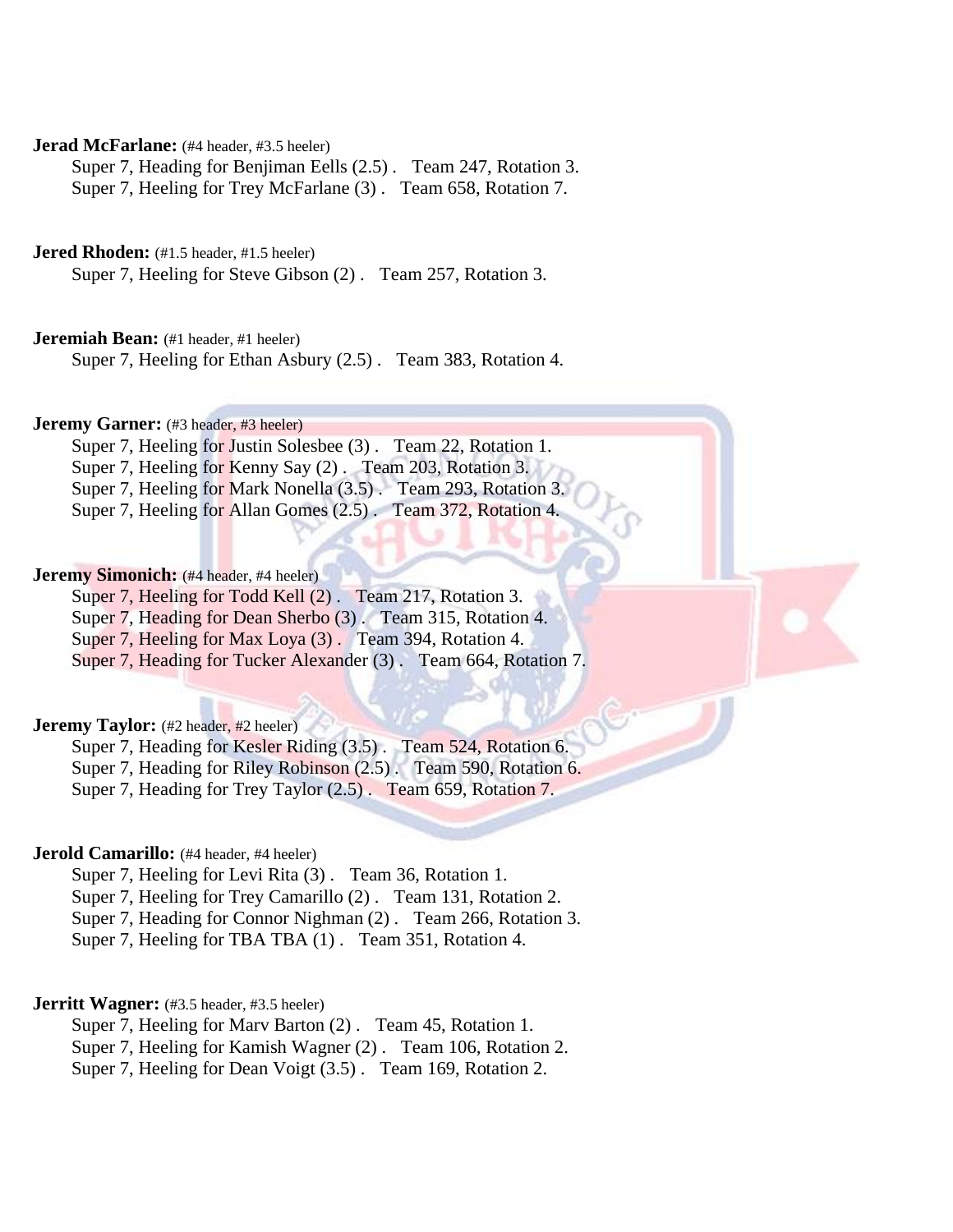# **Jerad McFarlane:** (#4 header, #3.5 heeler)

Super 7, Heading for Benjiman Eells (2.5) . Team 247, Rotation 3. Super 7, Heeling for Trey McFarlane (3). Team 658, Rotation 7.

# Jered Rhoden: (#1.5 header, #1.5 heeler)

Super 7, Heeling for Steve Gibson (2) . Team 257, Rotation 3.

# **Jeremiah Bean:** (#1 header, #1 heeler)

Super 7, Heeling for Ethan Asbury (2.5) . Team 383, Rotation 4.

# **Jeremy Garner:** (#3 header, #3 heeler)

Super 7, Heeling for Justin Solesbee (3) . Team 22, Rotation 1. Super 7, Heeling for Kenny Say (2). Team 203, Rotation 3. Super 7, Heeling for Mark Nonella (3.5) . Team 293, Rotation 3. Super 7, Heeling for Allan Gomes (2.5) . Team 372, Rotation 4.

# **Jeremy Simonich:** (#4 header, #4 heeler)

Super 7, Heeling for Todd Kell (2). Team 217, Rotation 3.

Super 7, Heading for Dean Sherbo (3). Team 315, Rotation 4.

Super 7, Heeling for Max Loya (3). Team 394, Rotation 4.

Super 7, Heading for Tucker Alexander (3) . Team 664, Rotation 7.

# **Jeremy Taylor:** (#2 header, #2 heeler)

Super 7, Heading for Kesler Riding (3.5) . Team 524, Rotation 6. Super 7, Heading for Riley Robinson (2.5) . Team 590, Rotation 6. Super 7, Heading for Trey Taylor (2.5) . Team 659, Rotation 7.

### **Jerold Camarillo:** (#4 header, #4 heeler)

Super 7, Heeling for Levi Rita (3) . Team 36, Rotation 1. Super 7, Heeling for Trey Camarillo (2) . Team 131, Rotation 2. Super 7, Heading for Connor Nighman (2) . Team 266, Rotation 3.

Super 7, Heeling for TBA TBA (1) . Team 351, Rotation 4.

# **Jerritt Wagner:** (#3.5 header, #3.5 heeler)

Super 7, Heeling for Marv Barton (2) . Team 45, Rotation 1. Super 7, Heeling for Kamish Wagner (2) . Team 106, Rotation 2. Super 7, Heeling for Dean Voigt (3.5) . Team 169, Rotation 2.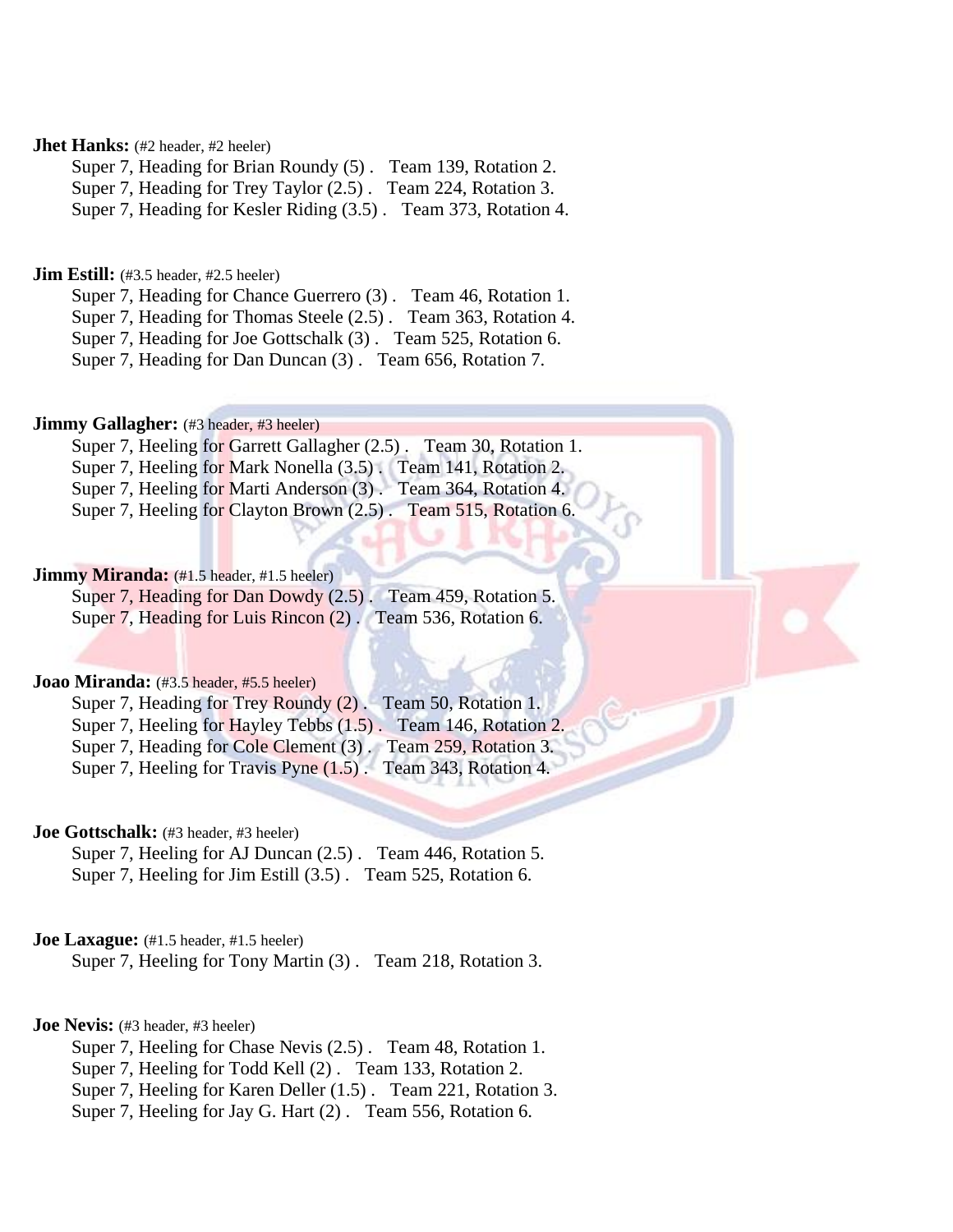# **Jhet Hanks:** (#2 header, #2 heeler)

Super 7, Heading for Brian Roundy (5) . Team 139, Rotation 2. Super 7, Heading for Trey Taylor (2.5) . Team 224, Rotation 3.

Super 7, Heading for Kesler Riding (3.5) . Team 373, Rotation 4.

# **Jim Estill:** (#3.5 header, #2.5 heeler)

Super 7, Heading for Chance Guerrero (3). Team 46, Rotation 1. Super 7, Heading for Thomas Steele (2.5) . Team 363, Rotation 4. Super 7, Heading for Joe Gottschalk (3) . Team 525, Rotation 6. Super 7, Heading for Dan Duncan (3) . Team 656, Rotation 7.

# **Jimmy Gallagher:** (#3 header, #3 heeler)

Super 7, Heeling for Garrett Gallagher (2.5) . Team 30, Rotation 1. Super 7, Heeling for Mark Nonella (3.5) . Team 141, Rotation 2. Super 7, Heeling for Marti Anderson (3) . Team 364, Rotation 4. Super 7, Heeling for Clayton Brown  $(2.5)$ . Team 515, Rotation 6.

# **Jimmy Miranda:** (#1.5 header, #1.5 heeler)

Super 7, Heading for Dan Dowdy (2.5) . Team 459, Rotation 5. Super 7, Heading for Luis Rincon (2) . Team 536, Rotation 6.

### **Joao Miranda:** (#3.5 header, #5.5 heeler)

Super 7, Heading for Trey Roundy (2). Team 50, Rotation 1. Super 7, Heeling for Hayley Tebbs (1.5). Team 146, Rotation 2. Super 7, Heading for Cole Clement (3). Team 259, Rotation 3. Super 7, Heeling for Travis Pyne (1.5) . Team 343, Rotation 4.

# **Joe Gottschalk:** (#3 header, #3 heeler)

Super 7, Heeling for AJ Duncan (2.5) . Team 446, Rotation 5. Super 7, Heeling for Jim Estill (3.5) . Team 525, Rotation 6.

### **Joe Laxague:** (#1.5 header, #1.5 heeler)

Super 7, Heeling for Tony Martin (3) . Team 218, Rotation 3.

# **Joe Nevis:** (#3 header, #3 heeler)

Super 7, Heeling for Chase Nevis (2.5) . Team 48, Rotation 1. Super 7, Heeling for Todd Kell (2) . Team 133, Rotation 2. Super 7, Heeling for Karen Deller (1.5) . Team 221, Rotation 3. Super 7, Heeling for Jay G. Hart (2). Team 556, Rotation 6.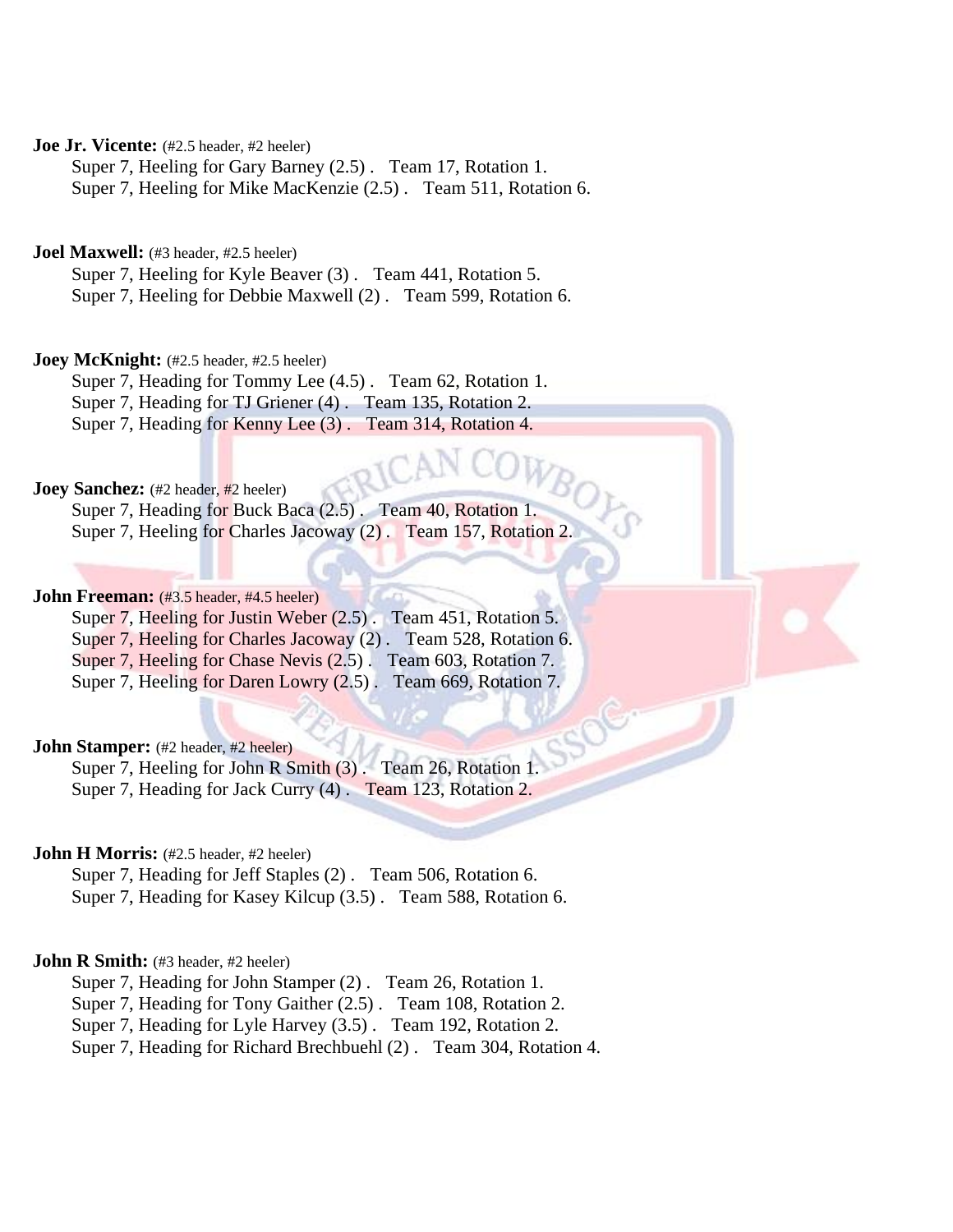**Joe Jr. Vicente:** (#2.5 header, #2 heeler)

Super 7, Heeling for Gary Barney (2.5) . Team 17, Rotation 1.

Super 7, Heeling for Mike MacKenzie (2.5) . Team 511, Rotation 6.

Joel Maxwell: (#3 header, #2.5 heeler)

Super 7, Heeling for Kyle Beaver (3) . Team 441, Rotation 5. Super 7, Heeling for Debbie Maxwell (2) . Team 599, Rotation 6.

**Joey McKnight:** (#2.5 header, #2.5 heeler)

Super 7, Heading for Tommy Lee (4.5) . Team 62, Rotation 1. Super 7, Heading for TJ Griener (4) . Team 135, Rotation 2. Super 7, Heading for Kenny Lee (3) . Team 314, Rotation 4.

**Joey Sanchez:** (#2 header, #2 heeler)

Super 7, Heading for Buck Baca (2.5) . Team 40, Rotation 1. Super 7, Heeling for Charles Jacoway (2) . Team 157, Rotation 2.

# **John Freeman:** (#3.5 header, #4.5 heeler)

Super 7, Heeling for Justin Weber (2.5). Team 451, Rotation 5. Super 7, Heeling for Charles Jacoway (2) . Team 528, Rotation 6. Super 7, Heeling for Chase Nevis (2.5) . Team 603, Rotation 7. Super 7, Heeling for Daren Lowry (2.5). Team 669, Rotation 7.

# **John Stamper:** (#2 header, #2 heeler)

Super 7, Heeling for John R Smith (3). Team 26, Rotation 1. Super 7, Heading for Jack Curry (4) . Team 123, Rotation 2.

### **John H Morris:** (#2.5 header, #2 heeler)

Super 7, Heading for Jeff Staples (2) . Team 506, Rotation 6. Super 7, Heading for Kasey Kilcup (3.5) . Team 588, Rotation 6.

### **John R Smith:** (#3 header, #2 heeler)

Super 7, Heading for John Stamper (2) . Team 26, Rotation 1.

Super 7, Heading for Tony Gaither (2.5) . Team 108, Rotation 2.

Super 7, Heading for Lyle Harvey (3.5) . Team 192, Rotation 2.

Super 7, Heading for Richard Brechbuehl (2) . Team 304, Rotation 4.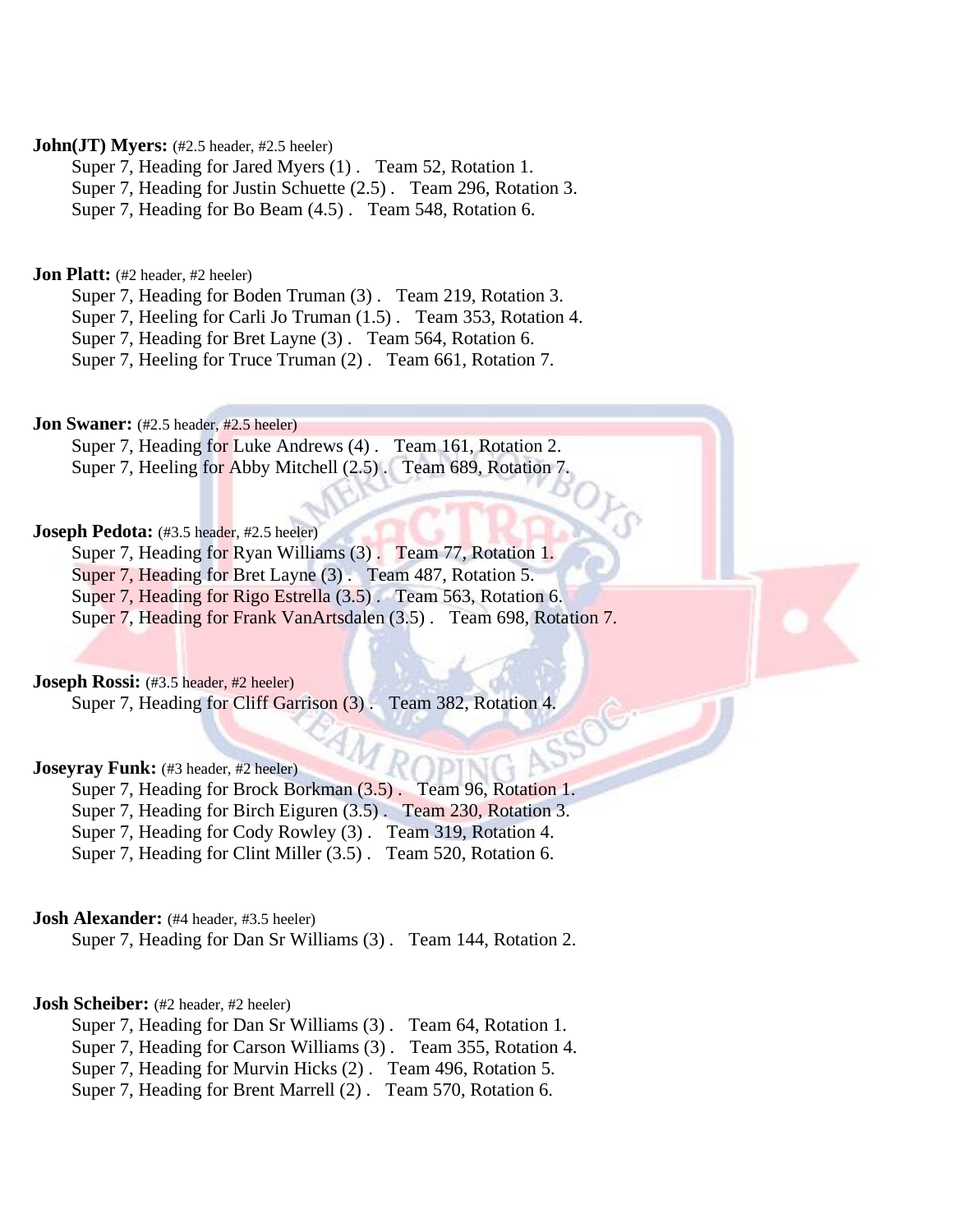# **John(JT) Myers:** (#2.5 header, #2.5 heeler)

Super 7, Heading for Jared Myers (1) . Team 52, Rotation 1. Super 7, Heading for Justin Schuette (2.5) . Team 296, Rotation 3.

Super 7, Heading for Bo Beam (4.5) . Team 548, Rotation 6.

# **Jon Platt:** (#2 header, #2 heeler)

Super 7, Heading for Boden Truman (3) . Team 219, Rotation 3.

Super 7, Heeling for Carli Jo Truman (1.5) . Team 353, Rotation 4.

Super 7, Heading for Bret Layne (3) . Team 564, Rotation 6.

Super 7, Heeling for Truce Truman (2) . Team 661, Rotation 7.

**Jon Swaner:** (#2.5 header, #2.5 heeler)

Super 7, Heading for Luke Andrews (4). Team 161, Rotation 2. Super 7, Heeling for Abby Mitchell (2.5). Team 689, Rotation 7.

# **Joseph Pedota:** (#3.5 header, #2.5 heeler)

Super 7, Heading for Ryan Williams (3). Team 77, Rotation 1.

Super 7, Heading for Bret Layne (3). Team 487, Rotation 5.

Super 7, Heading for Rigo Estrella (3.5) . Team 563, Rotation 6.

Super 7, Heading for Frank VanArtsdalen (3.5) . Team 698, Rotation 7.

**Joseph Rossi:** (#3.5 header, #2 heeler)

Super 7, Heading for Cliff Garrison (3) . Team 382, Rotation 4.

# **Joseyray Funk:** (#3 header, #2 heeler)

Super 7, Heading for Brock Borkman (3.5) . Team 96, Rotation 1. Super 7, Heading for Birch Eiguren (3.5) . Team 230, Rotation 3. Super 7, Heading for Cody Rowley (3) . Team 319, Rotation 4. Super 7, Heading for Clint Miller (3.5) . Team 520, Rotation 6.

# **Josh Alexander:** (#4 header, #3.5 heeler)

Super 7, Heading for Dan Sr Williams (3) . Team 144, Rotation 2.

# **Josh Scheiber:** (#2 header, #2 heeler)

Super 7, Heading for Dan Sr Williams (3) . Team 64, Rotation 1.

Super 7, Heading for Carson Williams (3) . Team 355, Rotation 4.

Super 7, Heading for Murvin Hicks (2) . Team 496, Rotation 5.

Super 7, Heading for Brent Marrell (2) . Team 570, Rotation 6.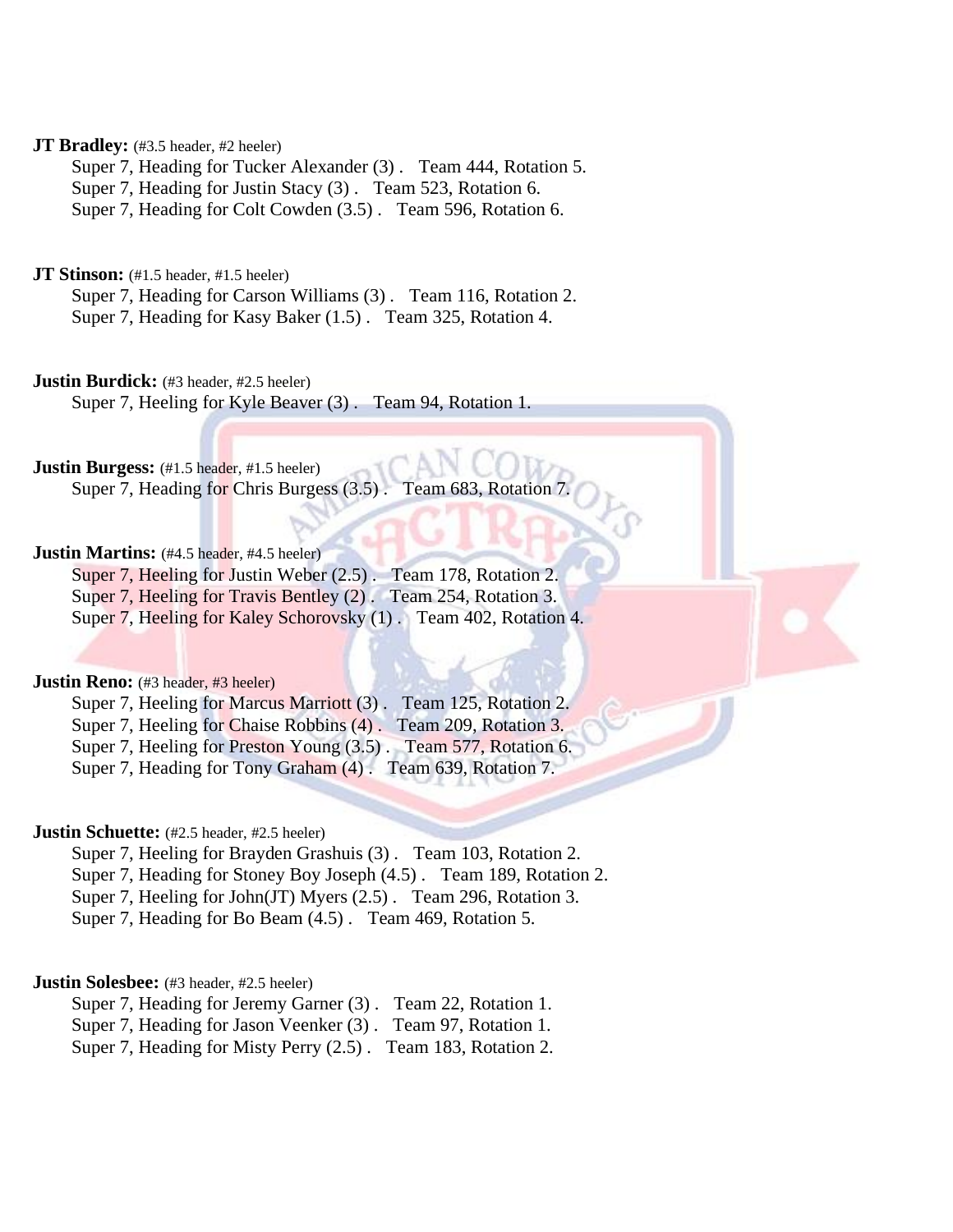# **JT Bradley:** (#3.5 header, #2 heeler)

Super 7, Heading for Tucker Alexander (3) . Team 444, Rotation 5. Super 7, Heading for Justin Stacy (3) . Team 523, Rotation 6. Super 7, Heading for Colt Cowden (3.5) . Team 596, Rotation 6.

**JT Stinson:** (#1.5 header, #1.5 heeler)

Super 7, Heading for Carson Williams (3) . Team 116, Rotation 2. Super 7, Heading for Kasy Baker (1.5) . Team 325, Rotation 4.

### **Justin Burdick:** (#3 header, #2.5 heeler)

Super 7, Heeling for Kyle Beaver (3) . Team 94, Rotation 1.

**Justin Burgess:** (#1.5 header, #1.5 heeler)

Super 7, Heading for Chris Burgess (3.5). Team 683

### **Justin Martins:** (#4.5 header, #4.5 heeler)

Super 7, Heeling for Justin Weber (2.5). Team 178, Rotation 2. Super 7, Heeling for Travis Bentley (2) . Team 254, Rotation 3. Super 7, Heeling for Kaley Schorovsky (1) . Team 402, Rotation 4.

### **Justin Reno:** (#3 header, #3 heeler)

Super 7, Heeling for Marcus Marriott (3) . Team 125, Rotation 2. Super 7, Heeling for Chaise Robbins (4). Team 209, Rotation 3. Super 7, Heeling for Preston Young (3.5) . Team 577, Rotation 6. Super 7, Heading for Tony Graham (4) . Team 639, Rotation 7.

# **Justin Schuette:** (#2.5 header, #2.5 heeler)

Super 7, Heeling for Brayden Grashuis (3) . Team 103, Rotation 2.

Super 7, Heading for Stoney Boy Joseph (4.5) . Team 189, Rotation 2.

Super 7, Heeling for John(JT) Myers (2.5) . Team 296, Rotation 3.

Super 7, Heading for Bo Beam (4.5) . Team 469, Rotation 5.

### **Justin Solesbee:** (#3 header, #2.5 heeler)

Super 7, Heading for Jeremy Garner (3). Team 22, Rotation 1.

Super 7, Heading for Jason Veenker (3) . Team 97, Rotation 1.

Super 7, Heading for Misty Perry (2.5) . Team 183, Rotation 2.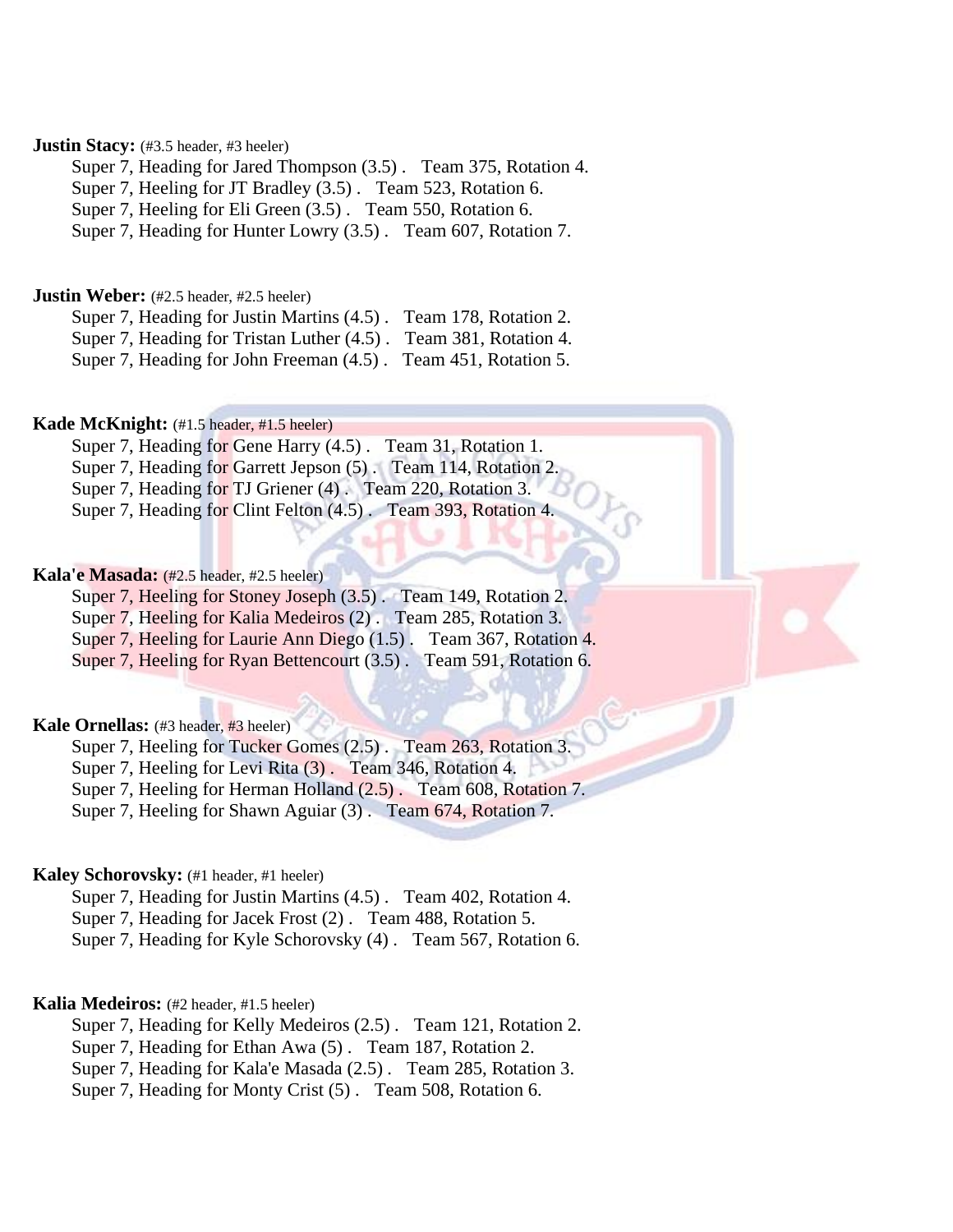# **Justin Stacy:** (#3.5 header, #3 heeler)

Super 7, Heading for Jared Thompson (3.5) . Team 375, Rotation 4.

Super 7, Heeling for JT Bradley (3.5) . Team 523, Rotation 6.

Super 7, Heeling for Eli Green (3.5) . Team 550, Rotation 6.

Super 7, Heading for Hunter Lowry (3.5) . Team 607, Rotation 7.

### **Justin Weber:** (#2.5 header, #2.5 heeler)

Super 7, Heading for Justin Martins (4.5) . Team 178, Rotation 2.

Super 7, Heading for Tristan Luther (4.5) . Team 381, Rotation 4.

Super 7, Heading for John Freeman (4.5) . Team 451, Rotation 5.

# **Kade McKnight:** (#1.5 header, #1.5 heeler)

Super 7, Heading for Gene Harry (4.5) . Team 31, Rotation 1. Super 7, Heading for Garrett Jepson (5). Team 114, Rotation 2. Super 7, Heading for TJ Griener (4) . Team 220, Rotation 3.

Super 7, Heading for Clint Felton (4.5) . Team 393, Rotation 4.

# **Kala'e Masada:** (#2.5 header, #2.5 heeler)

Super 7, Heeling for Stoney Joseph (3.5). Team 149, Rotation 2.

Super 7, Heeling for Kalia Medeiros (2) . Team 285, Rotation 3.

Super 7, Heeling for Laurie Ann Diego (1.5) . Team 367, Rotation 4.

Super 7, Heeling for Ryan Bettencourt (3.5). Team 591, Rotation 6.

# **Kale Ornellas:** (#3 header, #3 heeler)

Super 7, Heeling for Tucker Gomes (2.5) . Team 263, Rotation 3.

Super 7, Heeling for Levi Rita (3) . Team 346, Rotation 4.

Super 7, Heeling for Herman Holland (2.5) . Team 608, Rotation 7.

Super 7, Heeling for Shawn Aguiar (3) . Team 674, Rotation 7.

# **Kaley Schorovsky:** (#1 header, #1 heeler)

Super 7, Heading for Justin Martins (4.5) . Team 402, Rotation 4. Super 7, Heading for Jacek Frost (2) . Team 488, Rotation 5. Super 7, Heading for Kyle Schorovsky (4) . Team 567, Rotation 6.

# **Kalia Medeiros:** (#2 header, #1.5 heeler)

Super 7, Heading for Kelly Medeiros (2.5) . Team 121, Rotation 2. Super 7, Heading for Ethan Awa (5) . Team 187, Rotation 2.

Super 7, Heading for Kala'e Masada (2.5) . Team 285, Rotation 3.

Super 7, Heading for Monty Crist (5) . Team 508, Rotation 6.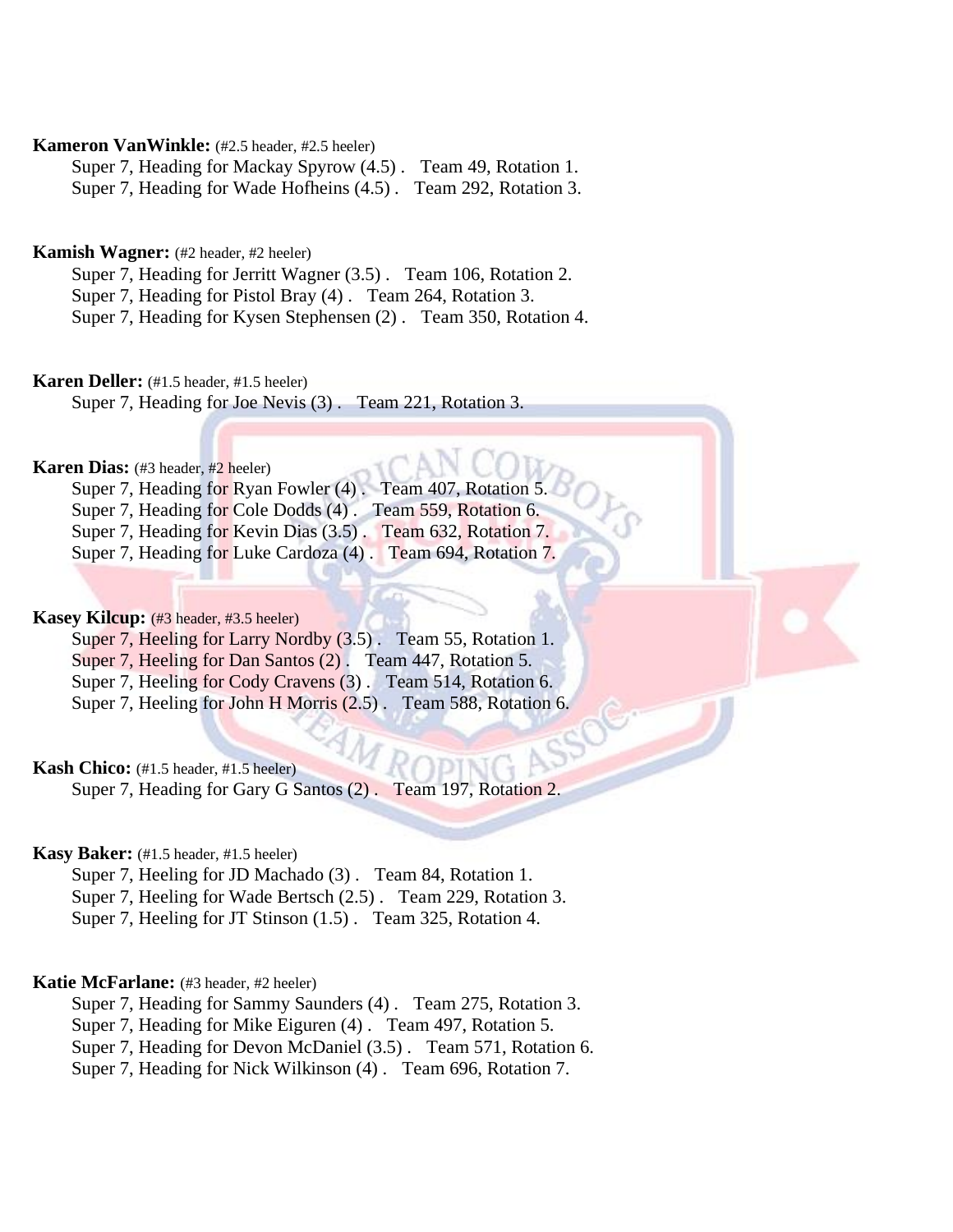# **Kameron VanWinkle:** (#2.5 header, #2.5 heeler)

Super 7, Heading for Mackay Spyrow (4.5) . Team 49, Rotation 1. Super 7, Heading for Wade Hofheins (4.5) . Team 292, Rotation 3.

# **Kamish Wagner:** (#2 header, #2 heeler)

Super 7, Heading for Jerritt Wagner (3.5) . Team 106, Rotation 2. Super 7, Heading for Pistol Bray (4) . Team 264, Rotation 3. Super 7, Heading for Kysen Stephensen (2) . Team 350, Rotation 4.

### **Karen Deller:** (#1.5 header, #1.5 heeler)

Super 7, Heading for Joe Nevis (3) . Team 221, Rotation 3.

### **Karen Dias:** (#3 header, #2 heeler)

Super 7, Heading for Ryan Fowler (4). Team 407, Rotation Super 7, Heading for Cole Dodds (4) . Team 559, Rotation 6. Super 7, Heading for Kevin Dias (3.5) . Team 632, Rotation 7. Super 7, Heading for Luke Cardoza (4) . Team 694, Rotation 7.

### **Kasey Kilcup:** (#3 header, #3.5 heeler)

Super 7, Heeling for Larry Nordby (3.5). Team 55, Rotation 1. Super 7, Heeling for Dan Santos (2) . Team 447, Rotation 5. Super 7, Heeling for Cody Cravens (3). Team 514, Rotation 6. Super 7, Heeling for John H Morris (2.5) . Team 588, Rotation 6.

# **Kash Chico:** (#1.5 header, #1.5 heeler)

Super 7, Heading for Gary G Santos (2) . Team 197, Rotation 2.

### **Kasy Baker:** (#1.5 header, #1.5 heeler)

Super 7, Heeling for JD Machado (3) . Team 84, Rotation 1. Super 7, Heeling for Wade Bertsch (2.5) . Team 229, Rotation 3. Super 7, Heeling for JT Stinson (1.5) . Team 325, Rotation 4.

### **Katie McFarlane:** (#3 header, #2 heeler)

Super 7, Heading for Sammy Saunders (4) . Team 275, Rotation 3.

Super 7, Heading for Mike Eiguren (4) . Team 497, Rotation 5.

Super 7, Heading for Devon McDaniel (3.5) . Team 571, Rotation 6.

Super 7, Heading for Nick Wilkinson (4) . Team 696, Rotation 7.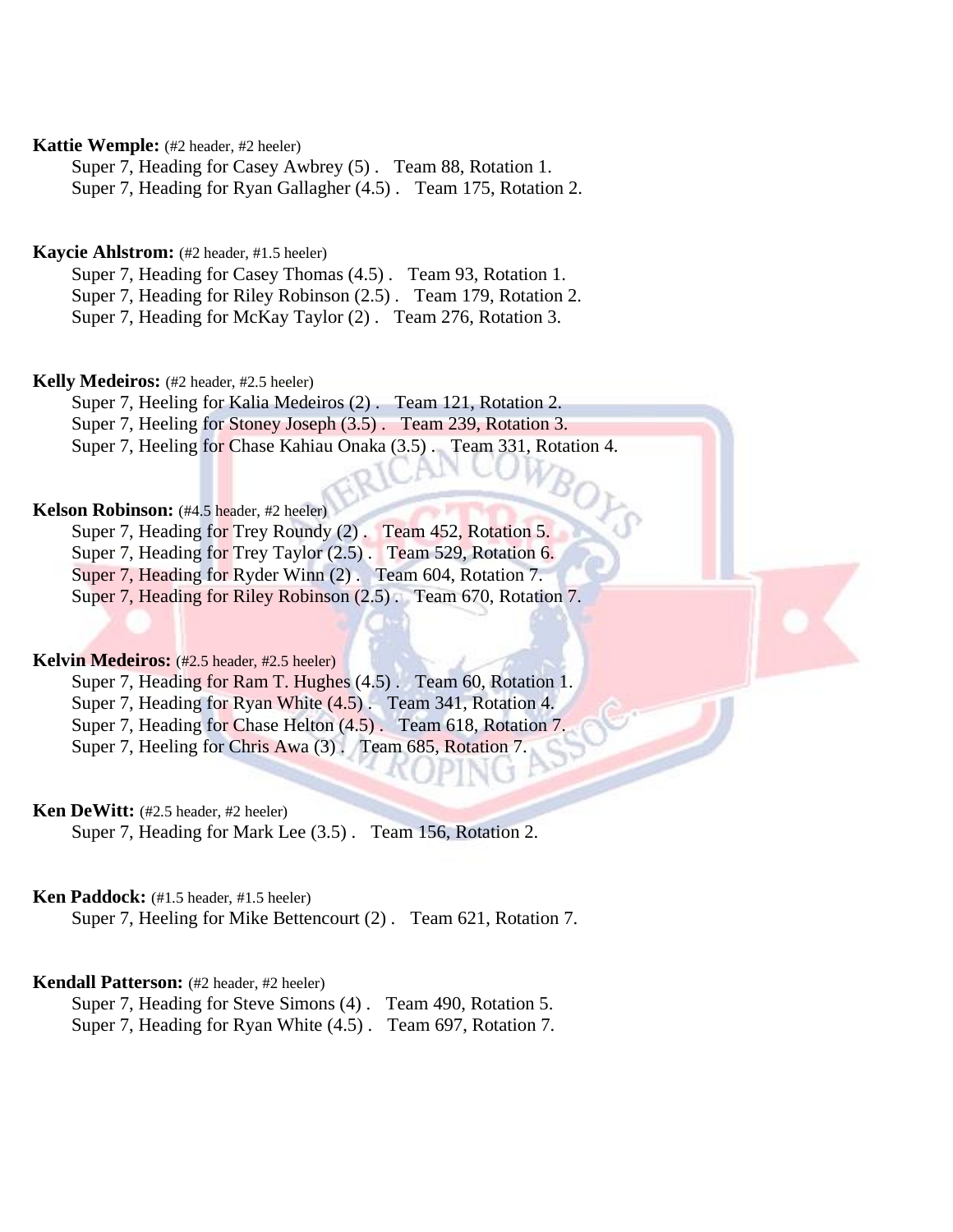# **Kattie Wemple:** (#2 header, #2 heeler)

Super 7, Heading for Casey Awbrey (5) . Team 88, Rotation 1. Super 7, Heading for Ryan Gallagher (4.5) . Team 175, Rotation 2.

# **Kaycie Ahlstrom:** (#2 header, #1.5 heeler)

Super 7, Heading for Casey Thomas (4.5) . Team 93, Rotation 1. Super 7, Heading for Riley Robinson (2.5) . Team 179, Rotation 2. Super 7, Heading for McKay Taylor (2) . Team 276, Rotation 3.

### **Kelly Medeiros:** (#2 header, #2.5 heeler)

Super 7, Heeling for Kalia Medeiros (2) . Team 121, Rotation 2. Super 7, Heeling for Stoney Joseph (3.5) . Team 239, Rotation 3. Super 7, Heeling for Chase Kahiau Onaka (3.5) . Team 331, Rotation 4.

### **Kelson Robinson:** (#4.5 header, #2 heeler)

Super 7, Heading for Trey Roundy (2) . Team 452, Rotation 5. Super 7, Heading for Trey Taylor (2.5). Team 529, Rotation 6. Super 7, Heading for Ryder Winn (2) . Team 604, Rotation 7. Super 7, Heading for Riley Robinson (2.5) . Team 670, Rotation 7.

# **Kelvin Medeiros:** (#2.5 header, #2.5 heeler)

Super 7, Heading for Ram T. Hughes (4.5). Team 60, Rotation 1. Super 7, Heading for Ryan White (4.5) . Team 341, Rotation 4. Super 7, Heading for Chase Helton  $(4.5)$ . Team 618, Rotation 7. Super 7, Heeling for Chris Awa (3) . Team 685, Rotation 7.

# **Ken DeWitt:** (#2.5 header, #2 heeler)

Super 7, Heading for Mark Lee (3.5) . Team 156, Rotation 2.

# **Ken Paddock:** (#1.5 header, #1.5 heeler)

Super 7, Heeling for Mike Bettencourt (2) . Team 621, Rotation 7.

# **Kendall Patterson:** (#2 header, #2 heeler)

Super 7, Heading for Steve Simons (4) . Team 490, Rotation 5. Super 7, Heading for Ryan White (4.5) . Team 697, Rotation 7.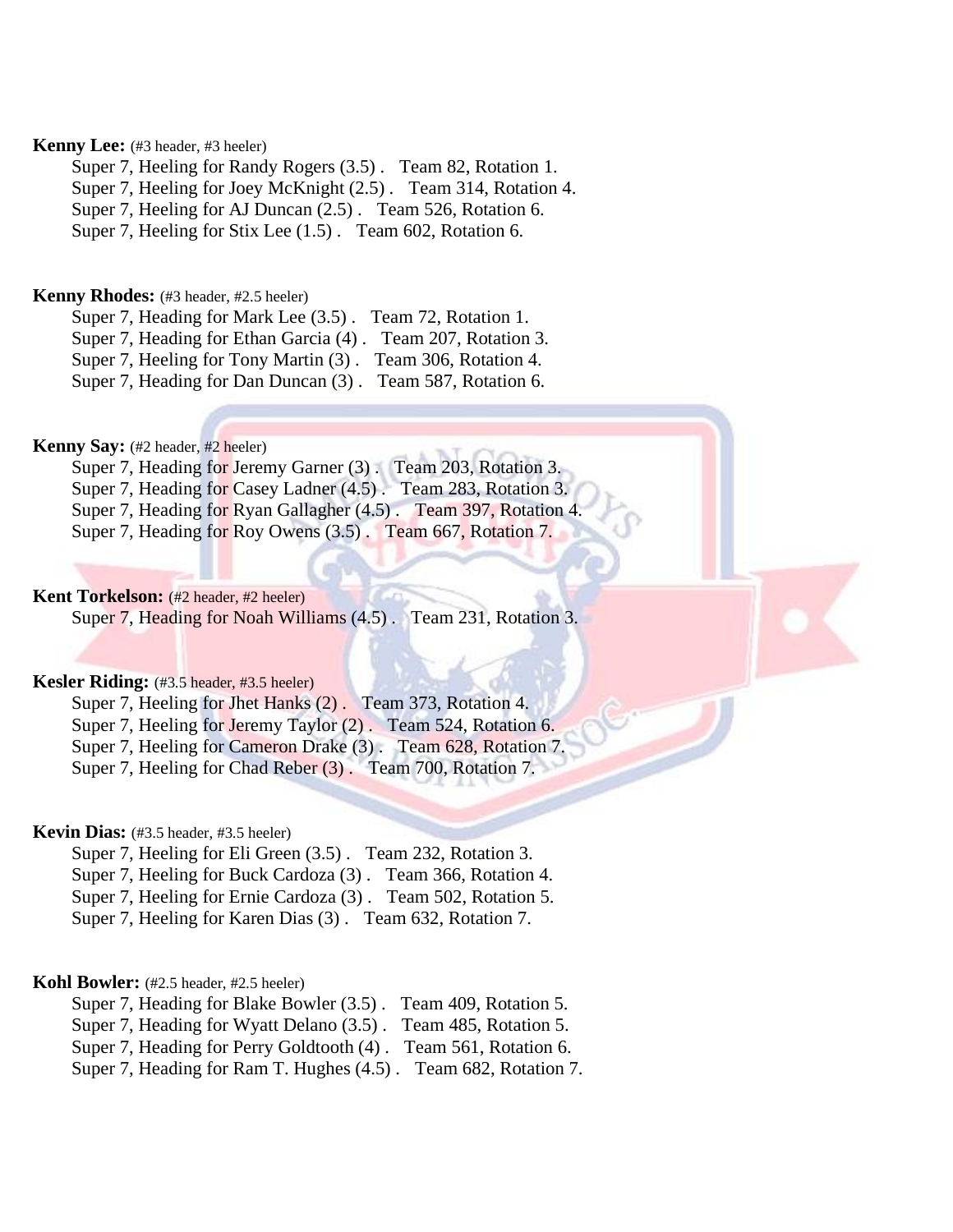# **Kenny Lee:** (#3 header, #3 heeler)

Super 7, Heeling for Randy Rogers (3.5) . Team 82, Rotation 1. Super 7, Heeling for Joey McKnight (2.5) . Team 314, Rotation 4. Super 7, Heeling for AJ Duncan (2.5) . Team 526, Rotation 6. Super 7, Heeling for Stix Lee (1.5) . Team 602, Rotation 6.

### **Kenny Rhodes:** (#3 header, #2.5 heeler)

Super 7, Heading for Mark Lee (3.5) . Team 72, Rotation 1. Super 7, Heading for Ethan Garcia (4) . Team 207, Rotation 3. Super 7, Heeling for Tony Martin (3) . Team 306, Rotation 4.

Super 7, Heading for Dan Duncan (3) . Team 587, Rotation 6.

# **Kenny Say:** (#2 header, #2 heeler)

Super 7, Heading for Jeremy Garner (3) . Team 203, Rotation 3. Super 7, Heading for Casey Ladner (4.5) . Team 283, Rotation 3. Super 7, Heading for Ryan Gallagher (4.5) . Team 397, Rotation 4. Super 7, Heading for Roy Owens (3.5) . Team 667, Rotation 7.

# **Kent Torkelson:** (#2 header, #2 heeler)

Super 7, Heading for Noah Williams (4.5) . Team 231, Rotation 3.

### **Kesler Riding:** (#3.5 header, #3.5 heeler)

Super 7, Heeling for Jhet Hanks (2) . Team 373, Rotation 4.

Super 7, Heeling for Jeremy Taylor (2). Team 524, Rotation 6.

Super 7, Heeling for Cameron Drake (3). Team 628, Rotation 7.

Super 7, Heeling for Chad Reber (3) . Team 700, Rotation 7.

# **Kevin Dias:** (#3.5 header, #3.5 heeler)

Super 7, Heeling for Eli Green (3.5) . Team 232, Rotation 3. Super 7, Heeling for Buck Cardoza (3) . Team 366, Rotation 4. Super 7, Heeling for Ernie Cardoza (3) . Team 502, Rotation 5. Super 7, Heeling for Karen Dias (3) . Team 632, Rotation 7.

### **Kohl Bowler:** (#2.5 header, #2.5 heeler)

Super 7, Heading for Blake Bowler (3.5) . Team 409, Rotation 5.

Super 7, Heading for Wyatt Delano (3.5) . Team 485, Rotation 5.

Super 7, Heading for Perry Goldtooth (4) . Team 561, Rotation 6.

Super 7, Heading for Ram T. Hughes (4.5) . Team 682, Rotation 7.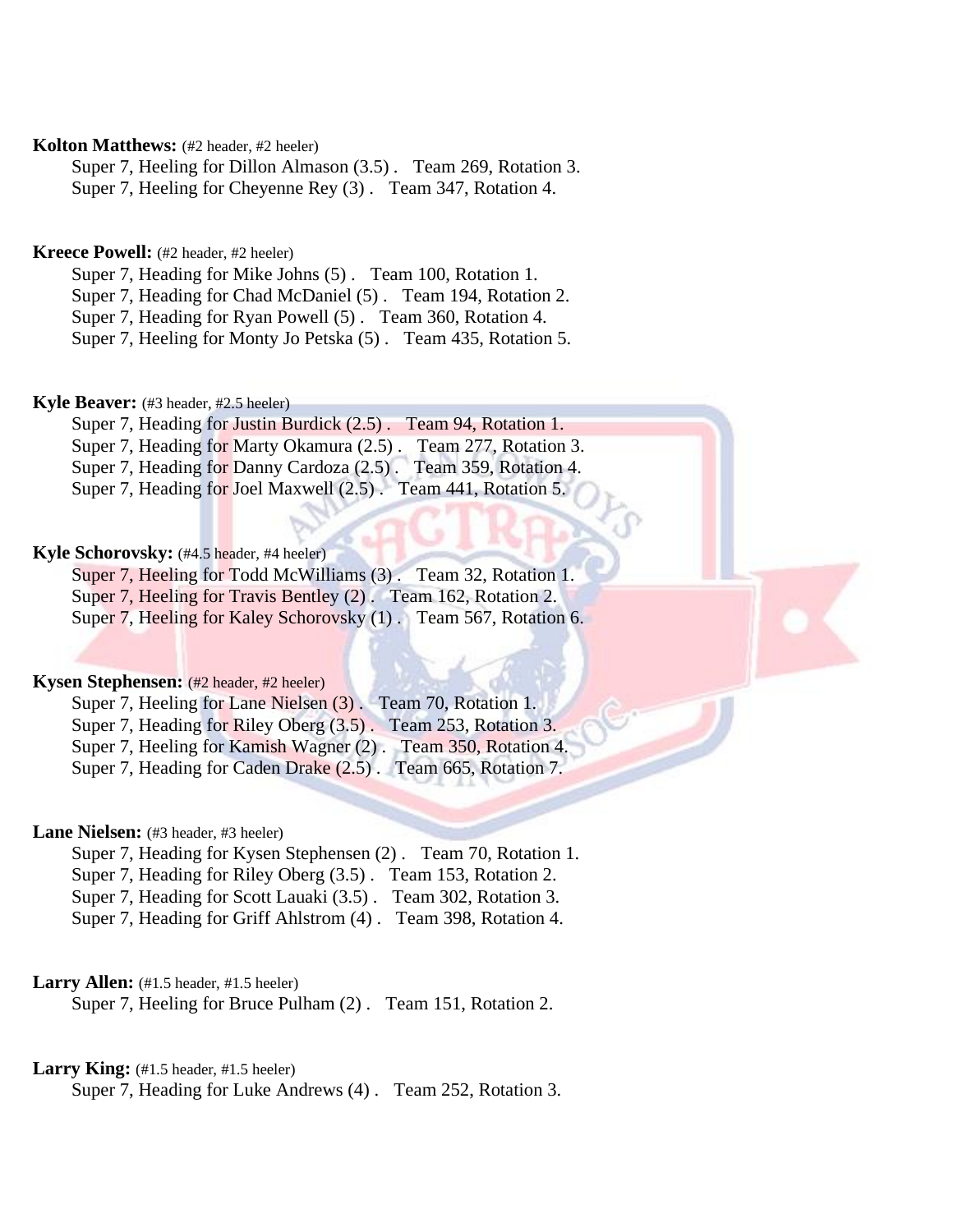# **Kolton Matthews:** (#2 header, #2 heeler)

Super 7, Heeling for Dillon Almason (3.5) . Team 269, Rotation 3. Super 7, Heeling for Cheyenne Rey (3) . Team 347, Rotation 4.

# **Kreece Powell:** (#2 header, #2 heeler)

Super 7, Heading for Mike Johns (5) . Team 100, Rotation 1. Super 7, Heading for Chad McDaniel (5) . Team 194, Rotation 2.

Super 7, Heading for Ryan Powell (5) . Team 360, Rotation 4.

Super 7, Heeling for Monty Jo Petska (5) . Team 435, Rotation 5.

### **Kyle Beaver:** (#3 header, #2.5 heeler)

Super 7, Heading for Justin Burdick (2.5) . Team 94, Rotation 1. Super 7, Heading for Marty Okamura (2.5) . Team 277, Rotation 3. Super 7, Heading for Danny Cardoza (2.5) . Team 359, Rotation 4. Super 7, Heading for Joel Maxwell (2.5) . Team 441, Rotation 5.

### **Kyle Schorovsky:** (#4.5 header, #4 heeler)

Super 7, Heeling for Todd McWilliams (3) . Team 32, Rotation 1. Super 7, Heeling for Travis Bentley (2) . Team 162, Rotation 2. Super 7, Heeling for Kaley Schorovsky (1). Team 567, Rotation 6.

### **Kysen Stephensen:** (#2 header, #2 heeler)

Super 7, Heeling for Lane Nielsen (3) . Team 70, Rotation 1. Super 7, Heading for Riley Oberg (3.5). Team 253, Rotation 3.

Super 7, Heeling for Kamish Wagner (2) . Team 350, Rotation 4.

Super 7, Heading for Caden Drake (2.5). Team 665, Rotation 7.

# Lane Nielsen: (#3 header, #3 heeler)

Super 7, Heading for Kysen Stephensen (2) . Team 70, Rotation 1.

Super 7, Heading for Riley Oberg (3.5) . Team 153, Rotation 2.

Super 7, Heading for Scott Lauaki (3.5) . Team 302, Rotation 3.

Super 7, Heading for Griff Ahlstrom (4) . Team 398, Rotation 4.

# Larry Allen: (#1.5 header, #1.5 heeler)

Super 7, Heeling for Bruce Pulham (2) . Team 151, Rotation 2.

# Larry King: (#1.5 header, #1.5 heeler)

Super 7, Heading for Luke Andrews (4) . Team 252, Rotation 3.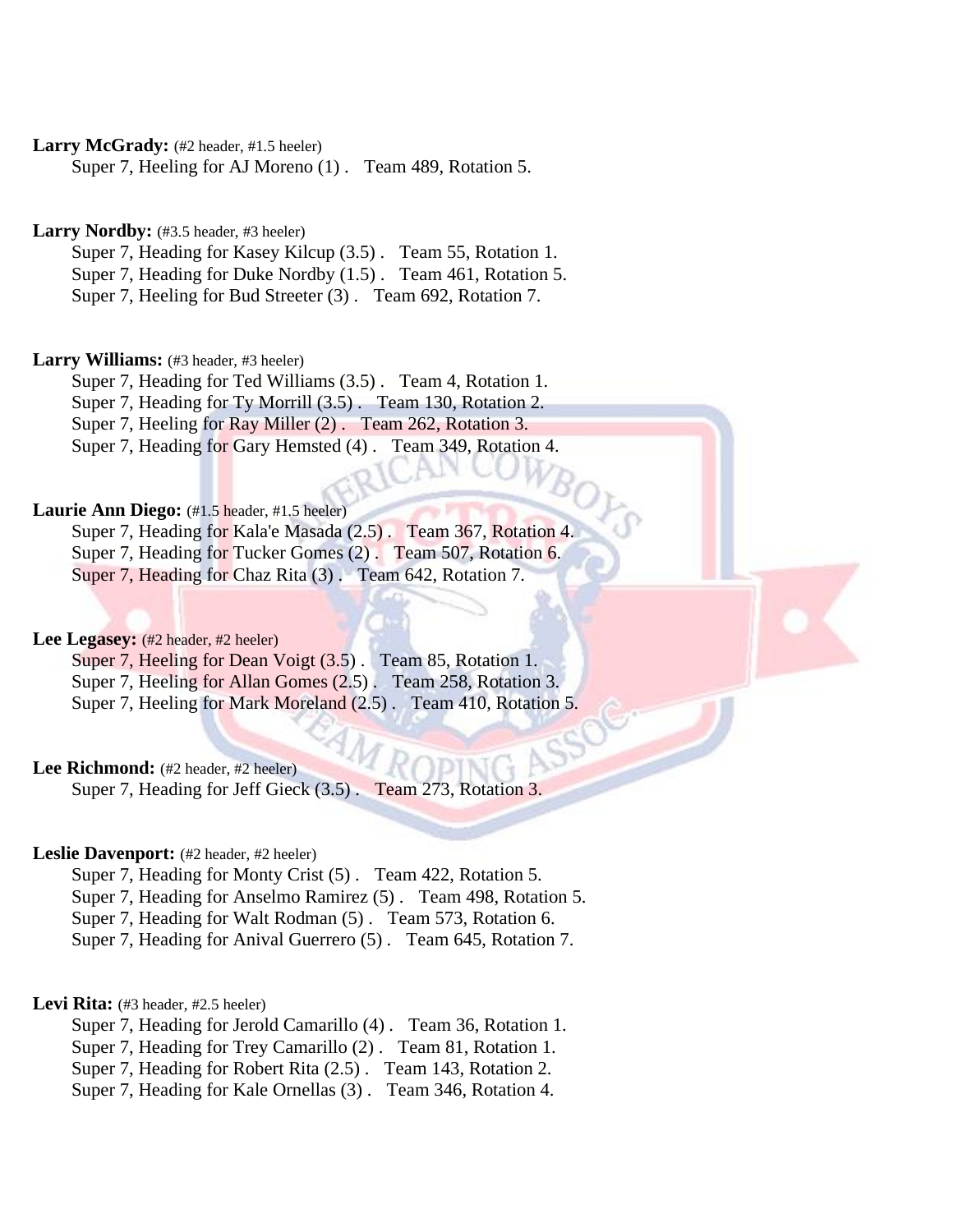Larry McGrady: (#2 header, #1.5 heeler)

Super 7, Heeling for AJ Moreno (1) . Team 489, Rotation 5.

Larry Nordby: (#3.5 header, #3 heeler)

Super 7, Heading for Kasey Kilcup (3.5) . Team 55, Rotation 1.

Super 7, Heading for Duke Nordby (1.5) . Team 461, Rotation 5.

Super 7, Heeling for Bud Streeter (3) . Team 692, Rotation 7.

Larry Williams: (#3 header, #3 heeler)

Super 7, Heading for Ted Williams (3.5) . Team 4, Rotation 1. Super 7, Heading for Ty Morrill (3.5) . Team 130, Rotation 2. Super 7, Heeling for Ray Miller (2) . Team 262, Rotation 3.

Super 7, Heading for Gary Hemsted (4) . Team 349, Rotation 4.

# **Laurie Ann Diego:** (#1.5 header, #1.5 heeler)

Super 7, Heading for Kala'e Masada (2.5) . Team 367, Rotation 4. Super 7, Heading for Tucker Gomes (2). Team 507, Rotation 6. Super 7, Heading for Chaz Rita (3). Team 642, Rotation 7.

Lee Legasey: (#2 header, #2 heeler)

Super 7, Heeling for Dean Voigt (3.5). Team 85, Rotation 1. Super 7, Heeling for Allan Gomes (2.5) . Team 258, Rotation 3. Super 7, Heeling for Mark Moreland (2.5) . Team 410, Rotation 5.

# Lee Richmond: (#2 header, #2 heeler)

Super 7, Heading for Jeff Gieck (3.5) . Team 273, Rotation 3.

### Leslie Davenport: (#2 header, #2 heeler)

Super 7, Heading for Monty Crist (5) . Team 422, Rotation 5. Super 7, Heading for Anselmo Ramirez (5) . Team 498, Rotation 5. Super 7, Heading for Walt Rodman (5) . Team 573, Rotation 6. Super 7, Heading for Anival Guerrero (5) . Team 645, Rotation 7.

# Levi Rita: (#3 header, #2.5 heeler)

Super 7, Heading for Jerold Camarillo (4) . Team 36, Rotation 1. Super 7, Heading for Trey Camarillo (2) . Team 81, Rotation 1. Super 7, Heading for Robert Rita (2.5) . Team 143, Rotation 2. Super 7, Heading for Kale Ornellas (3) . Team 346, Rotation 4.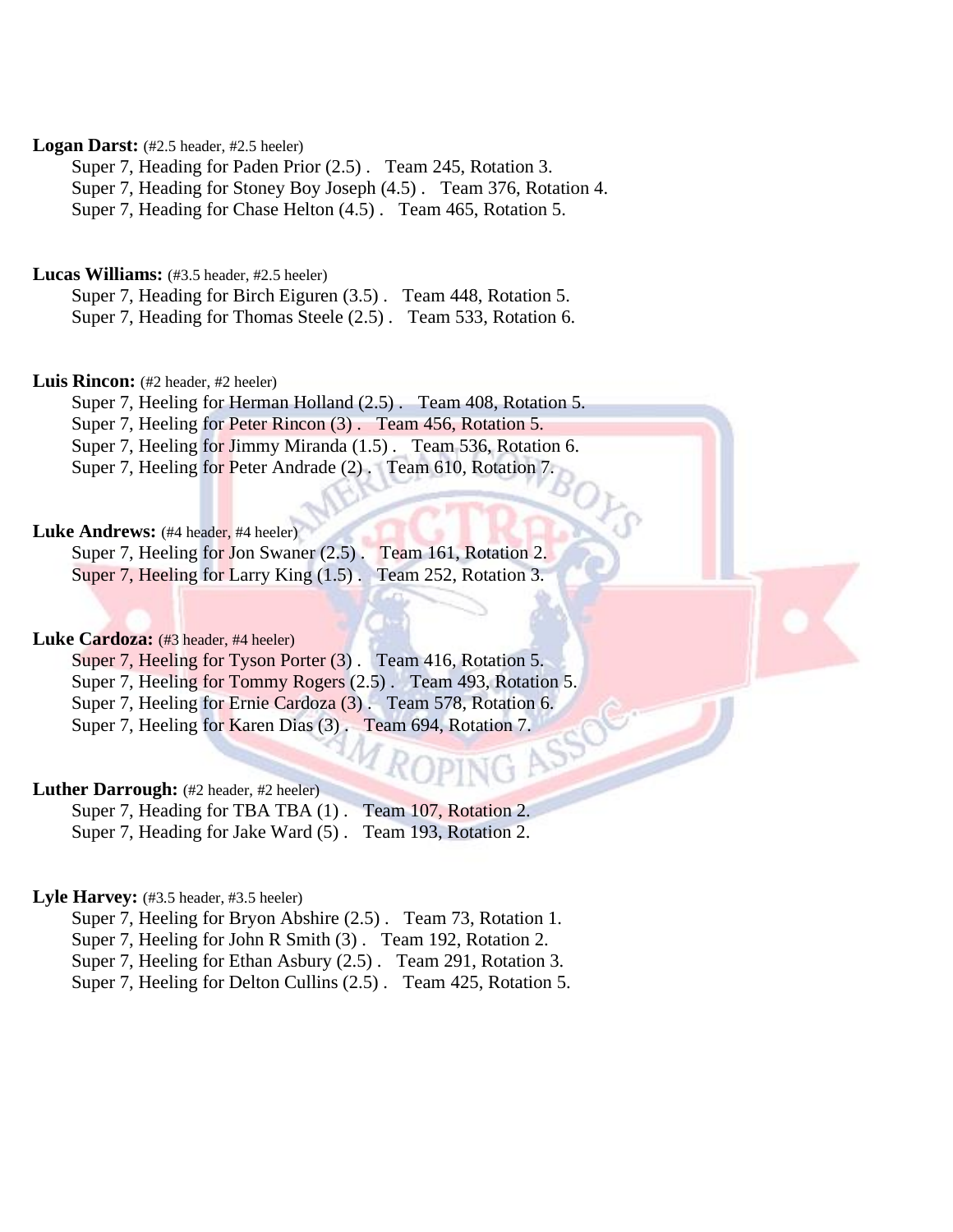# Logan Darst: (#2.5 header, #2.5 heeler)

Super 7, Heading for Paden Prior (2.5) . Team 245, Rotation 3. Super 7, Heading for Stoney Boy Joseph (4.5) . Team 376, Rotation 4.

Super 7, Heading for Chase Helton (4.5) . Team 465, Rotation 5.

# **Lucas Williams:** (#3.5 header, #2.5 heeler)

Super 7, Heading for Birch Eiguren (3.5) . Team 448, Rotation 5. Super 7, Heading for Thomas Steele (2.5) . Team 533, Rotation 6.

### Luis Rincon: (#2 header, #2 heeler)

Super 7, Heeling for Herman Holland (2.5) . Team 408, Rotation 5. Super 7, Heeling for Peter Rincon (3). Team 456, Rotation 5. Super 7, Heeling for Jimmy Miranda (1.5) . Team 536, Rotation 6. Super 7, Heeling for Peter Andrade (2) . Team 610, Rotation 7.

# Luke Andrews: (#4 header, #4 heeler)

Super 7, Heeling for Jon Swaner (2.5). Team 161, Rotation 2. Super 7, Heeling for Larry King (1.5) . Team 252, Rotation 3.

# Luke Cardoza: (#3 header, #4 heeler)

Super 7, Heeling for Tyson Porter (3). Team 416, Rotation 5. Super 7, Heeling for Tommy Rogers (2.5) . Team 493, Rotation 5. Super 7, Heeling for Ernie Cardoza (3) . Team 578, Rotation 6. Super 7, Heeling for Karen Dias (3) . Team 694, Rotation 7.

# Luther Darrough: (#2 header, #2 heeler)

Super 7, Heading for TBA TBA (1). Team 107, Rotation 2. Super 7, Heading for Jake Ward (5) . Team 193, Rotation 2.

# Lyle Harvey: (#3.5 header, #3.5 heeler)

Super 7, Heeling for Bryon Abshire (2.5) . Team 73, Rotation 1. Super 7, Heeling for John R Smith (3) . Team 192, Rotation 2. Super 7, Heeling for Ethan Asbury (2.5) . Team 291, Rotation 3. Super 7, Heeling for Delton Cullins (2.5) . Team 425, Rotation 5.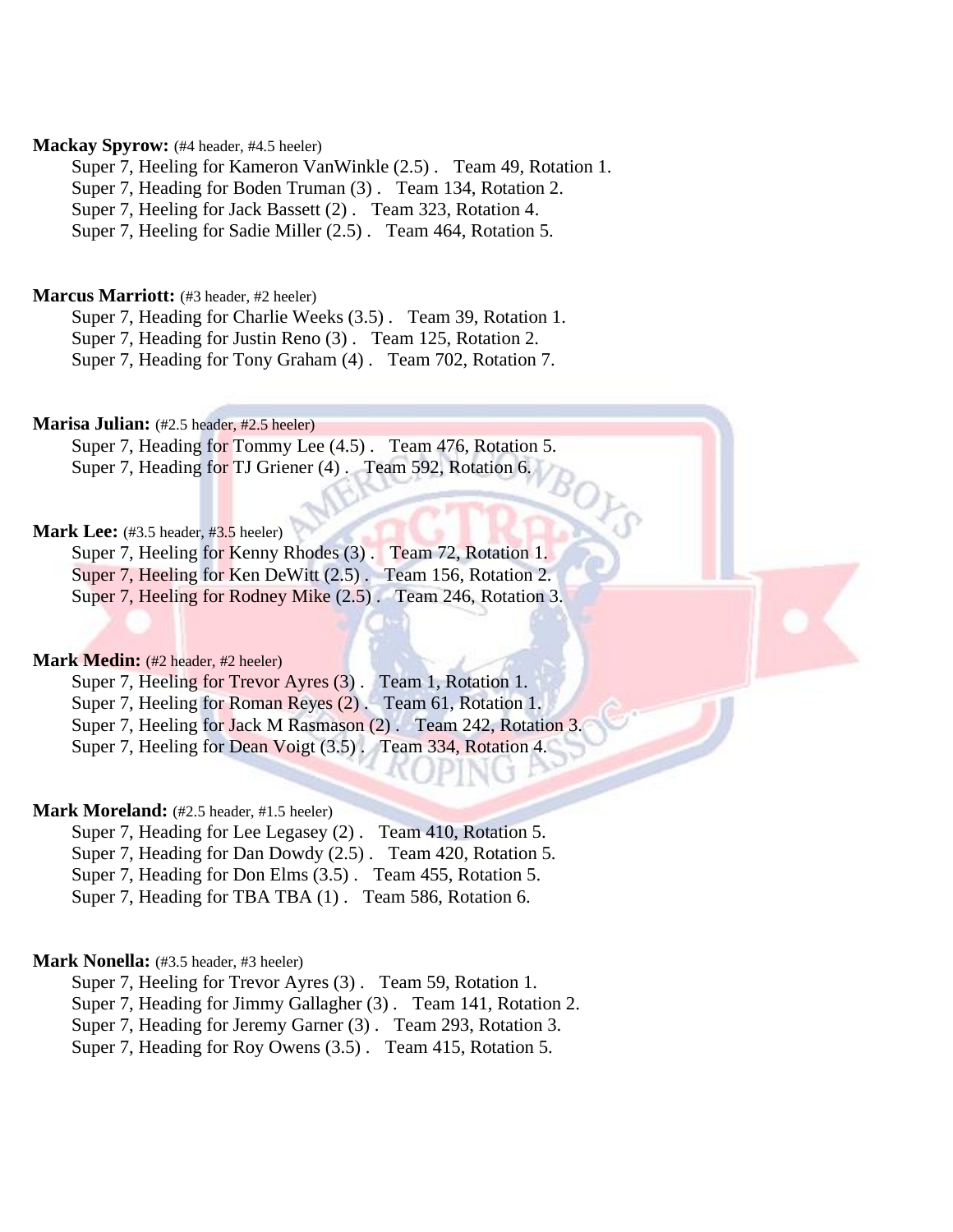# Mackay Spyrow: (#4 header, #4.5 heeler)

Super 7, Heeling for Kameron VanWinkle (2.5) . Team 49, Rotation 1. Super 7, Heading for Boden Truman (3) . Team 134, Rotation 2.

Super 7, Heeling for Jack Bassett (2) . Team 323, Rotation 4.

Super 7, Heeling for Sadie Miller (2.5) . Team 464, Rotation 5.

### **Marcus Marriott:** (#3 header, #2 heeler)

Super 7, Heading for Charlie Weeks (3.5) . Team 39, Rotation 1.

Super 7, Heading for Justin Reno (3) . Team 125, Rotation 2.

Super 7, Heading for Tony Graham (4) . Team 702, Rotation 7.

# **Marisa Julian:** (#2.5 header, #2.5 heeler)

Super 7, Heading for Tommy Lee (4.5) . Team 476, Rotation 5. Super 7, Heading for TJ Griener (4) . Team 592, Rotation 6.  $^8\!O$ 

# **Mark Lee:** (#3.5 header, #3.5 heeler)

Super 7, Heeling for Kenny Rhodes (3) . Team 72, Rotation 1. Super 7, Heeling for Ken DeWitt (2.5) . Team 156, Rotation 2. Super 7, Heeling for Rodney Mike (2.5) . Team 246, Rotation 3.

### **Mark Medin:** (#2 header, #2 heeler)

Super 7, Heeling for Trevor Ayres (3) . Team 1, Rotation 1. Super 7, Heeling for Roman Reyes (2) . Team 61, Rotation 1. Super 7, Heeling for Jack M Rasmason (2). Team 242, Rotation 3. Super 7, Heeling for Dean Voigt (3.5) . Team 334, Rotation 4.

# Mark Moreland: (#2.5 header, #1.5 heeler)

Super 7, Heading for Lee Legasey (2) . Team 410, Rotation 5. Super 7, Heading for Dan Dowdy (2.5) . Team 420, Rotation 5. Super 7, Heading for Don Elms (3.5) . Team 455, Rotation 5. Super 7, Heading for TBA TBA  $(1)$ . Team 586, Rotation 6.

### **Mark Nonella:** (#3.5 header, #3 heeler)

Super 7, Heeling for Trevor Ayres (3) . Team 59, Rotation 1.

Super 7, Heading for Jimmy Gallagher (3) . Team 141, Rotation 2.

Super 7, Heading for Jeremy Garner (3). Team 293, Rotation 3.

Super 7, Heading for Roy Owens (3.5) . Team 415, Rotation 5.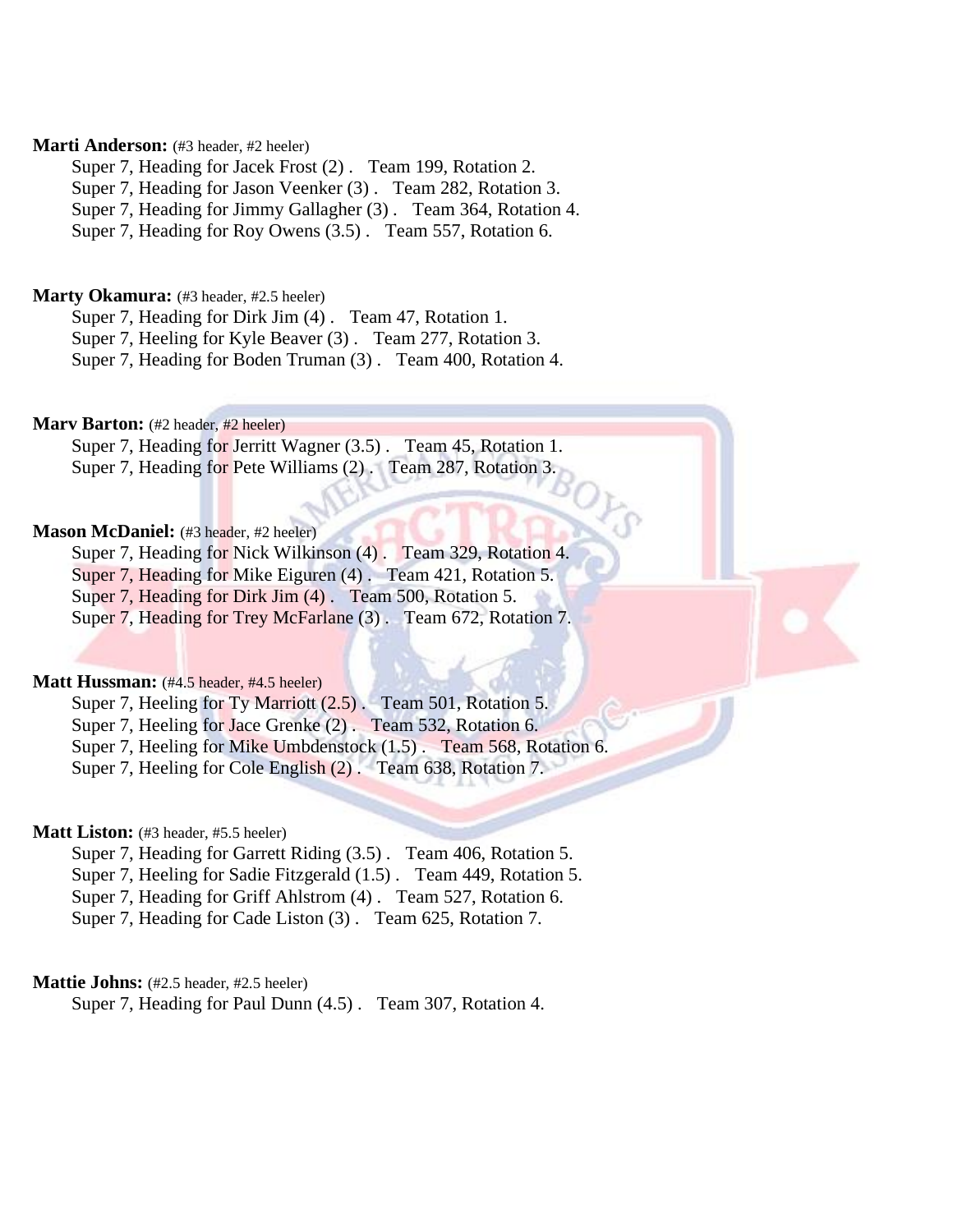# **Marti Anderson:** (#3 header, #2 heeler)

Super 7, Heading for Jacek Frost (2) . Team 199, Rotation 2.

Super 7, Heading for Jason Veenker (3) . Team 282, Rotation 3.

Super 7, Heading for Jimmy Gallagher (3) . Team 364, Rotation 4.

Super 7, Heading for Roy Owens (3.5) . Team 557, Rotation 6.

### **Marty Okamura:** (#3 header, #2.5 heeler)

Super 7, Heading for Dirk Jim (4) . Team 47, Rotation 1. Super 7, Heeling for Kyle Beaver (3) . Team 277, Rotation 3. Super 7, Heading for Boden Truman (3) . Team 400, Rotation 4.

### **Marv Barton:** (#2 header, #2 heeler)

Super 7, Heading for Jerritt Wagner (3.5) . Team 45, Rotation 1. Super 7, Heading for Pete Williams (2) . Team 287, Rotation 3.

### Mason McDaniel: (#3 header, #2 heeler)

Super 7, Heading for Nick Wilkinson (4). Team 329, Rotation 4. Super 7, Heading for Mike Eiguren (4). Team 421, Rotation 5. Super 7, Heading for Dirk Jim (4). Team 500, Rotation 5. Super 7, Heading for Trey McFarlane (3). Team 672, Rotation 7.

### **Matt Hussman:** (#4.5 header, #4.5 heeler)

Super 7, Heeling for Ty Marriott (2.5). Team 501, Rotation 5. Super 7, Heeling for Jace Grenke (2). Team 532, Rotation 6.

Super 7, Heeling for Mike Umbdenstock (1.5) . Team 568, Rotation 6.

Super 7, Heeling for Cole English (2). Team 638, Rotation 7.

# **Matt Liston:** (#3 header, #5.5 heeler)

Super 7, Heading for Garrett Riding (3.5) . Team 406, Rotation 5.

Super 7, Heeling for Sadie Fitzgerald (1.5) . Team 449, Rotation 5.

Super 7, Heading for Griff Ahlstrom (4) . Team 527, Rotation 6.

Super 7, Heading for Cade Liston (3) . Team 625, Rotation 7.

### **Mattie Johns:** (#2.5 header, #2.5 heeler)

Super 7, Heading for Paul Dunn (4.5) . Team 307, Rotation 4.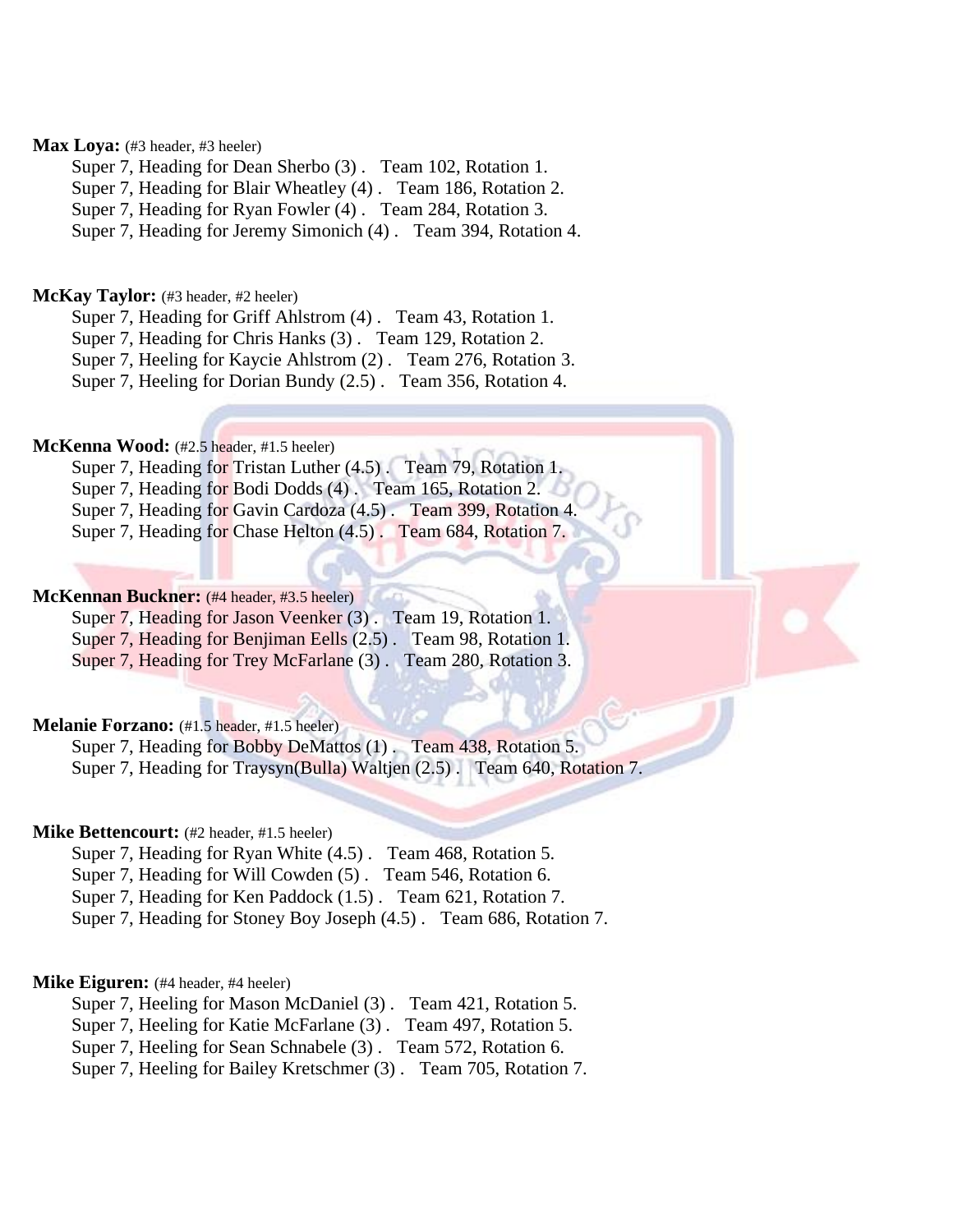# Max Loya: (#3 header, #3 heeler)

Super 7, Heading for Dean Sherbo (3) . Team 102, Rotation 1.

Super 7, Heading for Blair Wheatley (4) . Team 186, Rotation 2.

Super 7, Heading for Ryan Fowler (4) . Team 284, Rotation 3.

Super 7, Heading for Jeremy Simonich (4) . Team 394, Rotation 4.

### McKay Taylor: (#3 header, #2 heeler)

Super 7, Heading for Griff Ahlstrom (4) . Team 43, Rotation 1.

Super 7, Heading for Chris Hanks (3) . Team 129, Rotation 2.

Super 7, Heeling for Kaycie Ahlstrom (2) . Team 276, Rotation 3.

Super 7, Heeling for Dorian Bundy (2.5) . Team 356, Rotation 4.

# **McKenna Wood:** (#2.5 header, #1.5 heeler)

Super 7, Heading for Tristan Luther (4.5). Team 79, Rotation 1.

Super 7, Heading for Bodi Dodds (4). Team 165, Rotation 2.

Super 7, Heading for Gavin Cardoza (4.5) . Team 399, Rotation 4.

Super 7, Heading for Chase Helton (4.5) . Team 684, Rotation 7.

# **McKennan Buckner:** (#4 header, #3.5 heeler)

Super 7, Heading for Jason Veenker (3). Team 19, Rotation 1. Super 7, Heading for Benjiman Eells (2.5). Team 98, Rotation 1.

Super 7, Heading for Trey McFarlane (3). Team 280, Rotation 3.

# **Melanie Forzano:** (#1.5 header, #1.5 heeler)

Super 7, Heading for Bobby DeMattos (1). Team 438, Rotation 5. Super 7, Heading for Traysyn(Bulla) Waltjen (2.5) . Team 640, Rotation 7.

### **Mike Bettencourt:** (#2 header, #1.5 heeler)

Super 7, Heading for Ryan White (4.5) . Team 468, Rotation 5.

Super 7, Heading for Will Cowden (5) . Team 546, Rotation 6.

Super 7, Heading for Ken Paddock (1.5) . Team 621, Rotation 7.

Super 7, Heading for Stoney Boy Joseph (4.5) . Team 686, Rotation 7.

### **Mike Eiguren:** (#4 header, #4 heeler)

Super 7, Heeling for Mason McDaniel (3) . Team 421, Rotation 5.

Super 7, Heeling for Katie McFarlane (3) . Team 497, Rotation 5.

Super 7, Heeling for Sean Schnabele (3) . Team 572, Rotation 6.

Super 7, Heeling for Bailey Kretschmer (3) . Team 705, Rotation 7.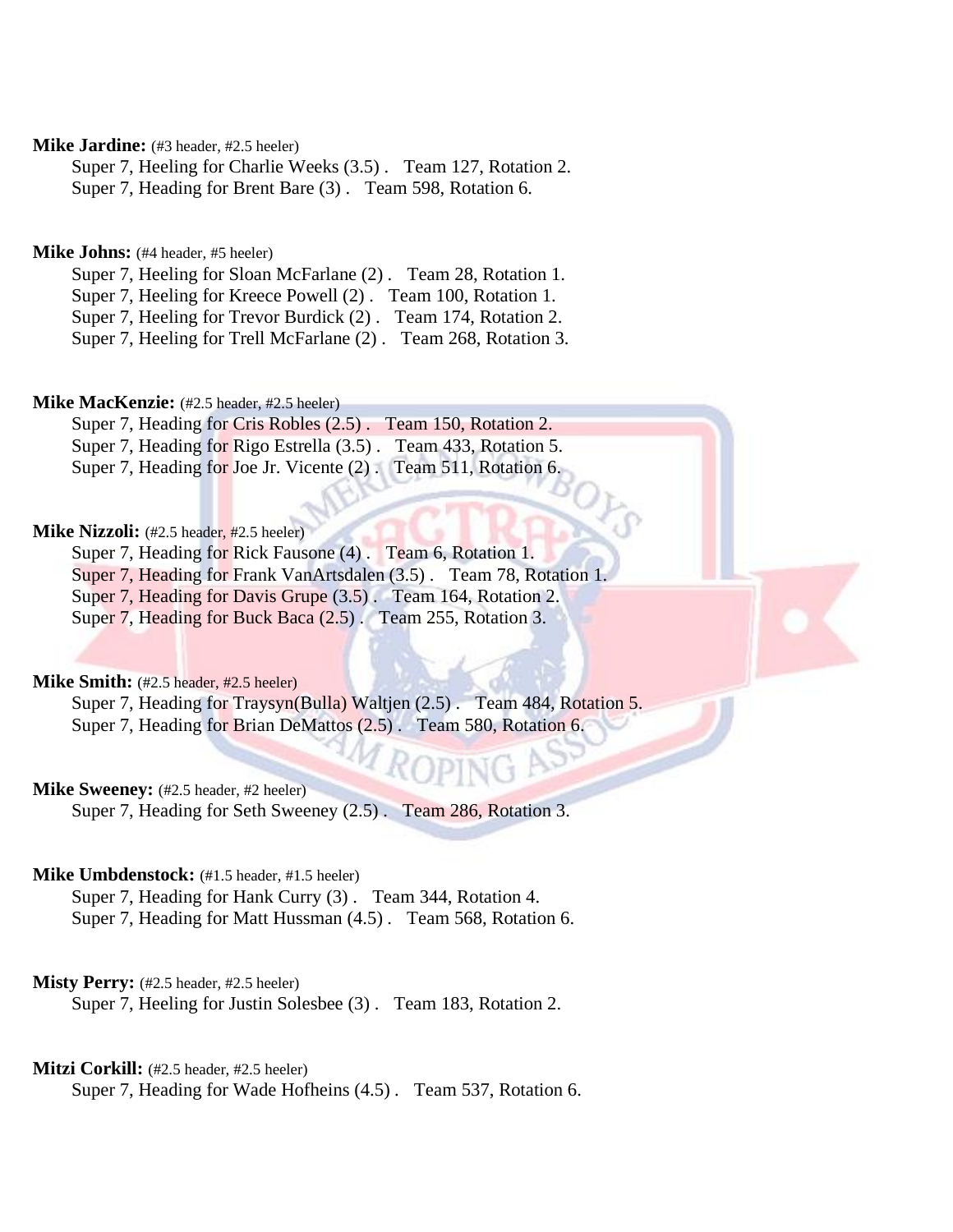# **Mike Jardine:** (#3 header, #2.5 heeler)

Super 7, Heeling for Charlie Weeks (3.5) . Team 127, Rotation 2. Super 7, Heading for Brent Bare (3) . Team 598, Rotation 6.

### **Mike Johns:** (#4 header, #5 heeler)

Super 7, Heeling for Sloan McFarlane (2) . Team 28, Rotation 1. Super 7, Heeling for Kreece Powell (2) . Team 100, Rotation 1. Super 7, Heeling for Trevor Burdick (2) . Team 174, Rotation 2. Super 7, Heeling for Trell McFarlane (2) . Team 268, Rotation 3.

# **Mike MacKenzie:** (#2.5 header, #2.5 heeler)

Super 7, Heading for Cris Robles (2.5) . Team 150, Rotation 2. Super 7, Heading for Rigo Estrella (3.5) . Team 433, Rotation 5. Super 7, Heading for Joe Jr. Vicente (2) . Team 511, Rotation 6.

# **Mike Nizzoli:** (#2.5 header, #2.5 heeler)

Super 7, Heading for Rick Fausone (4) . Team 6, Rotation 1. Super 7, Heading for Frank VanArtsdalen (3.5) . Team 78, Rotation 1. Super 7, Heading for Davis Grupe (3.5) . Team 164, Rotation 2. Super 7, Heading for Buck Baca (2.5) . Team 255, Rotation 3.

**Mike Smith:**  $(\text{\#2.5} \text{ header}, \text{\#2.5} \text{ header})$ 

Super 7, Heading for Traysyn(Bulla) Waltjen (2.5) . Team 484, Rotation 5. Super 7, Heading for Brian DeMattos (2.5). Team 580, Rotation 6.

# **Mike Sweeney:** (#2.5 header, #2 heeler)

Super 7, Heading for Seth Sweeney (2.5) . Team 286, Rotation 3.

# **Mike Umbdenstock:** (#1.5 header, #1.5 heeler)

Super 7, Heading for Hank Curry (3) . Team 344, Rotation 4. Super 7, Heading for Matt Hussman (4.5) . Team 568, Rotation 6.

### **Misty Perry:** (#2.5 header, #2.5 heeler)

Super 7, Heeling for Justin Solesbee (3) . Team 183, Rotation 2.

### Mitzi Corkill: (#2.5 header, #2.5 heeler)

Super 7, Heading for Wade Hofheins (4.5) . Team 537, Rotation 6.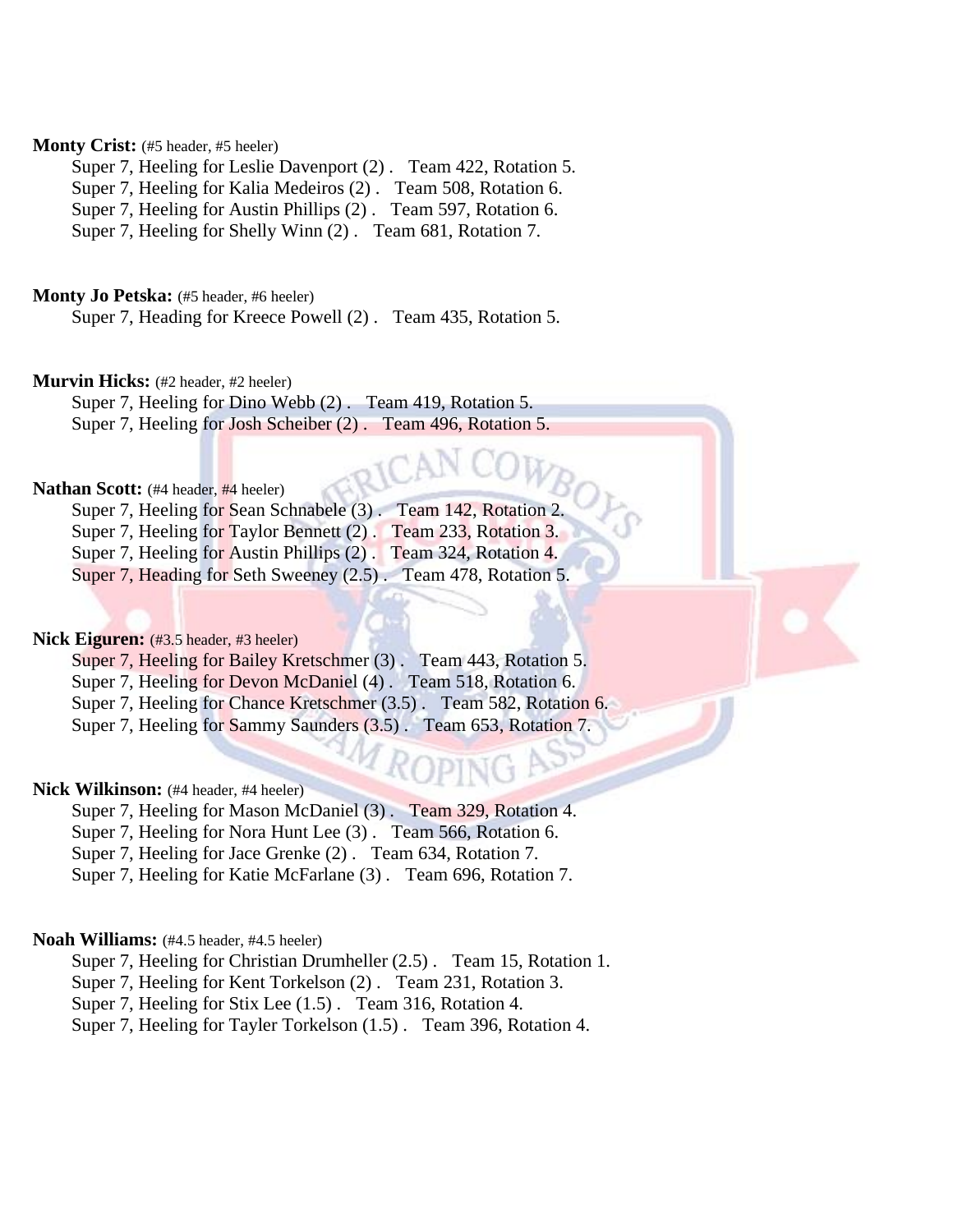# Monty Crist: (#5 header, #5 heeler)

Super 7, Heeling for Leslie Davenport (2) . Team 422, Rotation 5. Super 7, Heeling for Kalia Medeiros (2) . Team 508, Rotation 6. Super 7, Heeling for Austin Phillips (2) . Team 597, Rotation 6. Super 7, Heeling for Shelly Winn (2) . Team 681, Rotation 7.

### **Monty Jo Petska:** (#5 header, #6 heeler)

Super 7, Heading for Kreece Powell (2) . Team 435, Rotation 5.

### **Murvin Hicks:** (#2 header, #2 heeler)

Super 7, Heeling for Dino Webb (2) . Team 419, Rotation 5. Super 7, Heeling for Josh Scheiber (2) . Team 496, Rotation 5.

# **Nathan Scott:** (#4 header, #4 heeler)

Super 7, Heeling for Sean Schnabele (3). Team 142, Rotation 2. Super 7, Heeling for Taylor Bennett (2) . Team 233, Rotation 3. Super 7, Heeling for Austin Phillips (2) . Team 324, Rotation 4. Super 7, Heading for Seth Sweeney (2.5). Team 478, Rotation 5.

# Nick Eiguren: (#3.5 header, #3 heeler)

Super 7, Heeling for Bailey Kretschmer (3). Team 443, Rotation 5. Super 7, Heeling for Devon McDaniel (4) . Team 518, Rotation 6. Super 7, Heeling for Chance Kretschmer (3.5) . Team 582, Rotation 6. Super 7, Heeling for Sammy Saunders (3.5) . Team 653, Rotation 7.

# Nick Wilkinson: (#4 header, #4 heeler)

Super 7, Heeling for Mason McDaniel (3) . Team 329, Rotation 4.

Super 7, Heeling for Nora Hunt Lee (3) . Team 566, Rotation 6.

Super 7, Heeling for Jace Grenke (2) . Team 634, Rotation 7.

Super 7, Heeling for Katie McFarlane (3) . Team 696, Rotation 7.

# **Noah Williams:** (#4.5 header, #4.5 heeler)

Super 7, Heeling for Christian Drumheller (2.5) . Team 15, Rotation 1.

Super 7, Heeling for Kent Torkelson (2) . Team 231, Rotation 3.

Super 7, Heeling for Stix Lee (1.5) . Team 316, Rotation 4.

Super 7, Heeling for Tayler Torkelson (1.5) . Team 396, Rotation 4.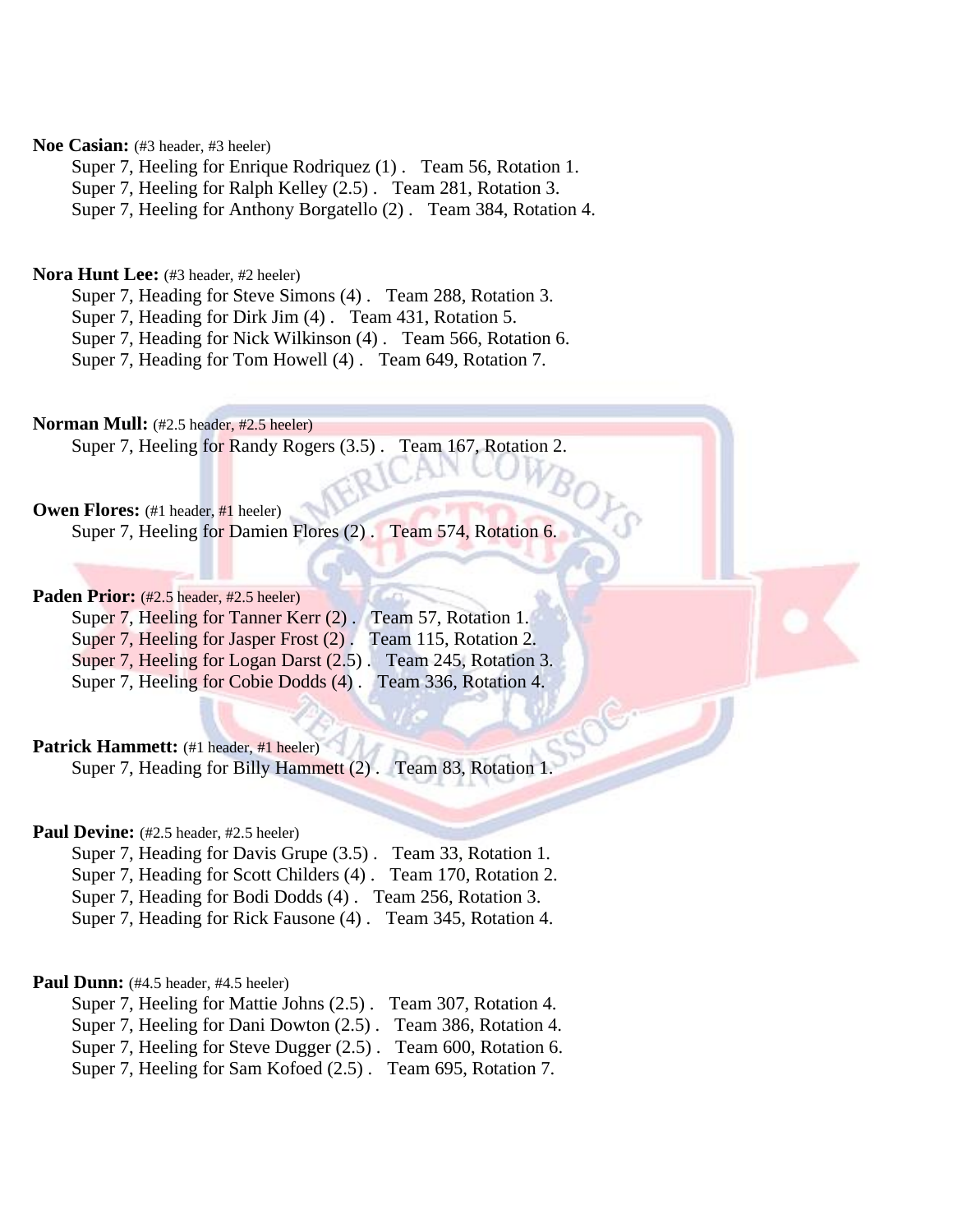# Noe Casian: (#3 header, #3 heeler)

Super 7, Heeling for Enrique Rodriquez (1) . Team 56, Rotation 1.

Super 7, Heeling for Ralph Kelley (2.5) . Team 281, Rotation 3.

Super 7, Heeling for Anthony Borgatello (2) . Team 384, Rotation 4.

### **Nora Hunt Lee:** (#3 header, #2 heeler)

Super 7, Heading for Steve Simons (4) . Team 288, Rotation 3.

Super 7, Heading for Dirk Jim (4) . Team 431, Rotation 5.

Super 7, Heading for Nick Wilkinson (4) . Team 566, Rotation 6.

Super 7, Heading for Tom Howell (4) . Team 649, Rotation 7.

**Norman Mull:** (#2.5 header, #2.5 heeler) Super 7, Heeling for Randy Rogers (3.5) . Team 167, Rotation 2.

**Owen Flores:** (#1 header, #1 heeler)

Super 7, Heeling for Damien Flores (2) . Team 574, Rotation 6.

# Paden Prior: (#2.5 header, #2.5 heeler)

| Super 7, Heeling for Tanner Kerr (2). Team 57, Rotation 1.    |                       |
|---------------------------------------------------------------|-----------------------|
| Super 7, Heeling for Jasper Frost (2).                        | Team 115, Rotation 2. |
| Super 7, Heeling for Logan Darst (2.5). Team 245, Rotation 3. |                       |
| Super 7, Heeling for Cobie Dodds (4). Team 336, Rotation 4.   |                       |

# Patrick Hammett: (#1 header, #1 heeler)

Super 7, Heading for Billy Hammett (2) . Team 83, Rotation 1.

# Paul Devine: (#2.5 header, #2.5 heeler)

| Super 7, Heading for Davis Grupe (3.5). Team 33, Rotation 1.   |  |
|----------------------------------------------------------------|--|
| Super 7, Heading for Scott Childers (4). Team 170, Rotation 2. |  |
| Super 7, Heading for Bodi Dodds (4). Team 256, Rotation 3.     |  |
| Super 7, Heading for Rick Fausone (4). Team 345, Rotation 4.   |  |

### Paul Dunn: (#4.5 header, #4.5 heeler)

| Super 7, Heeling for Mattie Johns (2.5). Team 307, Rotation 4. |  |
|----------------------------------------------------------------|--|
| Super 7, Heeling for Dani Dowton (2.5). Team 386, Rotation 4.  |  |
| Super 7, Heeling for Steve Dugger (2.5). Team 600, Rotation 6. |  |
| Super 7, Heeling for Sam Kofoed (2.5). Team 695, Rotation 7.   |  |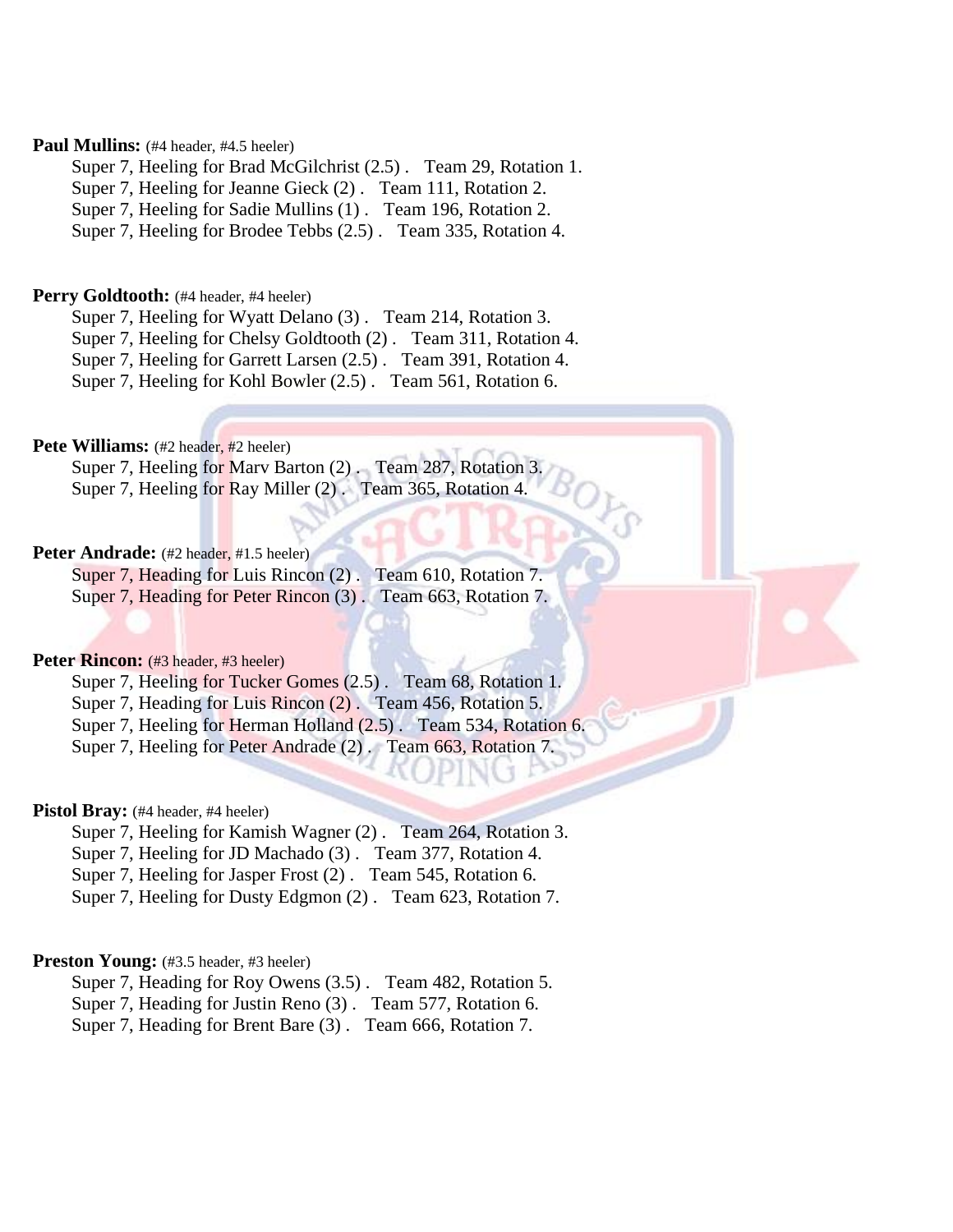# **Paul Mullins:** (#4 header, #4.5 heeler)

Super 7, Heeling for Brad McGilchrist (2.5) . Team 29, Rotation 1.

Super 7, Heeling for Jeanne Gieck (2). Team 111, Rotation 2.

Super 7, Heeling for Sadie Mullins (1) . Team 196, Rotation 2.

Super 7, Heeling for Brodee Tebbs (2.5) . Team 335, Rotation 4.

### Perry Goldtooth: (#4 header, #4 heeler)

Super 7, Heeling for Wyatt Delano (3) . Team 214, Rotation 3.

Super 7, Heeling for Chelsy Goldtooth (2) . Team 311, Rotation 4.

Super 7, Heeling for Garrett Larsen (2.5) . Team 391, Rotation 4.

Super 7, Heeling for Kohl Bowler (2.5) . Team 561, Rotation 6.

# **Pete Williams:** (#2 header, #2 heeler)

Super 7, Heeling for Marv Barton (2) . Team 287, Rotation 3. Super 7, Heeling for Ray Miller (2) . Team 365, Rotation 4.

# Peter Andrade: (#2 header, #1.5 heeler)

Super 7, Heading for Luis Rincon (2). Team 610, Rotation 7. Super 7, Heading for Peter Rincon (3). Team 663, Rotation 7.

# Peter Rincon: (#3 header, #3 heeler)

Super 7, Heeling for Tucker Gomes (2.5) . Team 68, Rotation 1. Super 7, Heading for Luis Rincon (2) . Team 456, Rotation 5.

Super 7, Heeling for Herman Holland (2.5). Team 534, Rotation 6.

Super 7, Heeling for Peter Andrade (2). Team 663, Rotation 7.

### Pistol Bray: (#4 header, #4 heeler)

Super 7, Heeling for Kamish Wagner (2) . Team 264, Rotation 3.

Super 7, Heeling for JD Machado (3) . Team 377, Rotation 4.

Super 7, Heeling for Jasper Frost (2) . Team 545, Rotation 6.

Super 7, Heeling for Dusty Edgmon (2) . Team 623, Rotation 7.

# **Preston Young:** (#3.5 header, #3 heeler)

Super 7, Heading for Roy Owens (3.5) . Team 482, Rotation 5.

Super 7, Heading for Justin Reno (3) . Team 577, Rotation 6.

Super 7, Heading for Brent Bare (3) . Team 666, Rotation 7.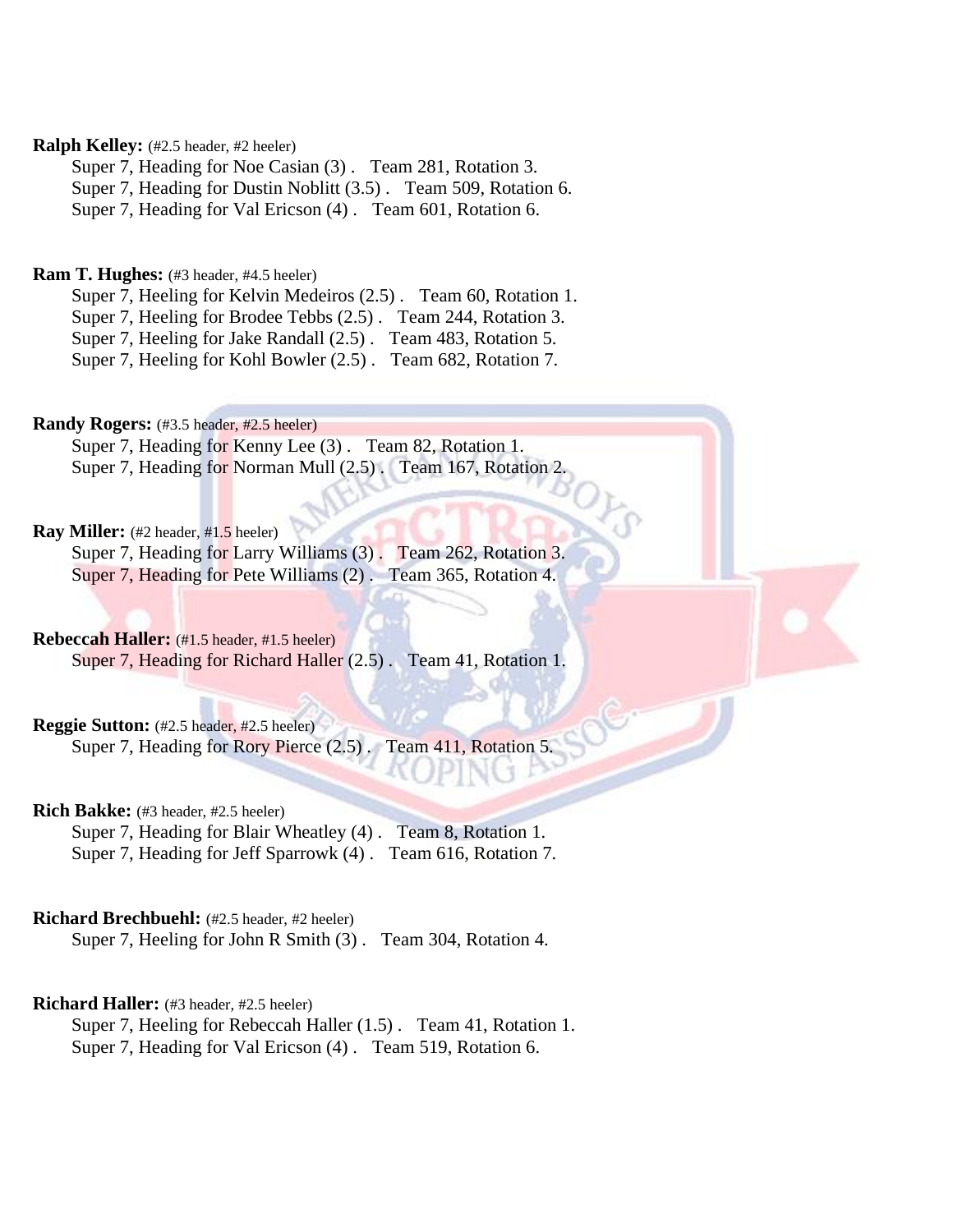# **Ralph Kelley:** (#2.5 header, #2 heeler)

Super 7, Heading for Noe Casian (3) . Team 281, Rotation 3. Super 7, Heading for Dustin Noblitt (3.5) . Team 509, Rotation 6. Super 7, Heading for Val Ericson (4) . Team 601, Rotation 6.

# **Ram T. Hughes:** (#3 header, #4.5 heeler)

Super 7, Heeling for Kelvin Medeiros (2.5) . Team 60, Rotation 1. Super 7, Heeling for Brodee Tebbs (2.5) . Team 244, Rotation 3. Super 7, Heeling for Jake Randall (2.5) . Team 483, Rotation 5. Super 7, Heeling for Kohl Bowler (2.5) . Team 682, Rotation 7.

**Randy Rogers:** (#3.5 header, #2.5 heeler)

Super 7, Heading for Kenny Lee (3) . Team 82, Rotation 1. Super 7, Heading for Norman Mull (2.5). Team 167, Rotation 2.

# **Ray Miller:** (#2 header, #1.5 heeler)

Super 7, Heading for Larry Williams (3). Team 262, Rotation 3. Super 7, Heading for Pete Williams (2). Team 365, Rotation 4.

### **Rebeccah Haller:** (#1.5 header, #1.5 heeler)

Super 7, Heading for Richard Haller (2.5) . Team 41, Rotation 1.

**Reggie Sutton:** (#2.5 header, #2.5 heeler)

Super 7, Heading for Rory Pierce (2.5) . Team 411, Rotation 5.

# **Rich Bakke:** (#3 header, #2.5 heeler)

Super 7, Heading for Blair Wheatley (4) . Team 8, Rotation 1. Super 7, Heading for Jeff Sparrowk (4) . Team 616, Rotation 7.

# **Richard Brechbuehl:** (#2.5 header, #2 heeler)

Super 7, Heeling for John R Smith (3) . Team 304, Rotation 4.

# **Richard Haller:** (#3 header, #2.5 heeler)

Super 7, Heeling for Rebeccah Haller (1.5) . Team 41, Rotation 1. Super 7, Heading for Val Ericson (4) . Team 519, Rotation 6.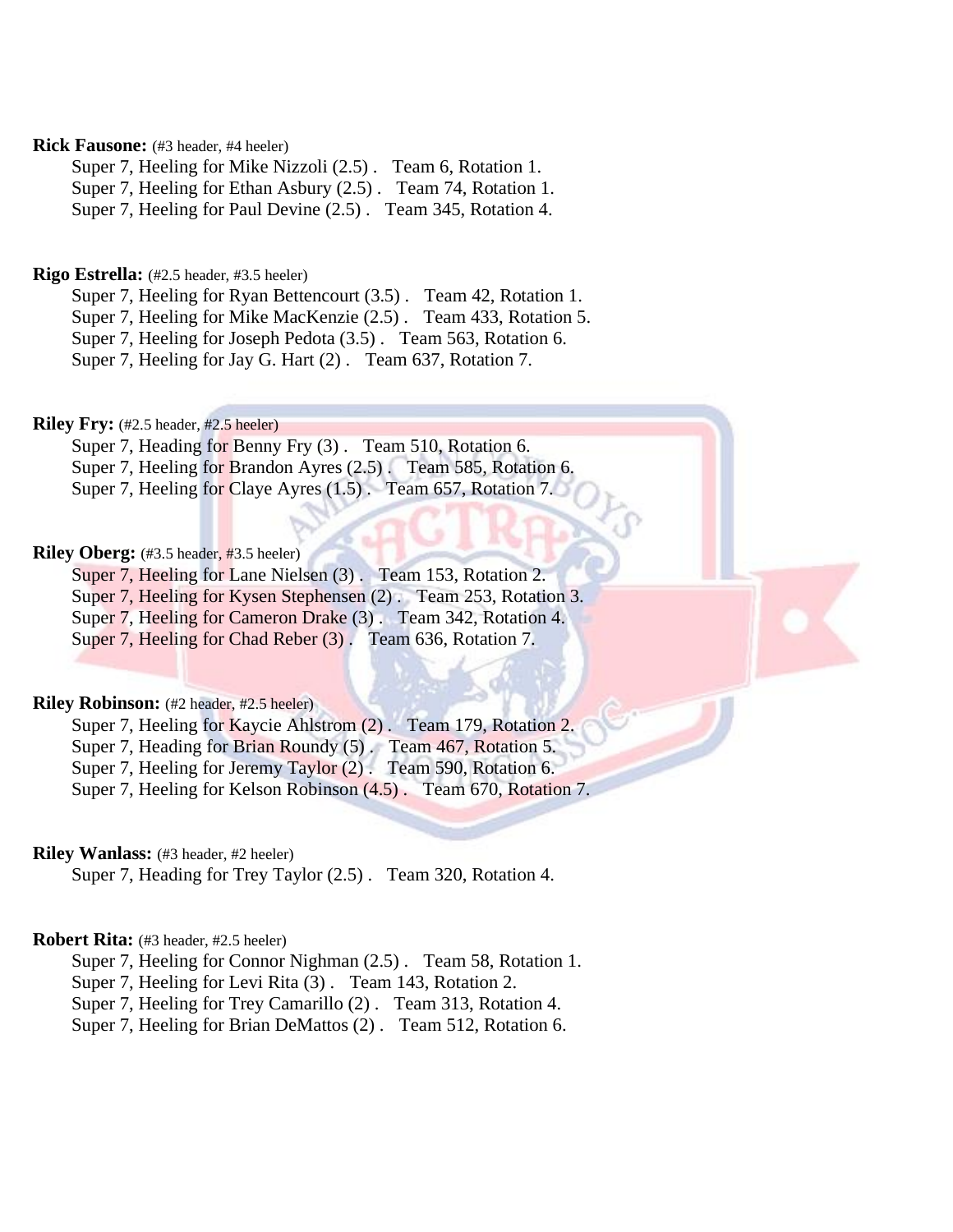# **Rick Fausone:** (#3 header, #4 heeler)

Super 7, Heeling for Mike Nizzoli (2.5) . Team 6, Rotation 1.

Super 7, Heeling for Ethan Asbury (2.5) . Team 74, Rotation 1.

Super 7, Heeling for Paul Devine (2.5) . Team 345, Rotation 4.

# **Rigo Estrella:** (#2.5 header, #3.5 heeler)

Super 7, Heeling for Ryan Bettencourt (3.5). Team 42, Rotation 1.

Super 7, Heeling for Mike MacKenzie (2.5) . Team 433, Rotation 5.

Super 7, Heeling for Joseph Pedota (3.5) . Team 563, Rotation 6.

Super 7, Heeling for Jay G. Hart (2) . Team 637, Rotation 7.

**Riley Fry:** (#2.5 header, #2.5 heeler)

Super 7, Heading for Benny Fry (3) . Team 510, Rotation 6. Super 7, Heeling for Brandon Ayres (2.5) . Team 585, Rotation 6. Super 7, Heeling for Claye Ayres (1.5). Team 657, Rotation 7.

# **Riley Oberg:** (#3.5 header, #3.5 heeler)

Super 7, Heeling for Lane Nielsen (3) . Team 153, Rotation 2. Super 7, Heeling for Kysen Stephensen (2) . Team 253, Rotation 3.

Super 7, Heeling for Cameron Drake (3). Team 342, Rotation 4.

Super 7, Heeling for Chad Reber (3). Team 636, Rotation 7.

# **Riley Robinson:** (#2 header, #2.5 heeler)

Super 7, Heeling for Kaycie Ahlstrom (2). Team 179, Rotation 2.

Super 7, Heading for Brian Roundy (5). Team 467, Rotation 5.

Super 7, Heeling for Jeremy Taylor (2). Team 590, Rotation 6.

Super 7, Heeling for Kelson Robinson (4.5) . Team 670, Rotation 7.

### **Riley Wanlass:** (#3 header, #2 heeler)

Super 7, Heading for Trey Taylor (2.5) . Team 320, Rotation 4.

# **Robert Rita:** (#3 header, #2.5 heeler)

Super 7, Heeling for Connor Nighman (2.5) . Team 58, Rotation 1.

Super 7, Heeling for Levi Rita (3) . Team 143, Rotation 2.

Super 7, Heeling for Trey Camarillo (2) . Team 313, Rotation 4.

Super 7, Heeling for Brian DeMattos (2) . Team 512, Rotation 6.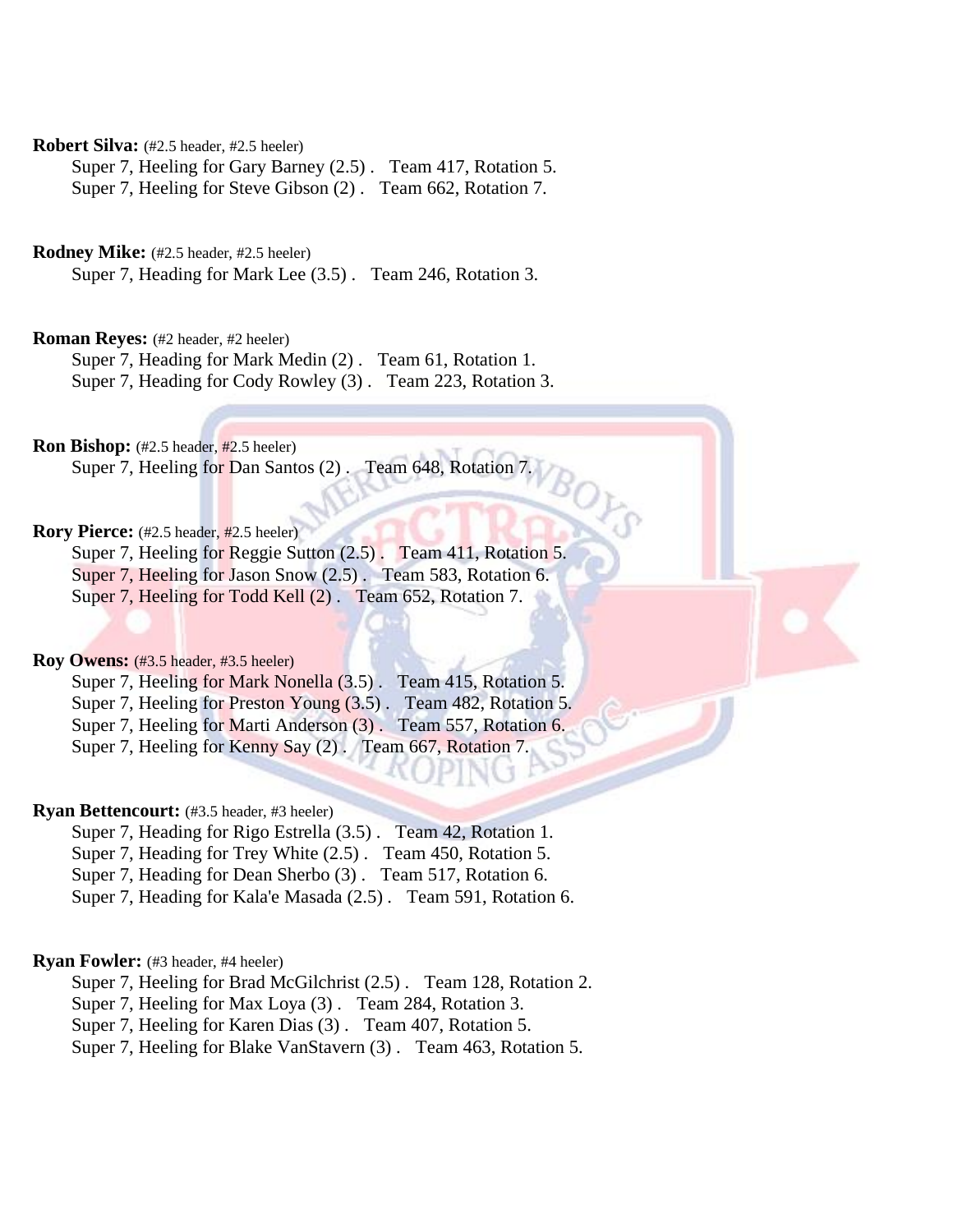**Robert Silva:** (#2.5 header, #2.5 heeler)

Super 7, Heeling for Gary Barney (2.5) . Team 417, Rotation 5. Super 7, Heeling for Steve Gibson (2) . Team 662, Rotation 7.

**Rodney Mike:** (#2.5 header, #2.5 heeler)

Super 7, Heading for Mark Lee (3.5) . Team 246, Rotation 3.

**Roman Reves:** (#2 header, #2 heeler)

Super 7, Heading for Mark Medin (2) . Team 61, Rotation 1. Super 7, Heading for Cody Rowley (3) . Team 223, Rotation 3.

**Ron Bishop:** (#2.5 header, #2.5 heeler)

Super 7, Heeling for Dan Santos (2) . Team 648, Rotation 7.

**Rory Pierce:** (#2.5 header, #2.5 heeler)

Super 7, Heeling for Reggie Sutton (2.5) . Team 411, Rotation 5.

 $\partial_{\mathcal{O}_{\mathcal{F}}}$ 

Super 7, Heeling for Jason Snow (2.5) . Team 583, Rotation 6.

Super 7, Heeling for Todd Kell (2) . Team 652, Rotation 7.

**Roy Owens:** (#3.5 header, #3.5 heeler)

Super 7, Heeling for Mark Nonella (3.5) . Team 415, Rotation 5. Super 7, Heeling for Preston Young (3.5) . Team 482, Rotation 5. Super 7, Heeling for Marti Anderson (3). Team 557, Rotation 6. Super 7, Heeling for Kenny Say (2) . Team 667, Rotation 7.

### **Ryan Bettencourt:** (#3.5 header, #3 heeler)

Super 7, Heading for Rigo Estrella (3.5) . Team 42, Rotation 1.

Super 7, Heading for Trey White (2.5) . Team 450, Rotation 5.

Super 7, Heading for Dean Sherbo (3) . Team 517, Rotation 6.

Super 7, Heading for Kala'e Masada (2.5) . Team 591, Rotation 6.

### **Ryan Fowler:** (#3 header, #4 heeler)

Super 7, Heeling for Brad McGilchrist (2.5) . Team 128, Rotation 2.

Super 7, Heeling for Max Loya (3) . Team 284, Rotation 3.

Super 7, Heeling for Karen Dias (3) . Team 407, Rotation 5.

Super 7, Heeling for Blake VanStavern (3) . Team 463, Rotation 5.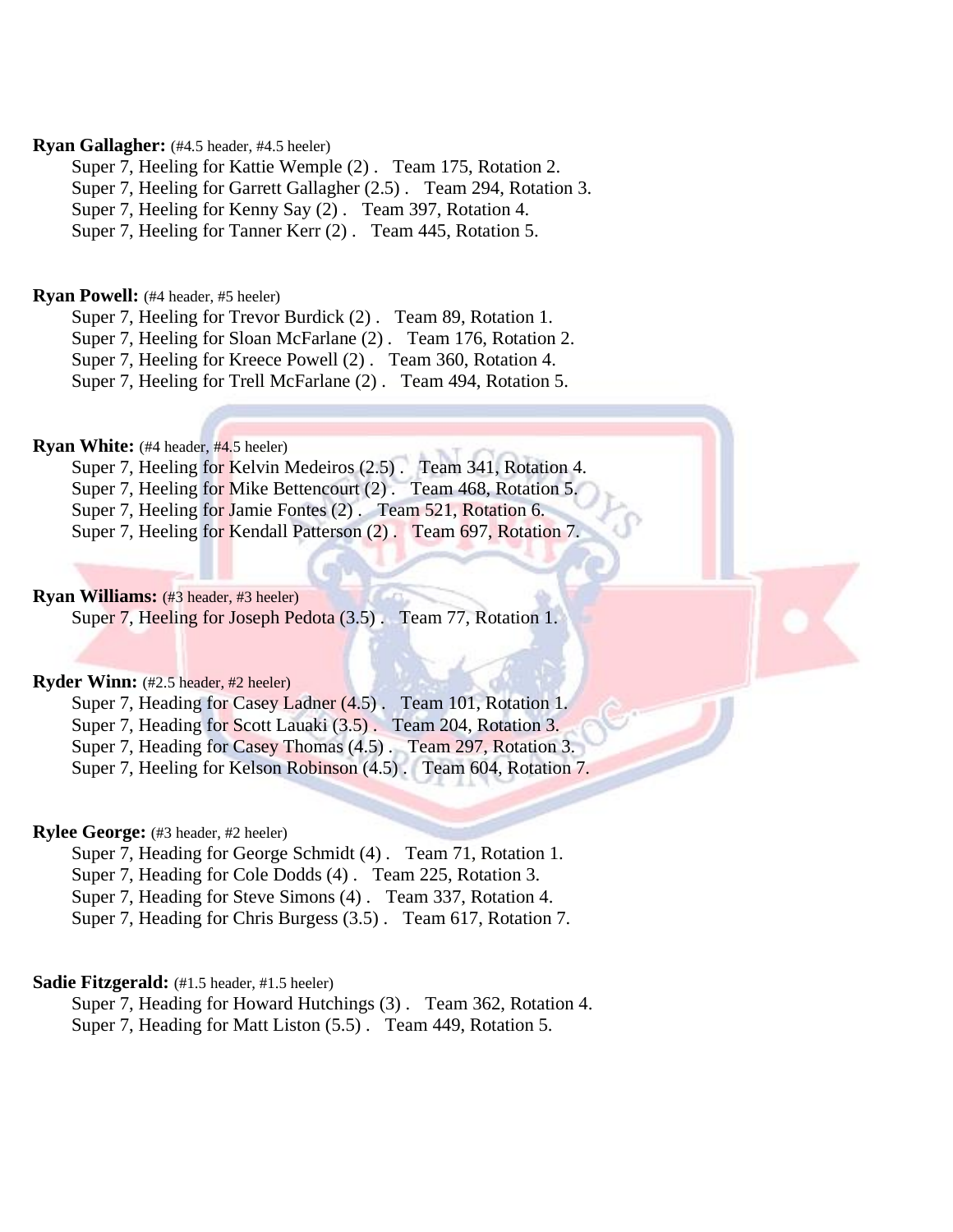# **Ryan Gallagher:** (#4.5 header, #4.5 heeler)

Super 7, Heeling for Kattie Wemple (2) . Team 175, Rotation 2.

Super 7, Heeling for Garrett Gallagher (2.5) . Team 294, Rotation 3.

Super 7, Heeling for Kenny Say (2) . Team 397, Rotation 4.

Super 7, Heeling for Tanner Kerr (2) . Team 445, Rotation 5.

### **Ryan Powell:** (#4 header, #5 heeler)

Super 7, Heeling for Trevor Burdick (2) . Team 89, Rotation 1.

Super 7, Heeling for Sloan McFarlane (2) . Team 176, Rotation 2.

Super 7, Heeling for Kreece Powell (2) . Team 360, Rotation 4.

Super 7, Heeling for Trell McFarlane (2) . Team 494, Rotation 5.

# **Ryan White:** (#4 header, #4.5 heeler)

Super 7, Heeling for Kelvin Medeiros (2.5) . Team 341, Rotation 4.

Super 7, Heeling for Mike Bettencourt (2) . Team 468, Rotation 5.

Super 7, Heeling for Jamie Fontes (2) . Team 521, Rotation 6.

Super 7, Heeling for Kendall Patterson (2) . Team 697, Rotation 7.

# **Ryan Williams:** (#3 header, #3 heeler)

Super 7, Heeling for Joseph Pedota (3.5) . Team 77, Rotation 1.

### **Ryder Winn:** (#2.5 header, #2 heeler)

Super 7, Heading for Casey Ladner (4.5) . Team 101, Rotation 1.

Super 7, Heading for Scott Lauaki (3.5). Team 204, Rotation 3.

Super 7, Heading for Casey Thomas (4.5) . Team 297, Rotation 3.

Super 7, Heeling for Kelson Robinson (4.5) . Team 604, Rotation 7.

# **Rylee George:** (#3 header, #2 heeler)

Super 7, Heading for George Schmidt (4). Team 71, Rotation 1.

Super 7, Heading for Cole Dodds (4) . Team 225, Rotation 3.

Super 7, Heading for Steve Simons (4) . Team 337, Rotation 4.

Super 7, Heading for Chris Burgess (3.5) . Team 617, Rotation 7.

### **Sadie Fitzgerald:** (#1.5 header, #1.5 heeler)

Super 7, Heading for Howard Hutchings (3) . Team 362, Rotation 4. Super 7, Heading for Matt Liston (5.5) . Team 449, Rotation 5.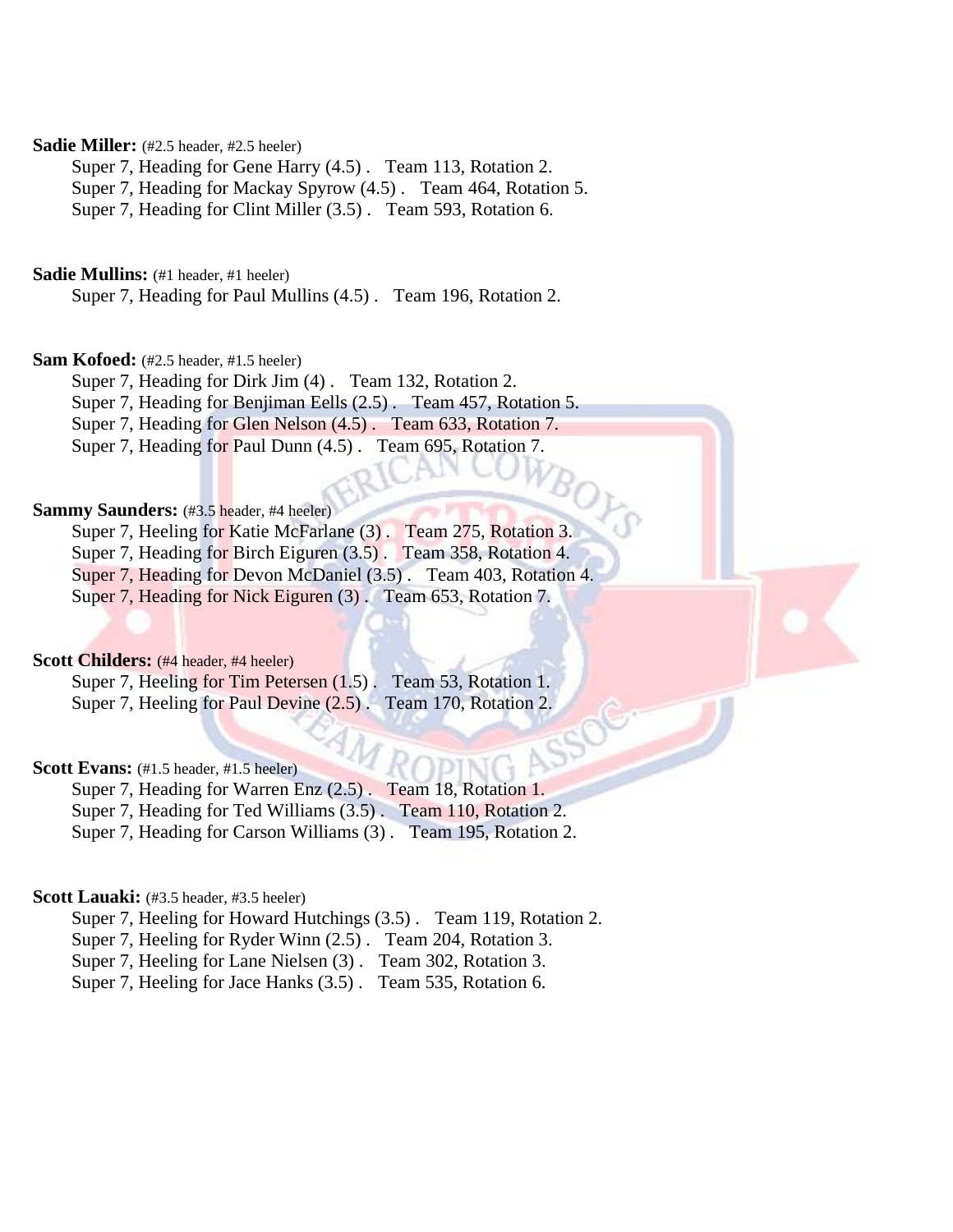# **Sadie Miller:** (#2.5 header, #2.5 heeler)

Super 7, Heading for Gene Harry (4.5) . Team 113, Rotation 2.

Super 7, Heading for Mackay Spyrow (4.5) . Team 464, Rotation 5.

Super 7, Heading for Clint Miller (3.5) . Team 593, Rotation 6.

# **Sadie Mullins:** (#1 header, #1 heeler)

Super 7, Heading for Paul Mullins (4.5) . Team 196, Rotation 2.

# **Sam Kofoed:** (#2.5 header, #1.5 heeler)

Super 7, Heading for Dirk Jim (4) . Team 132, Rotation 2.

Super 7, Heading for Benjiman Eells (2.5) . Team 457, Rotation 5.

Super 7, Heading for Glen Nelson (4.5) . Team 633, Rotation 7.

Super 7, Heading for Paul Dunn (4.5) . Team 695, Rotation 7.

### Sammy Saunders: (#3.5 header, #4 heeler)

Super 7, Heeling for Katie McFarlane (3) . Team 275, Rotation 3.

Super 7, Heading for Birch Eiguren (3.5). Team 358, Rotation 4.

Super 7, Heading for Devon McDaniel (3.5) . Team 403, Rotation 4.

 $B_{O_L}$ 

Super 7, Heading for Nick Eiguren (3) . Team 653, Rotation 7.

# **Scott Childers:** (#4 header, #4 heeler)

Super 7, Heeling for Tim Petersen (1.5). Team 53, Rotation 1. Super 7, Heeling for Paul Devine  $(2.5)$ . Team 170, Rotation 2.

### **Scott Evans:** (#1.5 header, #1.5 heeler)

Super 7, Heading for Warren Enz (2.5) . Team 18, Rotation 1. Super 7, Heading for Ted Williams (3.5). Team 110, Rotation 2.

Super 7, Heading for Carson Williams (3) . Team 195, Rotation 2.

### Scott Lauaki: (#3.5 header, #3.5 heeler)

Super 7, Heeling for Howard Hutchings (3.5) . Team 119, Rotation 2.

Super 7, Heeling for Ryder Winn (2.5) . Team 204, Rotation 3.

Super 7, Heeling for Lane Nielsen (3) . Team 302, Rotation 3.

Super 7, Heeling for Jace Hanks (3.5) . Team 535, Rotation 6.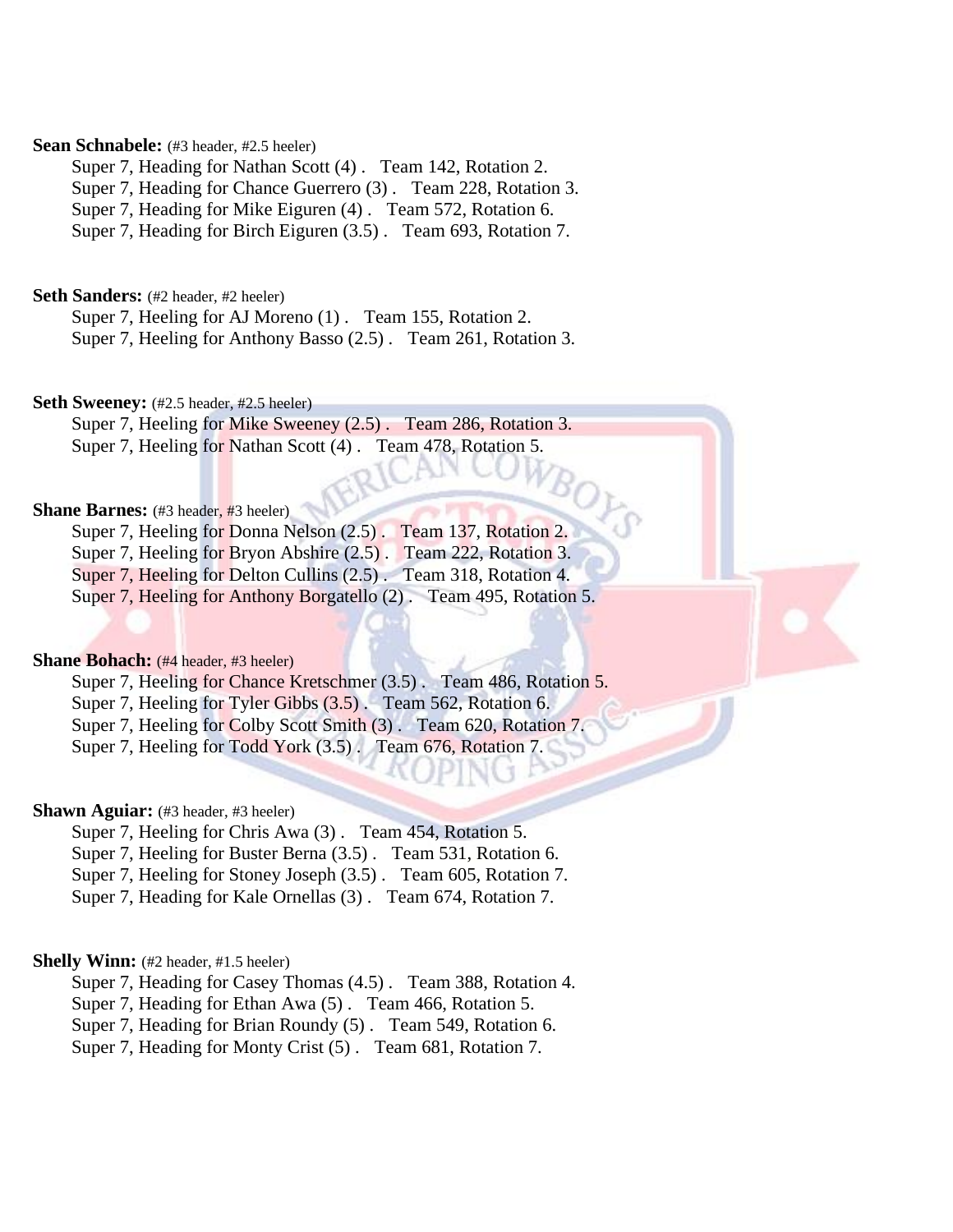### **Sean Schnabele:** (#3 header, #2.5 heeler)

Super 7, Heading for Nathan Scott (4) . Team 142, Rotation 2.

Super 7, Heading for Chance Guerrero (3) . Team 228, Rotation 3.

Super 7, Heading for Mike Eiguren (4) . Team 572, Rotation 6.

Super 7, Heading for Birch Eiguren (3.5) . Team 693, Rotation 7.

**Seth Sanders:** (#2 header, #2 heeler)

Super 7, Heeling for AJ Moreno (1). Team 155, Rotation 2. Super 7, Heeling for Anthony Basso (2.5) . Team 261, Rotation 3.

# Seth Sweeney:  $(\#2.5 \text{ header}, \#2.5 \text{ header})$

Super 7, Heeling for Mike Sweeney (2.5) . Team 286, Rotation 3. Super 7, Heeling for Nathan Scott (4). Team 478, Rotation 5.

# **Shane Barnes:** (#3 header, #3 heeler)

Super 7, Heeling for Donna Nelson (2.5) . Team 137, Rotation 2.

Super 7, Heeling for Bryon Abshire (2.5). Team 222, Rotation 3.

Super 7, Heeling for Delton Cullins (2.5). Team 318, Rotation 4.

Super 7, Heeling for Anthony Borgatello (2) . Team 495, Rotation 5.

BOL

# **Shane Bohach:** (#4 header, #3 heeler)

Super 7, Heeling for Chance Kretschmer (3.5) . Team 486, Rotation 5.

Super 7, Heeling for Tyler Gibbs (3.5). Team 562, Rotation 6.

Super 7, Heeling for Colby Scott Smith (3). Team 620, Rotation 7.

Super 7, Heeling for Todd York (3.5) . Team 676, Rotation 7.

### **Shawn Aguiar:** (#3 header, #3 heeler)

Super 7, Heeling for Chris Awa (3) . Team 454, Rotation 5.

Super 7, Heeling for Buster Berna (3.5) . Team 531, Rotation 6.

Super 7, Heeling for Stoney Joseph (3.5) . Team 605, Rotation 7.

Super 7, Heading for Kale Ornellas (3) . Team 674, Rotation 7.

### **Shelly Winn:** (#2 header, #1.5 heeler)

Super 7, Heading for Casey Thomas (4.5) . Team 388, Rotation 4.

Super 7, Heading for Ethan Awa (5) . Team 466, Rotation 5.

Super 7, Heading for Brian Roundy (5) . Team 549, Rotation 6.

Super 7, Heading for Monty Crist (5) . Team 681, Rotation 7.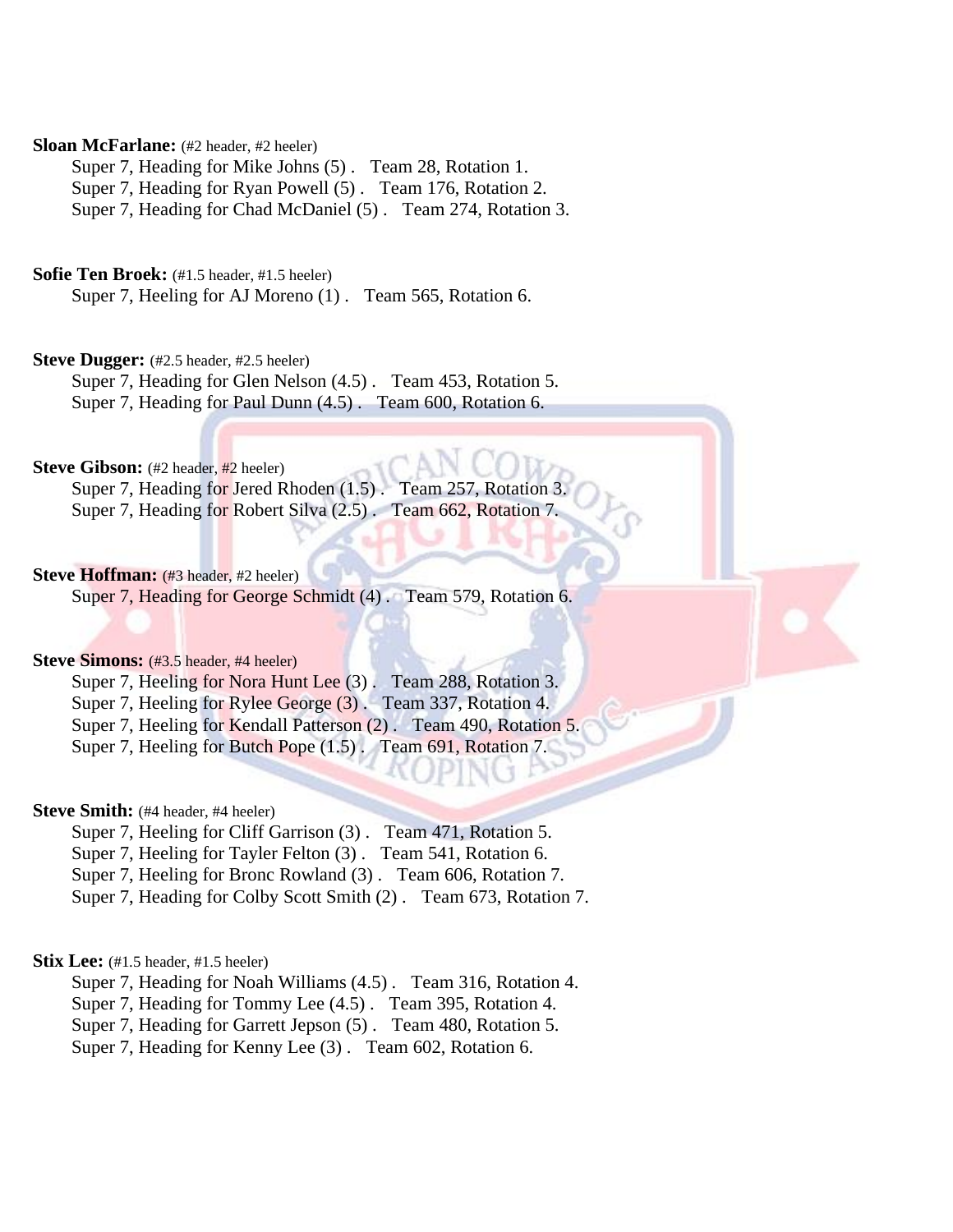## **Sloan McFarlane:** (#2 header, #2 heeler)

Super 7, Heading for Mike Johns (5) . Team 28, Rotation 1. Super 7, Heading for Ryan Powell (5) . Team 176, Rotation 2. Super 7, Heading for Chad McDaniel (5) . Team 274, Rotation 3.

### **Sofie Ten Broek:** (#1.5 header, #1.5 heeler)

Super 7, Heeling for AJ Moreno (1). Team 565, Rotation 6.

# Steve Dugger: (#2.5 header, #2.5 heeler)

Super 7, Heading for Glen Nelson (4.5) . Team 453, Rotation 5. Super 7, Heading for Paul Dunn (4.5) . Team 600, Rotation 6.

# **Steve Gibson:** (#2 header, #2 heeler)

Super 7, Heading for Jered Rhoden (1.5). Team 257, Rotation 3. Super 7, Heading for Robert Silva (2.5) . Team 662, Rotation 7.

# **Steve Hoffman:** (#3 header, #2 heeler)

Super 7, Heading for George Schmidt (4). Team 579, Rotation 6.

# **Steve Simons:**  $(#3.5 \text{ header}, #4 \text{ header})$

Super 7, Heeling for Nora Hunt Lee (3). Team 288, Rotation 3.

Super 7, Heeling for Rylee George (3) . Team 337, Rotation 4.

Super 7, Heeling for Kendall Patterson (2). Team 490, Rotation 5.

Super 7, Heeling for Butch Pope (1.5) . Team 691, Rotation 7.

### **Steve Smith:** (#4 header, #4 heeler)

Super 7, Heeling for Cliff Garrison (3) . Team 471, Rotation 5.

Super 7, Heeling for Tayler Felton (3) . Team 541, Rotation 6.

Super 7, Heeling for Bronc Rowland (3) . Team 606, Rotation 7.

Super 7, Heading for Colby Scott Smith (2) . Team 673, Rotation 7.

### **Stix Lee:** (#1.5 header, #1.5 heeler)

Super 7, Heading for Noah Williams (4.5) . Team 316, Rotation 4.

Super 7, Heading for Tommy Lee (4.5) . Team 395, Rotation 4.

Super 7, Heading for Garrett Jepson (5) . Team 480, Rotation 5.

Super 7, Heading for Kenny Lee (3) . Team 602, Rotation 6.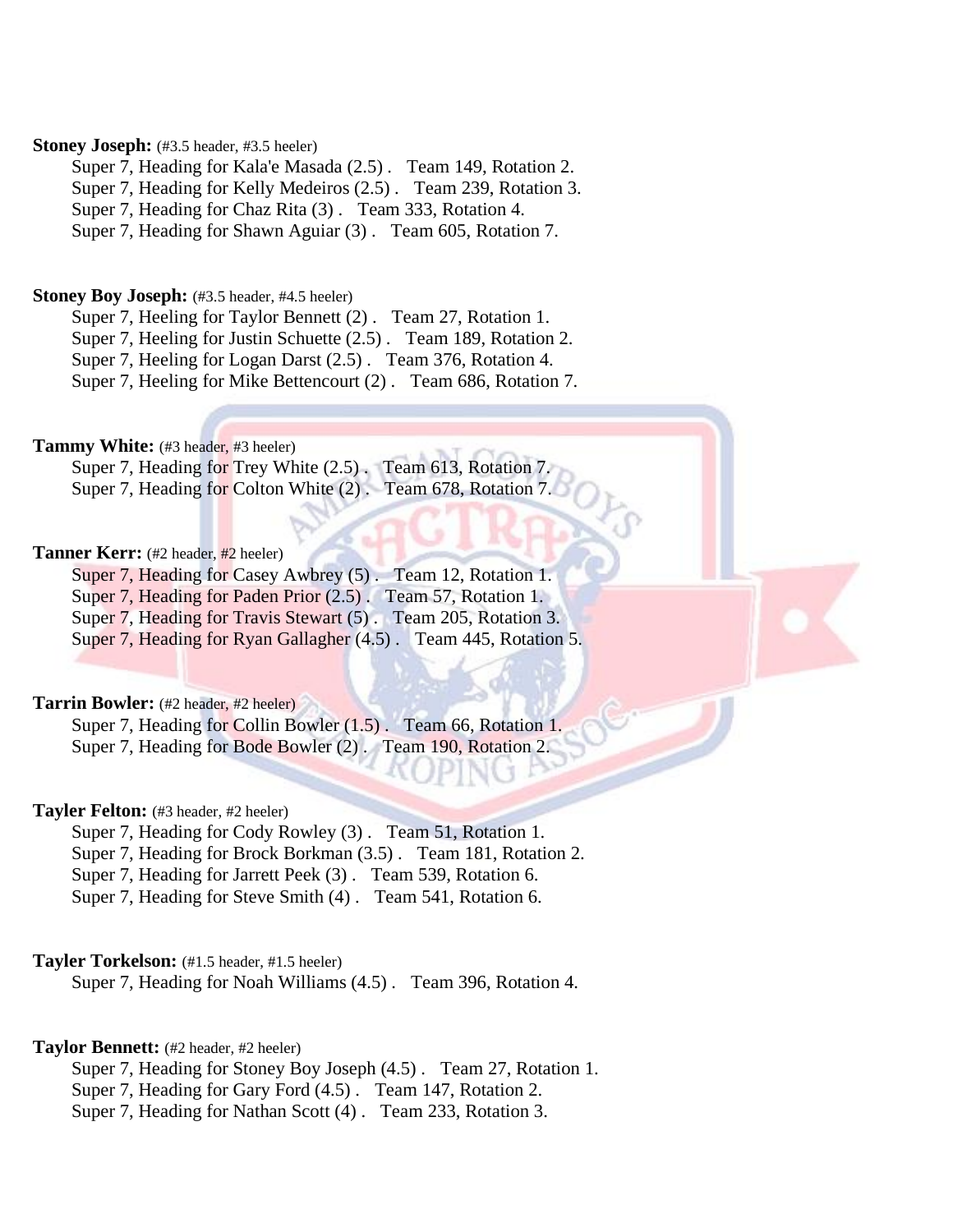## Stoney Joseph: (#3.5 header, #3.5 heeler)

Super 7, Heading for Kala'e Masada (2.5) . Team 149, Rotation 2.

Super 7, Heading for Kelly Medeiros (2.5) . Team 239, Rotation 3.

Super 7, Heading for Chaz Rita (3) . Team 333, Rotation 4.

Super 7, Heading for Shawn Aguiar (3) . Team 605, Rotation 7.

### **Stoney Boy Joseph:** (#3.5 header, #4.5 heeler)

Super 7, Heeling for Taylor Bennett (2) . Team 27, Rotation 1.

Super 7, Heeling for Justin Schuette (2.5) . Team 189, Rotation 2.

Super 7, Heeling for Logan Darst (2.5) . Team 376, Rotation 4.

Super 7, Heeling for Mike Bettencourt (2) . Team 686, Rotation 7.

### Tammy White: (#3 header, #3 heeler)

Super 7, Heading for Trey White (2.5) . Team 613, Rotation 7. Super 7, Heading for Colton White (2) . Team 678, Rotation 7.

# Tanner Kerr: (#2 header, #2 heeler)

Super 7, Heading for Casey Awbrey (5) . Team 12, Rotation 1.

Super 7, Heading for Paden Prior (2.5). Team 57, Rotation 1.

Super 7, Heading for Travis Stewart (5) . Team 205, Rotation 3.

Super 7, Heading for Ryan Gallagher (4.5). Team 445, Rotation 5.

# Tarrin Bowler: (#2 header, #2 heeler)

Super 7, Heading for Collin Bowler (1.5). Team 66, Rotation 1. Super 7, Heading for Bode Bowler (2) . Team 190, Rotation 2.

### **Tayler Felton:** (#3 header, #2 heeler)

Super 7, Heading for Cody Rowley (3) . Team 51, Rotation 1.

Super 7, Heading for Brock Borkman (3.5) . Team 181, Rotation 2.

Super 7, Heading for Jarrett Peek (3) . Team 539, Rotation 6.

Super 7, Heading for Steve Smith (4) . Team 541, Rotation 6.

# **Tayler Torkelson:** (#1.5 header, #1.5 heeler)

Super 7, Heading for Noah Williams (4.5) . Team 396, Rotation 4.

### **Taylor Bennett:** (#2 header, #2 heeler)

Super 7, Heading for Stoney Boy Joseph (4.5) . Team 27, Rotation 1.

Super 7, Heading for Gary Ford (4.5) . Team 147, Rotation 2.

Super 7, Heading for Nathan Scott (4) . Team 233, Rotation 3.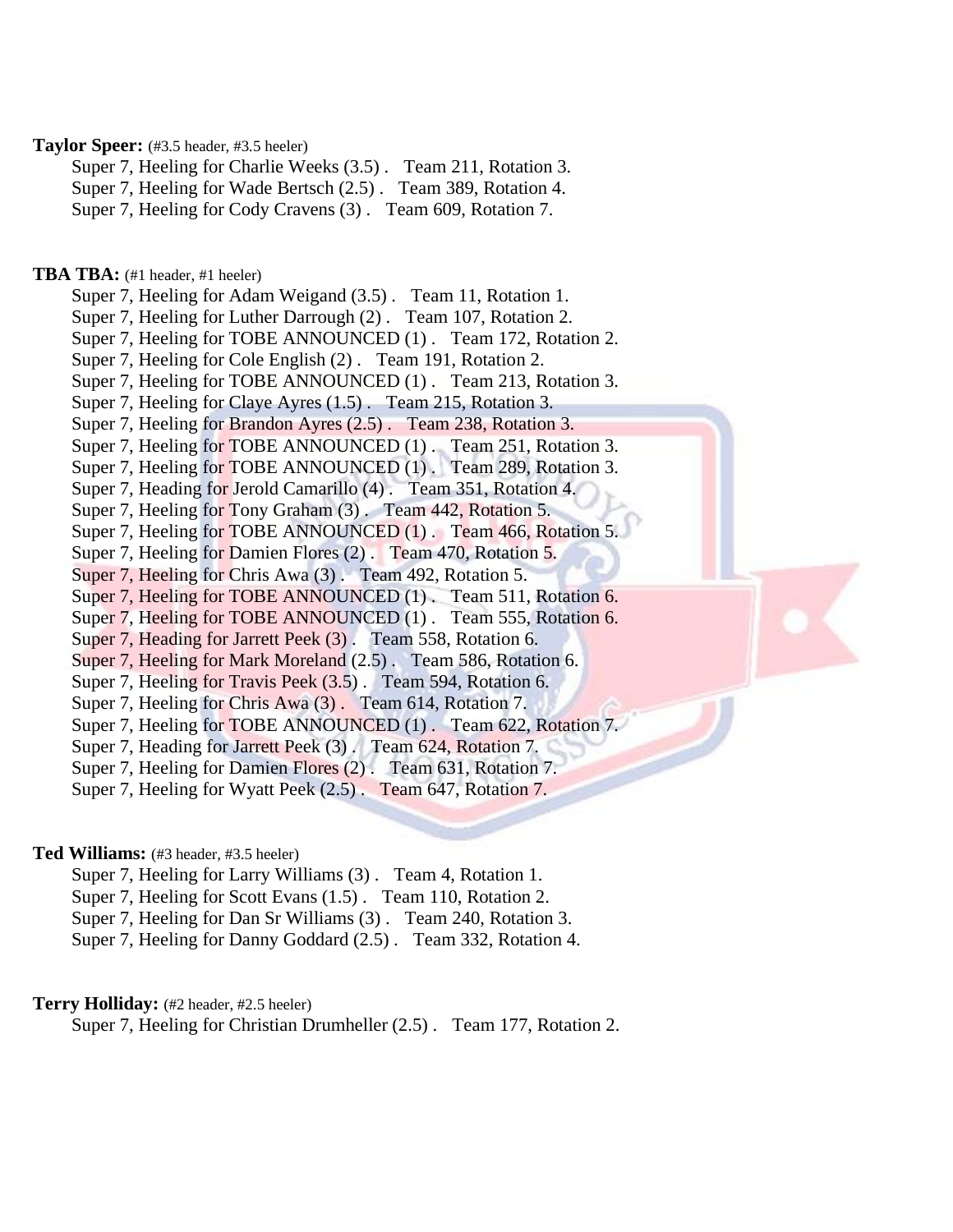# **Taylor Speer:** (#3.5 header, #3.5 heeler)

Super 7, Heeling for Charlie Weeks (3.5) . Team 211, Rotation 3.

Super 7, Heeling for Wade Bertsch (2.5) . Team 389, Rotation 4.

Super 7, Heeling for Cody Cravens (3) . Team 609, Rotation 7.

# **TBA TBA:** (#1 header, #1 heeler)

Super 7, Heeling for Adam Weigand (3.5) . Team 11, Rotation 1. Super 7, Heeling for Luther Darrough (2) . Team 107, Rotation 2. Super 7, Heeling for TOBE ANNOUNCED (1). Team 172, Rotation 2. Super 7, Heeling for Cole English (2) . Team 191, Rotation 2. Super 7, Heeling for TOBE ANNOUNCED (1). Team 213, Rotation 3. Super 7, Heeling for Claye Ayres (1.5) . Team 215, Rotation 3. Super 7, Heeling for Brandon Ayres (2.5) . Team 238, Rotation 3. Super 7, Heeling for TOBE ANNOUNCED (1). Team 251, Rotation 3. Super 7, Heeling for TOBE ANNOUNCED (1). Team 289, Rotation 3. Super 7, Heading for Jerold Camarillo (4) . Team 351, Rotation 4. Super 7, Heeling for Tony Graham (3). Team 442, Rotation 5. Super 7, Heeling for TOBE ANNOUNCED (1). Team 466, Rotation 5. Super 7, Heeling for Damien Flores (2) . Team 470, Rotation 5. Super 7, Heeling for Chris Awa (3). Team 492, Rotation 5. Super 7, Heeling for TOBE ANNOUNCED (1). Team 511, Rotation 6. Super 7, Heeling for TOBE ANNOUNCED (1). Team 555, Rotation 6. Super 7, Heading for Jarrett Peek (3). Team 558, Rotation 6. Super 7, Heeling for Mark Moreland (2.5) . Team 586, Rotation 6. Super 7, Heeling for Travis Peek (3.5) . Team 594, Rotation 6. Super 7, Heeling for Chris Awa (3) . Team 614, Rotation 7. Super 7, Heeling for TOBE ANNOUNCED (1). Team 622, Rotation 7. Super 7, Heading for Jarrett Peek (3) . Team 624, Rotation 7. Super 7, Heeling for Damien Flores (2). Team 631, Rotation 7. Super 7, Heeling for Wyatt Peek (2.5) . Team 647, Rotation 7.

### **Ted Williams:** (#3 header, #3.5 heeler)

Super 7, Heeling for Larry Williams (3) . Team 4, Rotation 1.

Super 7, Heeling for Scott Evans (1.5) . Team 110, Rotation 2.

Super 7, Heeling for Dan Sr Williams (3) . Team 240, Rotation 3.

Super 7, Heeling for Danny Goddard (2.5) . Team 332, Rotation 4.

# **Terry Holliday:** (#2 header, #2.5 heeler)

Super 7, Heeling for Christian Drumheller (2.5) . Team 177, Rotation 2.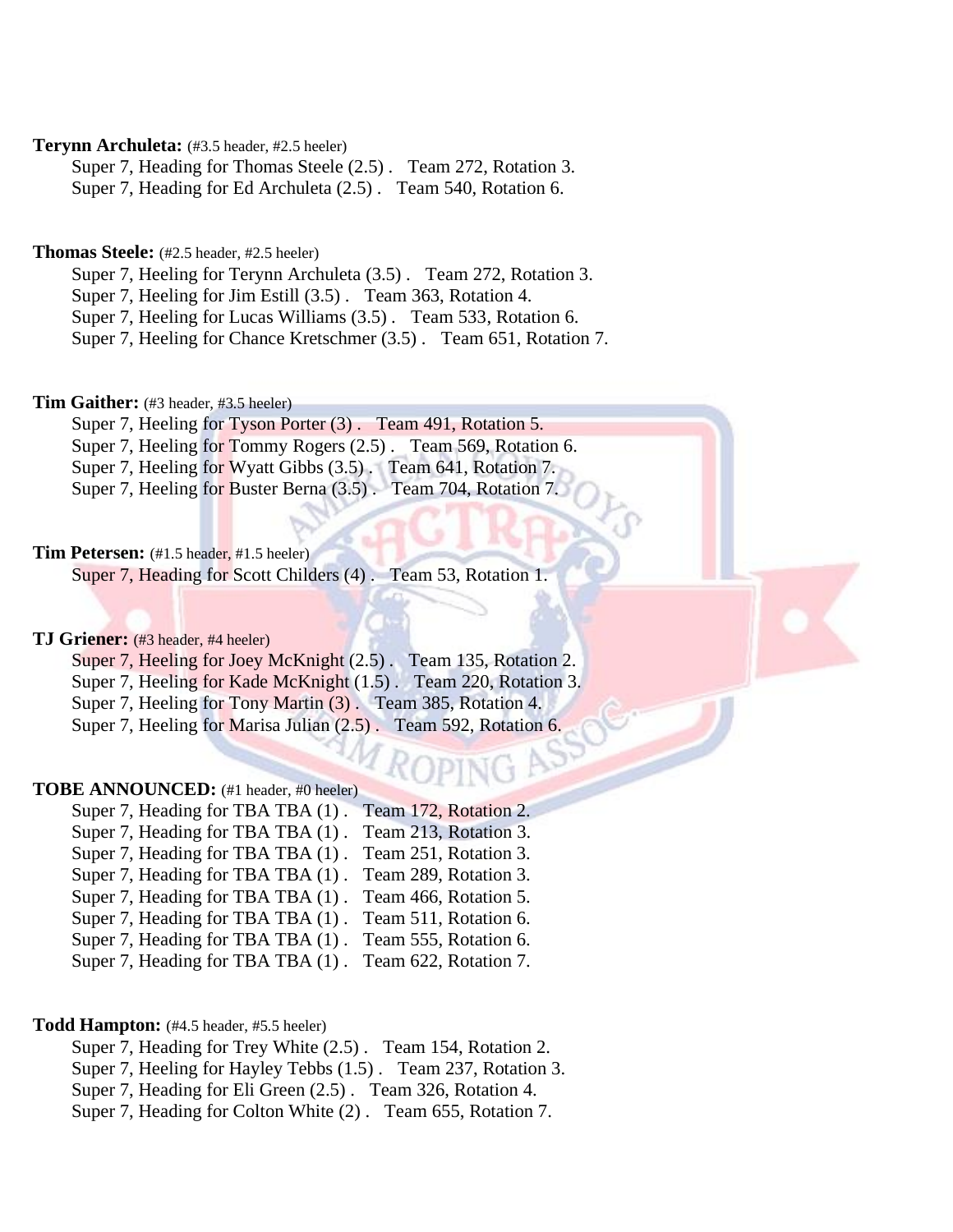# **Terynn Archuleta:** (#3.5 header, #2.5 heeler)

Super 7, Heading for Thomas Steele (2.5) . Team 272, Rotation 3. Super 7, Heading for Ed Archuleta (2.5) . Team 540, Rotation 6.

# **Thomas Steele:** (#2.5 header, #2.5 heeler)

Super 7, Heeling for Terynn Archuleta (3.5) . Team 272, Rotation 3.

Super 7, Heeling for Jim Estill (3.5) . Team 363, Rotation 4.

Super 7, Heeling for Lucas Williams (3.5) . Team 533, Rotation 6.

Super 7, Heeling for Chance Kretschmer (3.5) . Team 651, Rotation 7.

# **Tim Gaither:** (#3 header, #3.5 heeler)

Super 7, Heeling for Tyson Porter (3). Team 491, Rotation 5. Super 7, Heeling for Tommy Rogers (2.5) . Team 569, Rotation 6.

Super 7, Heeling for Wyatt Gibbs (3.5) . Team 641, Rotation 7.

Super 7, Heeling for Buster Berna (3.5) . Team 704, Rotation 7.

# **Tim Petersen:** (#1.5 header, #1.5 heeler)

Super 7, Heading for Scott Childers (4) . Team 53, Rotation 1.

### **TJ Griener:** (#3 header, #4 heeler)

Super 7, Heeling for Joey McKnight (2.5). Team 135, Rotation 2. Super 7, Heeling for Kade McKnight (1.5) . Team 220, Rotation 3. Super 7, Heeling for Tony Martin (3). Team 385, Rotation 4. Super 7, Heeling for Marisa Julian (2.5). Team 592, Rotation 6.

# **TOBE ANNOUNCED:** (#1 header, #0 heeler)

| Super 7, Heading for TBA TBA (1). | Team 172, Rotation 2. |
|-----------------------------------|-----------------------|
| Super 7, Heading for TBA TBA (1). | Team 213, Rotation 3. |
| Super 7, Heading for TBA TBA (1). | Team 251, Rotation 3. |
| Super 7, Heading for TBA TBA (1). | Team 289, Rotation 3. |
| Super 7, Heading for TBA TBA (1). | Team 466, Rotation 5. |
| Super 7, Heading for TBA TBA (1). | Team 511, Rotation 6. |
| Super 7, Heading for TBA TBA (1). | Team 555, Rotation 6. |
| Super 7, Heading for TBA TBA (1). | Team 622, Rotation 7. |

# **Todd Hampton:** (#4.5 header, #5.5 heeler)

Super 7, Heading for Trey White (2.5) . Team 154, Rotation 2.

Super 7, Heeling for Hayley Tebbs (1.5) . Team 237, Rotation 3.

Super 7, Heading for Eli Green (2.5) . Team 326, Rotation 4.

Super 7, Heading for Colton White (2) . Team 655, Rotation 7.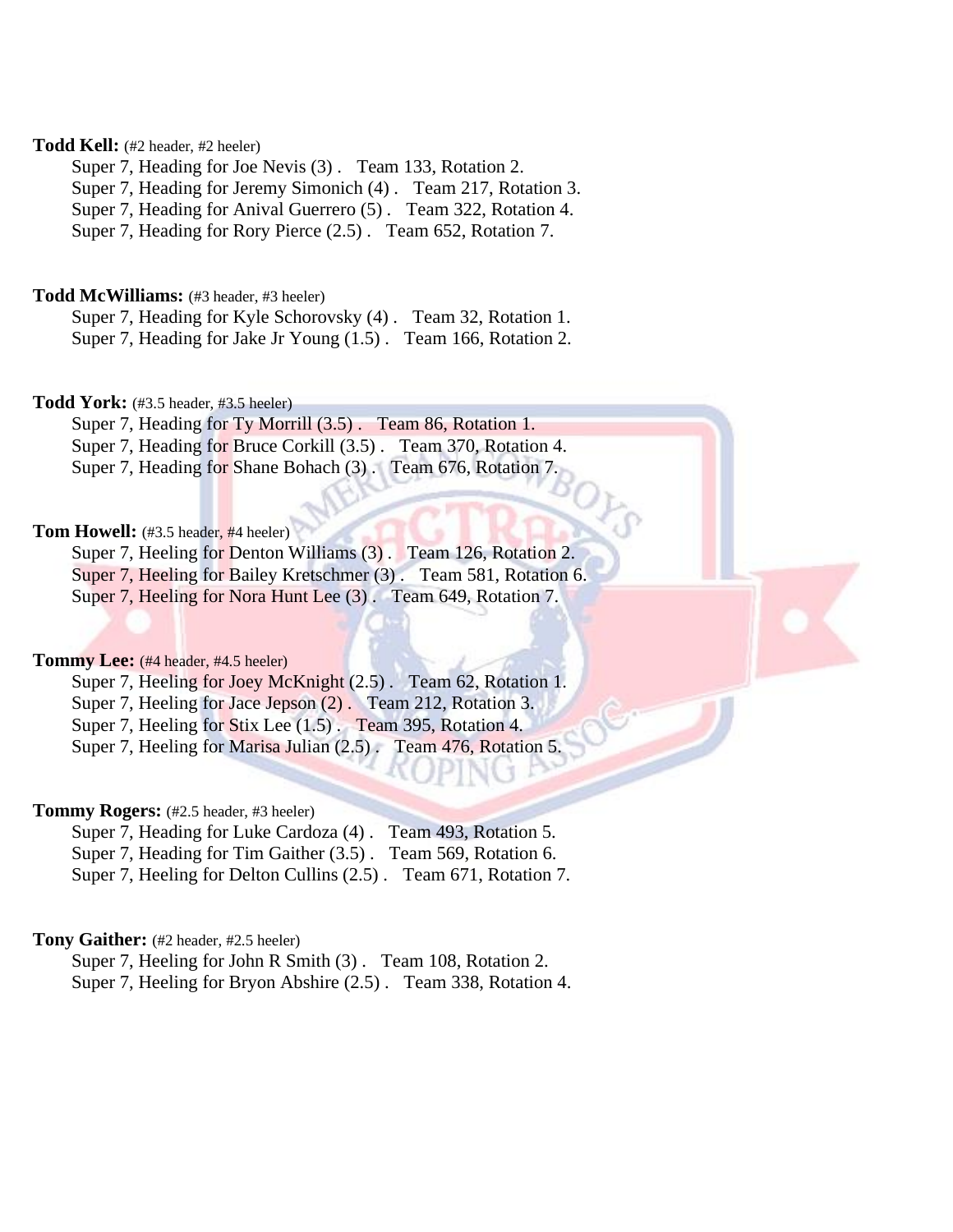# **Todd Kell:** (#2 header, #2 heeler)

Super 7, Heading for Joe Nevis (3) . Team 133, Rotation 2.

Super 7, Heading for Jeremy Simonich (4) . Team 217, Rotation 3.

Super 7, Heading for Anival Guerrero (5) . Team 322, Rotation 4.

Super 7, Heading for Rory Pierce (2.5) . Team 652, Rotation 7.

# **Todd McWilliams:** (#3 header, #3 heeler)

Super 7, Heading for Kyle Schorovsky (4) . Team 32, Rotation 1. Super 7, Heading for Jake Jr Young (1.5) . Team 166, Rotation 2.

### **Todd York:** (#3.5 header, #3.5 heeler)

Super 7, Heading for Ty Morrill (3.5). Team 86, Rotation 1. Super 7, Heading for Bruce Corkill (3.5) . Team 370, Rotation 4. Super 7, Heading for Shane Bohach (3). Team 676, Rotation 7.

# **Tom Howell:** (#3.5 header, #4 heeler)

Super 7, Heeling for Denton Williams (3) . Team 126, Rotation 2. Super 7, Heeling for Bailey Kretschmer (3) . Team 581, Rotation 6.

Super 7, Heeling for Nora Hunt Lee (3) . Team 649, Rotation 7.

# **Tommy Lee:** (#4 header, #4.5 heeler)

Super 7, Heeling for Joey McKnight (2.5). Team 62, Rotation 1.

Super 7, Heeling for Jace Jepson (2). Team 212, Rotation 3.

Super 7, Heeling for Stix Lee (1.5) . Team 395, Rotation 4.

Super 7, Heeling for Marisa Julian (2.5) . Team 476, Rotation 5.

### **Tommy Rogers:** (#2.5 header, #3 heeler)

Super 7, Heading for Luke Cardoza (4) . Team 493, Rotation 5. Super 7, Heading for Tim Gaither (3.5) . Team 569, Rotation 6. Super 7, Heeling for Delton Cullins (2.5) . Team 671, Rotation 7.

# **Tony Gaither:** (#2 header, #2.5 heeler)

Super 7, Heeling for John R Smith (3) . Team 108, Rotation 2. Super 7, Heeling for Bryon Abshire (2.5) . Team 338, Rotation 4.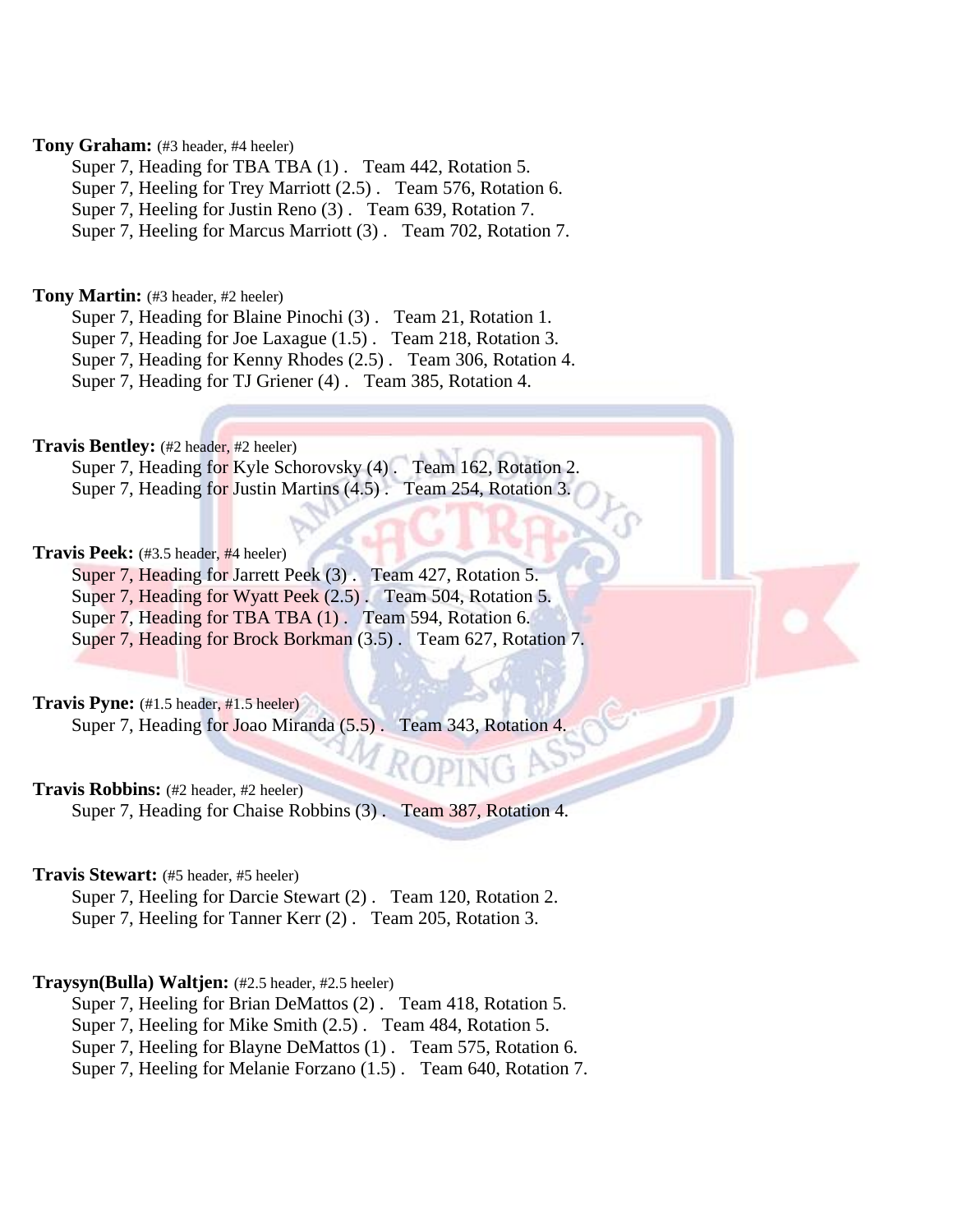# **Tony Graham:** (#3 header, #4 heeler)

Super 7, Heading for TBA TBA  $(1)$ . Team 442, Rotation 5.

Super 7, Heeling for Trey Marriott (2.5) . Team 576, Rotation 6.

Super 7, Heeling for Justin Reno (3) . Team 639, Rotation 7.

Super 7, Heeling for Marcus Marriott (3) . Team 702, Rotation 7.

### **Tony Martin:** (#3 header, #2 heeler)

Super 7, Heading for Blaine Pinochi (3) . Team 21, Rotation 1.

Super 7, Heading for Joe Laxague (1.5) . Team 218, Rotation 3.

Super 7, Heading for Kenny Rhodes (2.5) . Team 306, Rotation 4.

Super 7, Heading for TJ Griener (4) . Team 385, Rotation 4.

# **Travis Bentley:** (#2 header, #2 heeler)

Super 7, Heading for Kyle Schorovsky (4). Team 162, Rotation 2. Super 7, Heading for Justin Martins (4.5). Team 254, Rotation 3.

# **Travis Peek:** (#3.5 header, #4 heeler)

Super 7, Heading for Jarrett Peek (3). Team 427, Rotation 5.

Super 7, Heading for Wyatt Peek (2.5). Team 504, Rotation 5.

Super 7, Heading for TBA TBA  $(1)$ . Team 594, Rotation 6.

Super 7, Heading for Brock Borkman (3.5) . Team 627, Rotation 7.

# **Travis Pyne:** (#1.5 header, #1.5 heeler)

Super 7, Heading for Joao Miranda (5.5). Team 343, Rotation 4.

# **Travis Robbins:** (#2 header, #2 heeler)

Super 7, Heading for Chaise Robbins (3) . Team 387, Rotation 4.

### **Travis Stewart:** (#5 header, #5 heeler)

Super 7, Heeling for Darcie Stewart (2) . Team 120, Rotation 2. Super 7, Heeling for Tanner Kerr (2) . Team 205, Rotation 3.

# **Traysyn(Bulla) Waltjen:** (#2.5 header, #2.5 heeler)

Super 7, Heeling for Brian DeMattos (2) . Team 418, Rotation 5.

Super 7, Heeling for Mike Smith (2.5) . Team 484, Rotation 5.

Super 7, Heeling for Blayne DeMattos (1) . Team 575, Rotation 6.

Super 7, Heeling for Melanie Forzano (1.5) . Team 640, Rotation 7.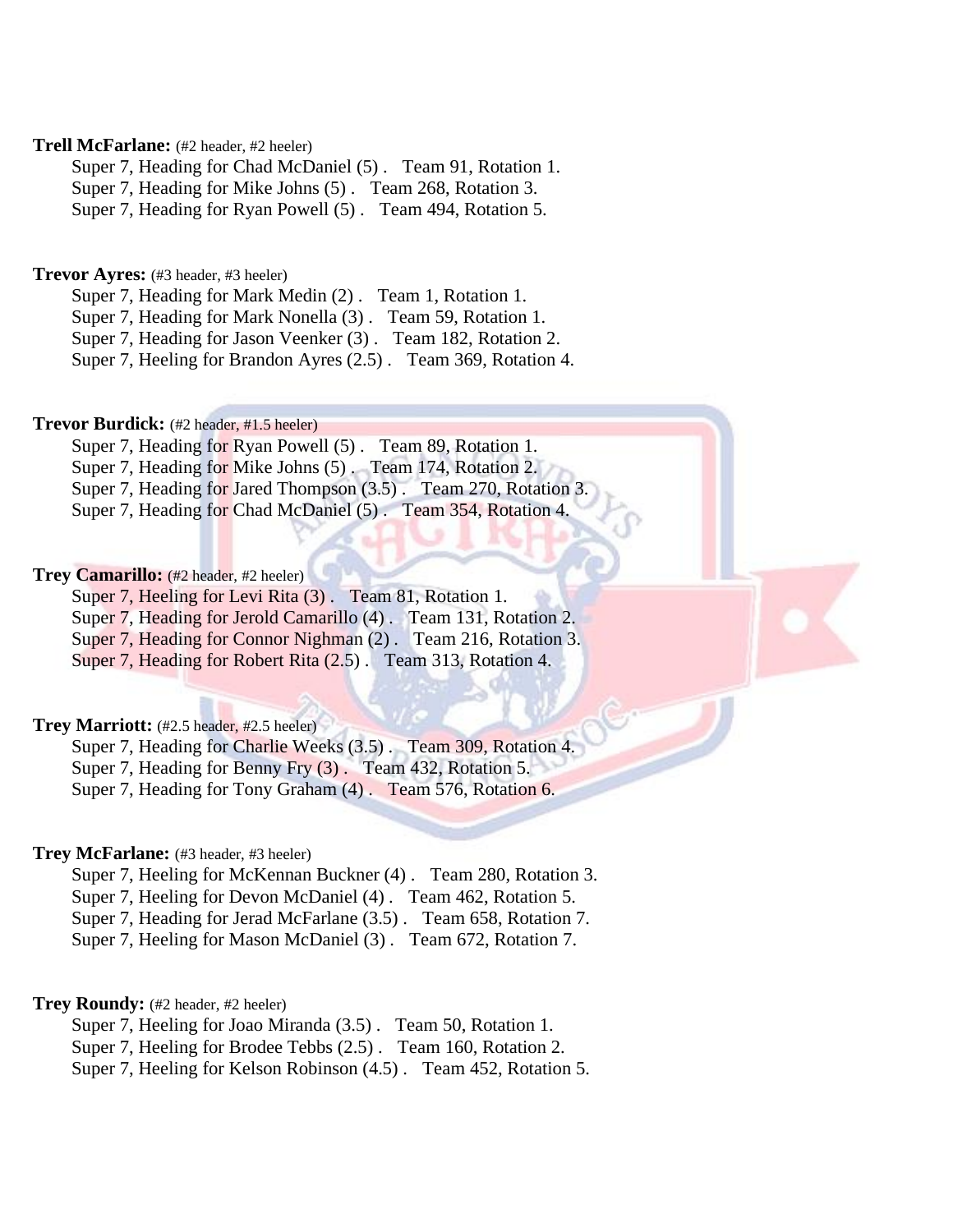# **Trell McFarlane:** (#2 header, #2 heeler)

Super 7, Heading for Chad McDaniel (5) . Team 91, Rotation 1. Super 7, Heading for Mike Johns (5) . Team 268, Rotation 3. Super 7, Heading for Ryan Powell (5) . Team 494, Rotation 5.

# **Trevor Ayres:** (#3 header, #3 heeler)

Super 7, Heading for Mark Medin (2) . Team 1, Rotation 1.

Super 7, Heading for Mark Nonella (3) . Team 59, Rotation 1.

Super 7, Heading for Jason Veenker (3) . Team 182, Rotation 2.

Super 7, Heeling for Brandon Ayres (2.5) . Team 369, Rotation 4.

# **Trevor Burdick:** (#2 header, #1.5 heeler)

Super 7, Heading for Ryan Powell (5) . Team 89, Rotation 1. Super 7, Heading for Mike Johns (5). Team 174, Rotation 2. Super 7, Heading for Jared Thompson  $(3.5)$ . Team 270, Rotation 3. Super 7, Heading for Chad McDaniel (5) . Team 354, Rotation 4.

# **Trey Camarillo:** (#2 header, #2 heeler)

Super 7, Heeling for Levi Rita (3) . Team 81, Rotation 1.

- Super 7, Heading for Jerold Camarillo (4) . Team 131, Rotation 2.
- Super 7, Heading for Connor Nighman (2). Team 216, Rotation 3.

Super 7, Heading for Robert Rita (2.5) . Team 313, Rotation 4.

# **Trey Marriott:** (#2.5 header, #2.5 heeler)

Super 7, Heading for Charlie Weeks (3.5) . Team 309, Rotation 4.

Super 7, Heading for Benny Fry (3) . Team 432, Rotation 5.

Super 7, Heading for Tony Graham (4) . Team 576, Rotation 6.

### **Trey McFarlane:** (#3 header, #3 heeler)

Super 7, Heeling for McKennan Buckner (4) . Team 280, Rotation 3.

Super 7, Heeling for Devon McDaniel (4) . Team 462, Rotation 5.

Super 7, Heading for Jerad McFarlane (3.5) . Team 658, Rotation 7.

Super 7, Heeling for Mason McDaniel (3) . Team 672, Rotation 7.

# **Trey Roundy:** (#2 header, #2 heeler)

Super 7, Heeling for Joao Miranda (3.5) . Team 50, Rotation 1.

Super 7, Heeling for Brodee Tebbs (2.5) . Team 160, Rotation 2.

Super 7, Heeling for Kelson Robinson (4.5) . Team 452, Rotation 5.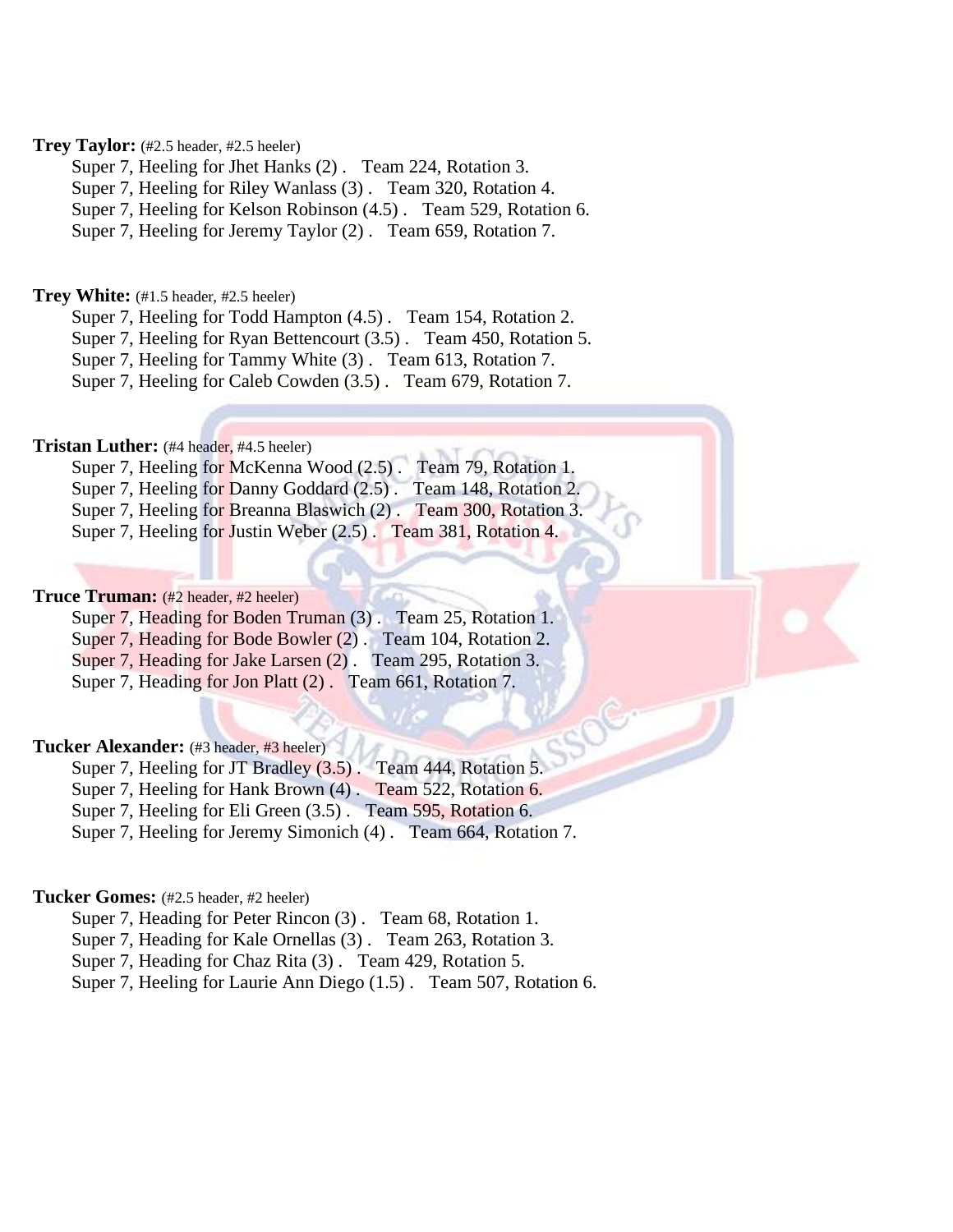# **Trey Taylor:** (#2.5 header, #2.5 heeler)

Super 7, Heeling for Jhet Hanks (2) . Team 224, Rotation 3.

Super 7, Heeling for Riley Wanlass (3) . Team 320, Rotation 4.

Super 7, Heeling for Kelson Robinson (4.5) . Team 529, Rotation 6.

Super 7, Heeling for Jeremy Taylor (2). Team 659, Rotation 7.

### **Trey White:** (#1.5 header, #2.5 heeler)

Super 7, Heeling for Todd Hampton (4.5) . Team 154, Rotation 2.

Super 7, Heeling for Ryan Bettencourt (3.5) . Team 450, Rotation 5.

Super 7, Heeling for Tammy White (3) . Team 613, Rotation 7.

Super 7, Heeling for Caleb Cowden (3.5) . Team 679, Rotation 7.

# **Tristan Luther:** (#4 header, #4.5 heeler)

|  | Super 7, Heeling for McKenna Wood (2.5). Team 79, Rotation 1.    |                       |
|--|------------------------------------------------------------------|-----------------------|
|  | Super 7, Heeling for Danny Goddard (2.5).                        | Team 148, Rotation 2. |
|  | Super 7, Heeling for Breanna Blaswich (2). Team 300, Rotation 3. |                       |
|  | Super 7, Heeling for Justin Weber (2.5). Team 381, Rotation 4.   |                       |

### **Truce Truman:** (#2 header, #2 heeler)

Super 7, Heading for Boden Truman (3) . Team 25, Rotation 1.

Super 7, Heading for Bode Bowler (2). Team 104, Rotation 2.

Super 7, Heading for Jake Larsen (2) . Team 295, Rotation 3.

Super 7, Heading for Jon Platt (2) . Team 661, Rotation 7.

# **Tucker Alexander:** (#3 header, #3 heeler)

Super 7, Heeling for JT Bradley (3.5). Team 444, Rotation 5.

Super 7, Heeling for Hank Brown (4) . Team 522, Rotation 6.

Super 7, Heeling for Eli Green (3.5) . Team 595, Rotation 6.

Super 7, Heeling for Jeremy Simonich (4). Team 664, Rotation 7.

# **Tucker Gomes:** (#2.5 header, #2 heeler)

Super 7, Heading for Peter Rincon (3) . Team 68, Rotation 1.

Super 7, Heading for Kale Ornellas (3) . Team 263, Rotation 3.

Super 7, Heading for Chaz Rita (3) . Team 429, Rotation 5.

Super 7, Heeling for Laurie Ann Diego (1.5) . Team 507, Rotation 6.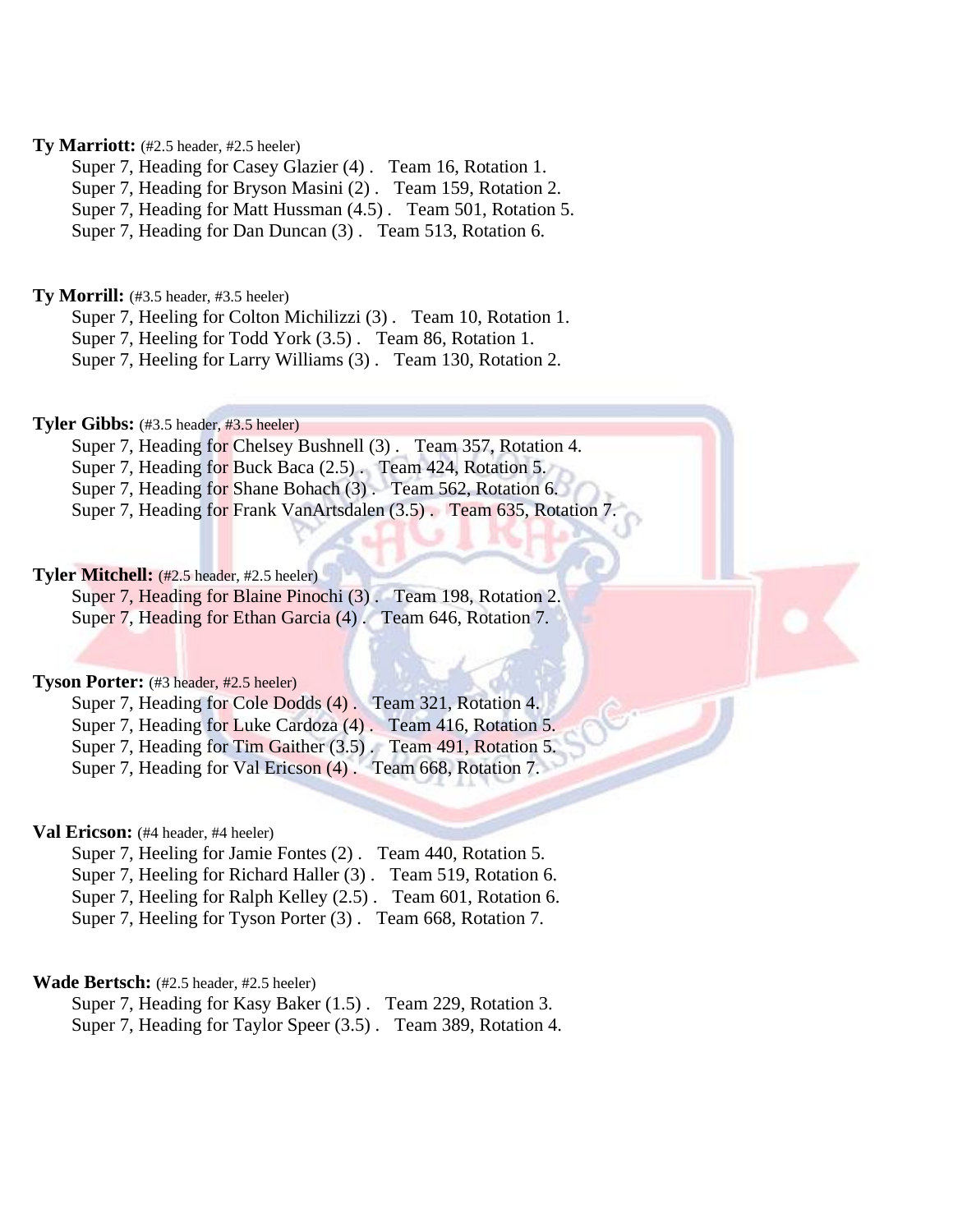# **Ty Marriott:** (#2.5 header, #2.5 heeler)

Super 7, Heading for Casey Glazier (4) . Team 16, Rotation 1.

Super 7, Heading for Bryson Masini (2) . Team 159, Rotation 2.

Super 7, Heading for Matt Hussman (4.5) . Team 501, Rotation 5.

Super 7, Heading for Dan Duncan (3) . Team 513, Rotation 6.

### **Ty Morrill:** (#3.5 header, #3.5 heeler)

Super 7, Heeling for Colton Michilizzi (3) . Team 10, Rotation 1.

Super 7, Heeling for Todd York (3.5) . Team 86, Rotation 1.

Super 7, Heeling for Larry Williams (3) . Team 130, Rotation 2.

### **Tyler Gibbs:** (#3.5 header, #3.5 heeler)

Super 7, Heading for Chelsey Bushnell (3) . Team 357, Rotation 4.

Super 7, Heading for Buck Baca (2.5) . Team 424, Rotation 5.

Super 7, Heading for Shane Bohach (3) . Team 562, Rotation 6.

Super 7, Heading for Frank VanArtsdalen (3.5) . Team 635, Rotation 7.

# **Tyler Mitchell:** (#2.5 header, #2.5 heeler)

Super 7, Heading for Blaine Pinochi (3) . Team 198, Rotation 2. Super 7, Heading for Ethan Garcia (4). Team 646, Rotation 7.

### **Tyson Porter:** (#3 header, #2.5 heeler)

Super 7, Heading for Cole Dodds (4) . Team 321, Rotation 4. Super 7, Heading for Luke Cardoza (4) . Team 416, Rotation 5. Super 7, Heading for Tim Gaither (3.5). Team 491, Rotation 5. Super 7, Heading for Val Ericson (4). Team 668, Rotation 7.

### **Val Ericson:** (#4 header, #4 heeler)

Super 7, Heeling for Jamie Fontes (2) . Team 440, Rotation 5. Super 7, Heeling for Richard Haller (3) . Team 519, Rotation 6. Super 7, Heeling for Ralph Kelley (2.5) . Team 601, Rotation 6. Super 7, Heeling for Tyson Porter (3) . Team 668, Rotation 7.

### **Wade Bertsch:** (#2.5 header, #2.5 heeler)

Super 7, Heading for Kasy Baker (1.5) . Team 229, Rotation 3. Super 7, Heading for Taylor Speer (3.5) . Team 389, Rotation 4.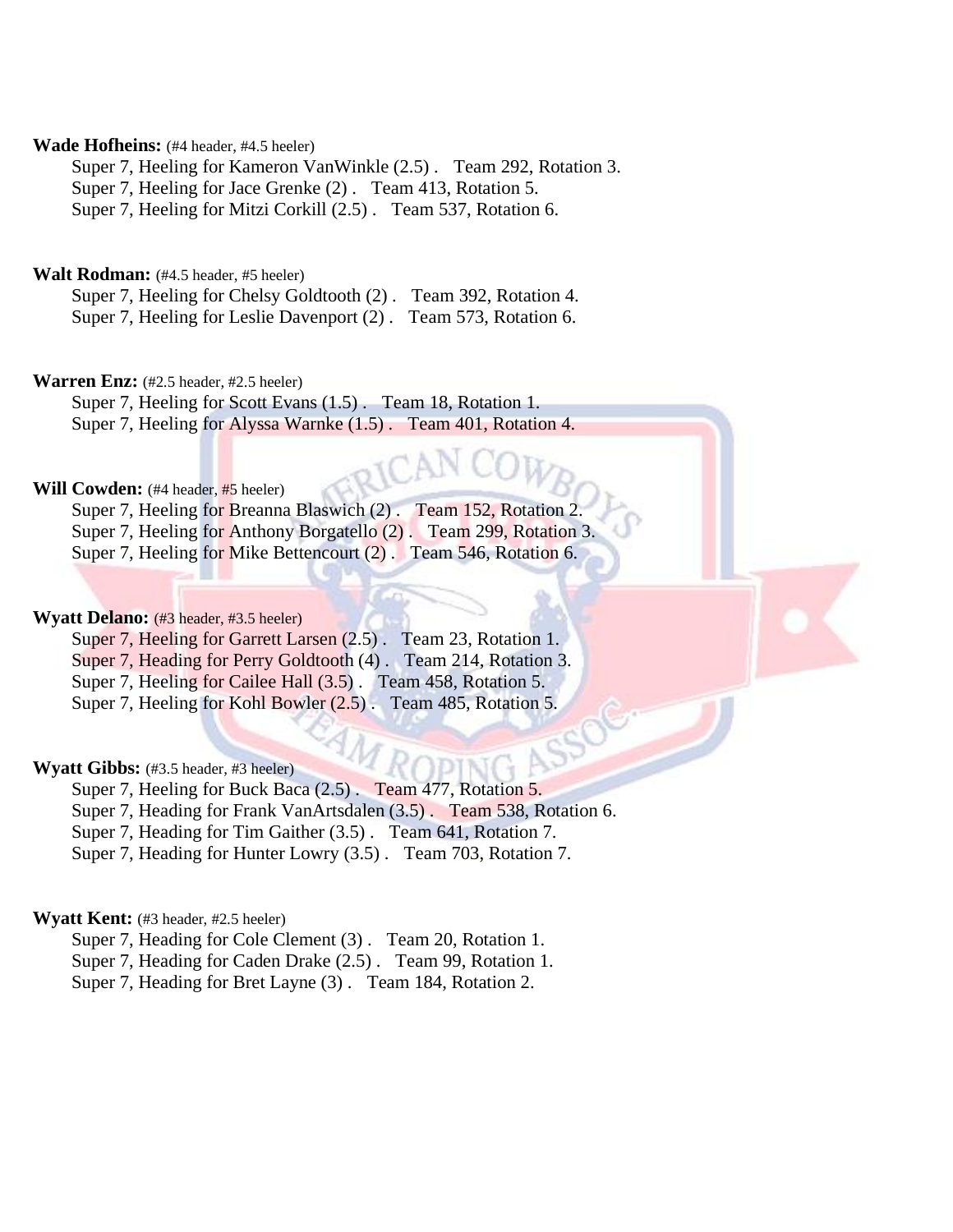### **Wade Hofheins:** (#4 header, #4.5 heeler)

Super 7, Heeling for Kameron VanWinkle (2.5) . Team 292, Rotation 3. Super 7, Heeling for Jace Grenke (2) . Team 413, Rotation 5. Super 7, Heeling for Mitzi Corkill (2.5) . Team 537, Rotation 6.

# **Walt Rodman:** (#4.5 header, #5 heeler)

Super 7, Heeling for Chelsy Goldtooth (2) . Team 392, Rotation 4. Super 7, Heeling for Leslie Davenport (2) . Team 573, Rotation 6.

### **Warren Enz:** (#2.5 header, #2.5 heeler)

Super 7, Heeling for Scott Evans (1.5) . Team 18, Rotation 1. Super 7, Heeling for Alyssa Warnke (1.5) . Team 401, Rotation 4.

### **Will Cowden:** (#4 header, #5 heeler)

Super 7, Heeling for Breanna Blaswich (2). Team 152, Rotation 2. Super 7, Heeling for Anthony Borgatello (2) . Team 299, Rotation 3. Super 7, Heeling for Mike Bettencourt (2) . Team 546, Rotation 6.

# **Wyatt Delano:** (#3 header, #3.5 heeler)

Super 7, Heeling for Garrett Larsen (2.5). Team 23, Rotation 1. Super 7, Heading for Perry Goldtooth (4) . Team 214, Rotation 3. Super 7, Heeling for Cailee Hall (3.5) . Team 458, Rotation 5. Super 7, Heeling for Kohl Bowler (2.5) . Team 485, Rotation 5.

# **Wyatt Gibbs:** (#3.5 header, #3 heeler)

Super 7, Heeling for Buck Baca (2.5). Team 477, Rotation 5. Super 7, Heading for Frank VanArtsdalen (3.5) . Team 538, Rotation 6. Super 7, Heading for Tim Gaither (3.5) . Team 641, Rotation 7. Super 7, Heading for Hunter Lowry (3.5) . Team 703, Rotation 7.

# **Wyatt Kent:** (#3 header, #2.5 heeler)

Super 7, Heading for Cole Clement (3). Team 20, Rotation 1. Super 7, Heading for Caden Drake (2.5) . Team 99, Rotation 1. Super 7, Heading for Bret Layne (3) . Team 184, Rotation 2.